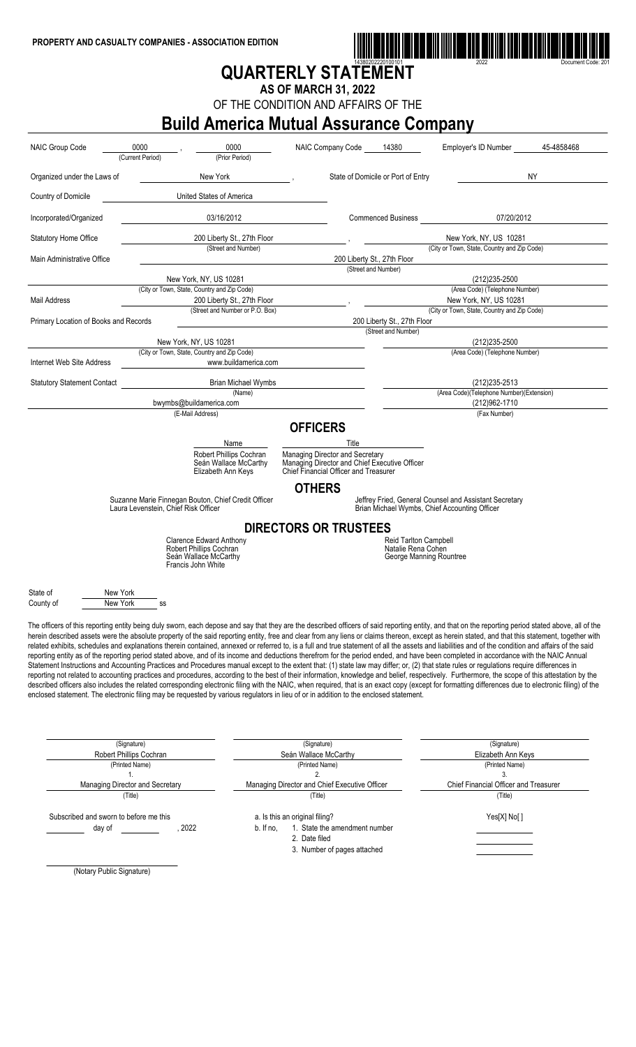

# **QUARTERLY STATEMENT**

**AS OF MARCH 31, 2022**

OF THE CONDITION AND AFFAIRS OF THE

## **Build America Mutual Assurance Company**

| <b>NAIC Group Code</b>                | 0000<br>(Current Period) | 0000<br>(Prior Period)                                                                                                                                                                                                                                                                                                                                                                                                                                                                                                                                                                                                                                                                                                                                                                                                                                                                                                                                                                                                                                                                                                                                                                                                                                                                                                                                                                                                                                                                                                                                     | NAIC Company Code                                                                      | 14380                                         | Employer's ID Number                                                                                    | 45-4858468 |
|---------------------------------------|--------------------------|------------------------------------------------------------------------------------------------------------------------------------------------------------------------------------------------------------------------------------------------------------------------------------------------------------------------------------------------------------------------------------------------------------------------------------------------------------------------------------------------------------------------------------------------------------------------------------------------------------------------------------------------------------------------------------------------------------------------------------------------------------------------------------------------------------------------------------------------------------------------------------------------------------------------------------------------------------------------------------------------------------------------------------------------------------------------------------------------------------------------------------------------------------------------------------------------------------------------------------------------------------------------------------------------------------------------------------------------------------------------------------------------------------------------------------------------------------------------------------------------------------------------------------------------------------|----------------------------------------------------------------------------------------|-----------------------------------------------|---------------------------------------------------------------------------------------------------------|------------|
| Organized under the Laws of           |                          | New York                                                                                                                                                                                                                                                                                                                                                                                                                                                                                                                                                                                                                                                                                                                                                                                                                                                                                                                                                                                                                                                                                                                                                                                                                                                                                                                                                                                                                                                                                                                                                   |                                                                                        | State of Domicile or Port of Entry            |                                                                                                         | ΝY         |
| Country of Domicile                   |                          | United States of America                                                                                                                                                                                                                                                                                                                                                                                                                                                                                                                                                                                                                                                                                                                                                                                                                                                                                                                                                                                                                                                                                                                                                                                                                                                                                                                                                                                                                                                                                                                                   |                                                                                        |                                               |                                                                                                         |            |
| Incorporated/Organized                |                          | 03/16/2012                                                                                                                                                                                                                                                                                                                                                                                                                                                                                                                                                                                                                                                                                                                                                                                                                                                                                                                                                                                                                                                                                                                                                                                                                                                                                                                                                                                                                                                                                                                                                 |                                                                                        | <b>Commenced Business</b>                     | 07/20/2012                                                                                              |            |
| <b>Statutory Home Office</b>          |                          | 200 Liberty St., 27th Floor                                                                                                                                                                                                                                                                                                                                                                                                                                                                                                                                                                                                                                                                                                                                                                                                                                                                                                                                                                                                                                                                                                                                                                                                                                                                                                                                                                                                                                                                                                                                |                                                                                        |                                               | New York, NY, US 10281                                                                                  |            |
| Main Administrative Office            |                          | (Street and Number)                                                                                                                                                                                                                                                                                                                                                                                                                                                                                                                                                                                                                                                                                                                                                                                                                                                                                                                                                                                                                                                                                                                                                                                                                                                                                                                                                                                                                                                                                                                                        |                                                                                        | 200 Liberty St., 27th Floor                   | (City or Town, State, Country and Zip Code)                                                             |            |
|                                       |                          |                                                                                                                                                                                                                                                                                                                                                                                                                                                                                                                                                                                                                                                                                                                                                                                                                                                                                                                                                                                                                                                                                                                                                                                                                                                                                                                                                                                                                                                                                                                                                            |                                                                                        | (Street and Number)                           |                                                                                                         |            |
|                                       |                          | New York, NY, US 10281<br>(City or Town, State, Country and Zip Code)                                                                                                                                                                                                                                                                                                                                                                                                                                                                                                                                                                                                                                                                                                                                                                                                                                                                                                                                                                                                                                                                                                                                                                                                                                                                                                                                                                                                                                                                                      |                                                                                        |                                               | (212) 235-2500<br>(Area Code) (Telephone Number)                                                        |            |
|                                       |                          |                                                                                                                                                                                                                                                                                                                                                                                                                                                                                                                                                                                                                                                                                                                                                                                                                                                                                                                                                                                                                                                                                                                                                                                                                                                                                                                                                                                                                                                                                                                                                            |                                                                                        |                                               |                                                                                                         |            |
| Mail Address                          |                          | 200 Liberty St., 27th Floor<br>(Street and Number or P.O. Box)                                                                                                                                                                                                                                                                                                                                                                                                                                                                                                                                                                                                                                                                                                                                                                                                                                                                                                                                                                                                                                                                                                                                                                                                                                                                                                                                                                                                                                                                                             |                                                                                        |                                               | New York, NY, US 10281<br>(City or Town, State, Country and Zip Code)                                   |            |
|                                       |                          |                                                                                                                                                                                                                                                                                                                                                                                                                                                                                                                                                                                                                                                                                                                                                                                                                                                                                                                                                                                                                                                                                                                                                                                                                                                                                                                                                                                                                                                                                                                                                            |                                                                                        |                                               |                                                                                                         |            |
| Primary Location of Books and Records |                          |                                                                                                                                                                                                                                                                                                                                                                                                                                                                                                                                                                                                                                                                                                                                                                                                                                                                                                                                                                                                                                                                                                                                                                                                                                                                                                                                                                                                                                                                                                                                                            |                                                                                        | 200 Liberty St., 27th Floor                   |                                                                                                         |            |
|                                       |                          |                                                                                                                                                                                                                                                                                                                                                                                                                                                                                                                                                                                                                                                                                                                                                                                                                                                                                                                                                                                                                                                                                                                                                                                                                                                                                                                                                                                                                                                                                                                                                            |                                                                                        | (Street and Number)                           |                                                                                                         |            |
|                                       |                          | New York, NY, US 10281                                                                                                                                                                                                                                                                                                                                                                                                                                                                                                                                                                                                                                                                                                                                                                                                                                                                                                                                                                                                                                                                                                                                                                                                                                                                                                                                                                                                                                                                                                                                     |                                                                                        |                                               | (212) 235-2500                                                                                          |            |
|                                       |                          | (City or Town, State, Country and Zip Code)                                                                                                                                                                                                                                                                                                                                                                                                                                                                                                                                                                                                                                                                                                                                                                                                                                                                                                                                                                                                                                                                                                                                                                                                                                                                                                                                                                                                                                                                                                                |                                                                                        |                                               | (Area Code) (Telephone Number)                                                                          |            |
| Internet Web Site Address             |                          | www.buildamerica.com                                                                                                                                                                                                                                                                                                                                                                                                                                                                                                                                                                                                                                                                                                                                                                                                                                                                                                                                                                                                                                                                                                                                                                                                                                                                                                                                                                                                                                                                                                                                       |                                                                                        |                                               |                                                                                                         |            |
|                                       |                          |                                                                                                                                                                                                                                                                                                                                                                                                                                                                                                                                                                                                                                                                                                                                                                                                                                                                                                                                                                                                                                                                                                                                                                                                                                                                                                                                                                                                                                                                                                                                                            |                                                                                        |                                               |                                                                                                         |            |
| <b>Statutory Statement Contact</b>    |                          | <b>Brian Michael Wymbs</b><br>(Name)                                                                                                                                                                                                                                                                                                                                                                                                                                                                                                                                                                                                                                                                                                                                                                                                                                                                                                                                                                                                                                                                                                                                                                                                                                                                                                                                                                                                                                                                                                                       |                                                                                        |                                               | (212) 235-2513<br>(Area Code)(Telephone Number)(Extension)                                              |            |
|                                       |                          |                                                                                                                                                                                                                                                                                                                                                                                                                                                                                                                                                                                                                                                                                                                                                                                                                                                                                                                                                                                                                                                                                                                                                                                                                                                                                                                                                                                                                                                                                                                                                            |                                                                                        |                                               |                                                                                                         |            |
|                                       |                          | bwymbs@buildamerica.com<br>(E-Mail Address)                                                                                                                                                                                                                                                                                                                                                                                                                                                                                                                                                                                                                                                                                                                                                                                                                                                                                                                                                                                                                                                                                                                                                                                                                                                                                                                                                                                                                                                                                                                |                                                                                        |                                               | (212)962-1710                                                                                           |            |
|                                       |                          |                                                                                                                                                                                                                                                                                                                                                                                                                                                                                                                                                                                                                                                                                                                                                                                                                                                                                                                                                                                                                                                                                                                                                                                                                                                                                                                                                                                                                                                                                                                                                            |                                                                                        |                                               | (Fax Number)                                                                                            |            |
|                                       |                          |                                                                                                                                                                                                                                                                                                                                                                                                                                                                                                                                                                                                                                                                                                                                                                                                                                                                                                                                                                                                                                                                                                                                                                                                                                                                                                                                                                                                                                                                                                                                                            | <b>OFFICERS</b>                                                                        |                                               |                                                                                                         |            |
|                                       |                          |                                                                                                                                                                                                                                                                                                                                                                                                                                                                                                                                                                                                                                                                                                                                                                                                                                                                                                                                                                                                                                                                                                                                                                                                                                                                                                                                                                                                                                                                                                                                                            |                                                                                        |                                               |                                                                                                         |            |
|                                       |                          | Name                                                                                                                                                                                                                                                                                                                                                                                                                                                                                                                                                                                                                                                                                                                                                                                                                                                                                                                                                                                                                                                                                                                                                                                                                                                                                                                                                                                                                                                                                                                                                       | Title                                                                                  |                                               |                                                                                                         |            |
|                                       |                          | Robert Phillips Cochran                                                                                                                                                                                                                                                                                                                                                                                                                                                                                                                                                                                                                                                                                                                                                                                                                                                                                                                                                                                                                                                                                                                                                                                                                                                                                                                                                                                                                                                                                                                                    | Managing Director and Secretary                                                        |                                               |                                                                                                         |            |
|                                       |                          | Seán Wallace McCarthy<br>Elizabeth Ann Keys                                                                                                                                                                                                                                                                                                                                                                                                                                                                                                                                                                                                                                                                                                                                                                                                                                                                                                                                                                                                                                                                                                                                                                                                                                                                                                                                                                                                                                                                                                                | Managing Director and Chief Executive Officer<br>Chief Financial Officer and Treasurer |                                               |                                                                                                         |            |
|                                       |                          |                                                                                                                                                                                                                                                                                                                                                                                                                                                                                                                                                                                                                                                                                                                                                                                                                                                                                                                                                                                                                                                                                                                                                                                                                                                                                                                                                                                                                                                                                                                                                            | <b>OTHERS</b>                                                                          |                                               |                                                                                                         |            |
|                                       |                          | Suzanne Marie Finnegan Bouton, Chief Credit Officer<br>Laura Levenstein, Chief Risk Officer                                                                                                                                                                                                                                                                                                                                                                                                                                                                                                                                                                                                                                                                                                                                                                                                                                                                                                                                                                                                                                                                                                                                                                                                                                                                                                                                                                                                                                                                |                                                                                        |                                               | Jeffrey Fried, General Counsel and Assistant Secretary<br>Brian Michael Wymbs, Chief Accounting Officer |            |
|                                       |                          |                                                                                                                                                                                                                                                                                                                                                                                                                                                                                                                                                                                                                                                                                                                                                                                                                                                                                                                                                                                                                                                                                                                                                                                                                                                                                                                                                                                                                                                                                                                                                            | <b>DIRECTORS OR TRUSTEES</b>                                                           |                                               |                                                                                                         |            |
|                                       |                          | <b>Clarence Edward Anthony</b>                                                                                                                                                                                                                                                                                                                                                                                                                                                                                                                                                                                                                                                                                                                                                                                                                                                                                                                                                                                                                                                                                                                                                                                                                                                                                                                                                                                                                                                                                                                             |                                                                                        | <b>Reid Tarlton Campbell</b>                  |                                                                                                         |            |
|                                       |                          | Robert Phillips Cochran<br>Seán Wallace McCarthy<br>Francis John White                                                                                                                                                                                                                                                                                                                                                                                                                                                                                                                                                                                                                                                                                                                                                                                                                                                                                                                                                                                                                                                                                                                                                                                                                                                                                                                                                                                                                                                                                     |                                                                                        | Natalie Rena Cohen<br>George Manning Rountree |                                                                                                         |            |
|                                       |                          |                                                                                                                                                                                                                                                                                                                                                                                                                                                                                                                                                                                                                                                                                                                                                                                                                                                                                                                                                                                                                                                                                                                                                                                                                                                                                                                                                                                                                                                                                                                                                            |                                                                                        |                                               |                                                                                                         |            |
| State of                              | New York                 |                                                                                                                                                                                                                                                                                                                                                                                                                                                                                                                                                                                                                                                                                                                                                                                                                                                                                                                                                                                                                                                                                                                                                                                                                                                                                                                                                                                                                                                                                                                                                            |                                                                                        |                                               |                                                                                                         |            |
| County of                             | New York                 | SS                                                                                                                                                                                                                                                                                                                                                                                                                                                                                                                                                                                                                                                                                                                                                                                                                                                                                                                                                                                                                                                                                                                                                                                                                                                                                                                                                                                                                                                                                                                                                         |                                                                                        |                                               |                                                                                                         |            |
|                                       |                          | The officers of this reporting entity being duly sworn, each depose and say that they are the described officers of said reporting entity, and that on the reporting period stated above, all of the<br>herein described assets were the absolute property of the said reporting entity, free and clear from any liens or claims thereon, except as herein stated, and that this statement, together with<br>related exhibits, schedules and explanations therein contained, annexed or referred to, is a full and true statement of all the assets and liabilities and of the condition and affairs of the said<br>reporting entity as of the reporting period stated above, and of its income and deductions therefrom for the period ended, and have been completed in accordance with the NAIC Annual<br>Statement Instructions and Accounting Practices and Procedures manual except to the extent that: (1) state law may differ; or, (2) that state rules or regulations require differences in<br>reporting not related to accounting practices and procedures, according to the best of their information, knowledge and belief, respectively. Furthermore, the scope of this attestation by the<br>described officers also includes the related corresponding electronic filing with the NAIC, when required, that is an exact copy (except for formatting differences due to electronic filing) of the<br>enclosed statement. The electronic filing may be requested by various regulators in lieu of or in addition to the enclosed statement. |                                                                                        |                                               |                                                                                                         |            |
|                                       |                          |                                                                                                                                                                                                                                                                                                                                                                                                                                                                                                                                                                                                                                                                                                                                                                                                                                                                                                                                                                                                                                                                                                                                                                                                                                                                                                                                                                                                                                                                                                                                                            |                                                                                        |                                               |                                                                                                         |            |
|                                       | (Signature)              |                                                                                                                                                                                                                                                                                                                                                                                                                                                                                                                                                                                                                                                                                                                                                                                                                                                                                                                                                                                                                                                                                                                                                                                                                                                                                                                                                                                                                                                                                                                                                            | (Signature)                                                                            |                                               | (Signature)                                                                                             |            |
|                                       | Robert Phillips Cochran  |                                                                                                                                                                                                                                                                                                                                                                                                                                                                                                                                                                                                                                                                                                                                                                                                                                                                                                                                                                                                                                                                                                                                                                                                                                                                                                                                                                                                                                                                                                                                                            | Seán Wallace McCarthy                                                                  |                                               | Elizabeth Ann Keys                                                                                      |            |

1.  $2.$  3. Managing Director and Secretary Managing Director and Chief Executive Officer Chief Financial Officer and Treasurer<br>(Title) (Title) (Title) (Title) (Title) (Title) Subscribed and sworn to before me this a. Is this an original filing?<br>
Motion and the amendment number of the animal filing?<br>
All tho, the filter amendment number of the amendment number day of the control of the control of the 2022 b. If no, the 1. State the amendment number 2. Date filed 3. Number of pages attached

(Notary Public Signature)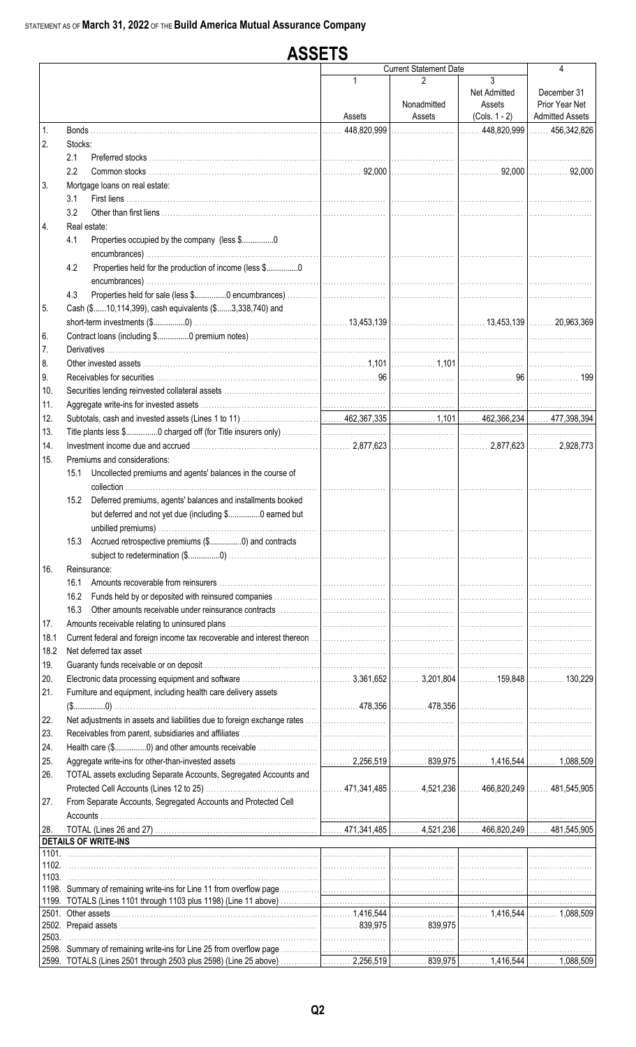#### **ASSETS Current Statement Date**  $\overline{\mathbf{A}}$  $\overline{3}$  $\mathfrak{p}$ Net Admitted December 31 Nonadmitted Prior Year Net Assets **Admitted Assets** Assets  $(Cols. 1 - 2)$ Assets 456,342,826 448,820,999 448.820.999  $\mathbf{1}$ Bonds.  $\overline{2}$ . Stocks: Preferred stocks ..  $2.1$  $2.2$ Common stocks 92,000 92.000  $\ldots$  92.000  $\overline{3}$ Mortgage loans on real estate:  $3.1$ First liens ............. 32 4. Real estate: 41 Properties occupied by the company (less \$................0 4.2 Properties held for the production of income (less \$.................0 Properties held for sale (less \$................0 encumbrances).  $4.3$ 5 Cash (\$......10,114,399), cash equivalents (\$.......3,338,740) and 13.453.139 13.453.139 20.963.369 Contract loans (including \$................0 premium notes)... 6. **Derivatives**  $\overline{7}$ . 8. Other invested assets  $.1,101$  $1.10'$ 9. Receivables for securities  $\ldots$  96 96 199  $10.$ Securities lending reinvested collateral assets. 11. Aggregate write-ins for invested assets ...  $12.$ Subtotals, cash and invested assets (Lines 1 to 11) 462,367,335 1,101 462,366,234 477,398,394 13. Title plants less \$................0 charged off (for Title insurers only)  $14$ 2.877.623 2.877.623 2.928.773  $15<sub>1</sub>$ Premiums and considerations: 15.1 Uncollected premiums and agents' balances in the course of collection ..................... 15.2 Deferred premiums, agents' balances and installments booked but deferred and not yet due (including \$................0 earned but unbilled premiums).... 15.3 Accrued retrospective premiums (\$.................0) and contracts subject to redetermination (\$.................0) .................. 16. Reinsurance: 16.1 Amounts recoverable from reinsurers ................. 16.2 Funds held by or deposited with reinsured companies 16.3 Other amounts receivable under reinsurance contracts  $17.$ Amounts receivable relating to uninsured plans ...... 18.1 Current federal and foreign income tax recoverable and interest thereon 18.2 Net deferred tax asset ............  $19$ Guaranty funds receivable or on deposit ..  $20<sub>1</sub>$ 3,361,652 3.201.804 Electronic data processing equipment and software ........... 159848 130 229  $21<sub>1</sub>$ Furniture and equipment, including health care delivery assets 478.356 478.356  $(\$............0)$ 22. Net adjustments in assets and liabilities due to foreign exchange rates 23. Receivables from parent, subsidiaries and affiliates. 24. Health care (\$................0) and other amounts receivable 25. Aggregate write-ins for other-than-invested assets .. 2,256,519 839,975 1,416,544 1,088,509 TOTAL assets excluding Separate Accounts, Segregated Accounts and 26. 471,341,485 4,521,236 466,820,249 481,545,905 27. From Separate Accounts, Segregated Accounts and Protected Cell Accounts 28 TOTAL (Lines 26 and 27) 471,341,485 4,521,236 466,820,249 481.545.905 **DETAILS OF WRITE-INS**  $1101$ 1102. 1103. 1198. Summary of remaining write-ins for Line 11 from overflow page 1199. TOTALS (Lines 1101 through 1103 plus 1198) (Line 11 above) 1.416.544 2501. Other assets 1416544 1 088 509 2502. Prepaid assets ... 839,975 839,975 2503 2598. Summary of remaining write-ins for Line 25 from overflow page 2599. TOTALS (Lines 2501 through 2503 plus 2598) (Line 25 above) 2.256.519 839.975 1.416.544 1.088.509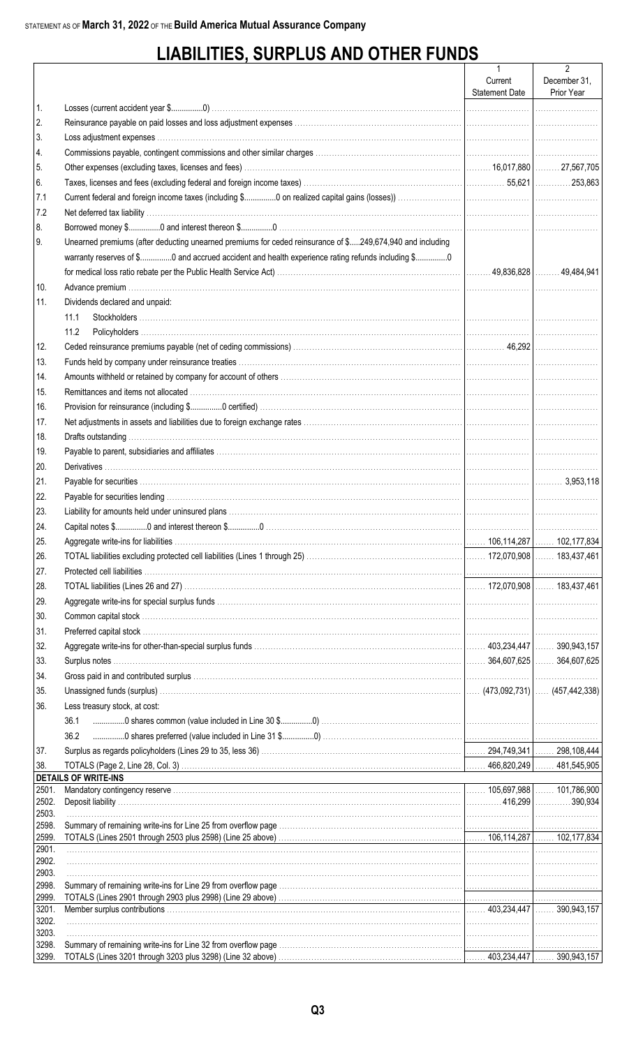# **LIABILITIES, SURPLUS AND OTHER FUNDS**

|                |                                                                                                                                                                                                                                | $\mathbf{1}$                     | 2                          |
|----------------|--------------------------------------------------------------------------------------------------------------------------------------------------------------------------------------------------------------------------------|----------------------------------|----------------------------|
|                |                                                                                                                                                                                                                                | Current<br><b>Statement Date</b> | December 31,<br>Prior Year |
| 1.             |                                                                                                                                                                                                                                |                                  |                            |
|                |                                                                                                                                                                                                                                |                                  |                            |
| 2.             |                                                                                                                                                                                                                                |                                  |                            |
| 3.             |                                                                                                                                                                                                                                |                                  |                            |
| 4.             |                                                                                                                                                                                                                                |                                  |                            |
| 5.             |                                                                                                                                                                                                                                |                                  |                            |
| 6.             |                                                                                                                                                                                                                                |                                  |                            |
| 7.1            |                                                                                                                                                                                                                                |                                  |                            |
| 7.2            |                                                                                                                                                                                                                                |                                  |                            |
| 8.             |                                                                                                                                                                                                                                |                                  |                            |
| I9.            | Unearned premiums (after deducting unearned premiums for ceded reinsurance of \$249,674,940 and including                                                                                                                      |                                  |                            |
|                | warranty reserves of \$0 and accrued accident and health experience rating refunds including \$0                                                                                                                               |                                  |                            |
|                |                                                                                                                                                                                                                                |                                  |                            |
| 10.            |                                                                                                                                                                                                                                |                                  |                            |
| 11.            | Dividends declared and unpaid:                                                                                                                                                                                                 |                                  |                            |
|                | 11.1                                                                                                                                                                                                                           |                                  |                            |
|                | 11.2                                                                                                                                                                                                                           |                                  |                            |
| 12.            |                                                                                                                                                                                                                                |                                  |                            |
| 13.            | Funds held by company under reinsurance treaties with the content of the content of the content of the content of the content of the content of the content of the content of the content of the content of the content of the |                                  |                            |
| 14.            |                                                                                                                                                                                                                                |                                  |                            |
| 15.            |                                                                                                                                                                                                                                |                                  |                            |
| 16.            |                                                                                                                                                                                                                                |                                  |                            |
| 17.            |                                                                                                                                                                                                                                |                                  |                            |
| 18.            |                                                                                                                                                                                                                                |                                  |                            |
| 19.            |                                                                                                                                                                                                                                |                                  |                            |
| 20.            |                                                                                                                                                                                                                                |                                  |                            |
| 21.            |                                                                                                                                                                                                                                |                                  |                            |
| 22.            |                                                                                                                                                                                                                                |                                  |                            |
| 23.            |                                                                                                                                                                                                                                |                                  |                            |
| 24.            |                                                                                                                                                                                                                                |                                  |                            |
| 25.            |                                                                                                                                                                                                                                |                                  |                            |
| 26.            |                                                                                                                                                                                                                                |                                  |                            |
| 27.            |                                                                                                                                                                                                                                |                                  |                            |
| 28.            |                                                                                                                                                                                                                                |                                  |                            |
| 29.            |                                                                                                                                                                                                                                |                                  |                            |
| 30.            |                                                                                                                                                                                                                                |                                  |                            |
| 31.            |                                                                                                                                                                                                                                |                                  |                            |
| 32.            |                                                                                                                                                                                                                                |                                  |                            |
| 33.            |                                                                                                                                                                                                                                |                                  |                            |
| 34.            |                                                                                                                                                                                                                                |                                  |                            |
|                |                                                                                                                                                                                                                                |                                  |                            |
| 35.            |                                                                                                                                                                                                                                |                                  |                            |
| 36.            | Less treasury stock, at cost:                                                                                                                                                                                                  |                                  |                            |
|                | 36.1                                                                                                                                                                                                                           |                                  |                            |
|                | 36.2                                                                                                                                                                                                                           |                                  |                            |
| 37.            |                                                                                                                                                                                                                                |                                  |                            |
| 38.            | <b>DETAILS OF WRITE-INS</b>                                                                                                                                                                                                    |                                  |                            |
| 2501.          | and the control of the control of the control of the control of the control of the control of the control of the                                                                                                               |                                  |                            |
| 2502.          |                                                                                                                                                                                                                                |                                  |                            |
| 2503.          |                                                                                                                                                                                                                                |                                  |                            |
| 2598.<br>2599. |                                                                                                                                                                                                                                |                                  |                            |
| 2901.          |                                                                                                                                                                                                                                |                                  |                            |
| 2902.          |                                                                                                                                                                                                                                |                                  |                            |
| 2903.          |                                                                                                                                                                                                                                |                                  |                            |
| 2998.          |                                                                                                                                                                                                                                |                                  |                            |
| 2999.<br>3201. |                                                                                                                                                                                                                                |                                  |                            |
| 3202.          |                                                                                                                                                                                                                                |                                  |                            |
| 3203.          |                                                                                                                                                                                                                                |                                  |                            |
| 3298.          |                                                                                                                                                                                                                                |                                  |                            |
| 3299.          |                                                                                                                                                                                                                                |                                  |                            |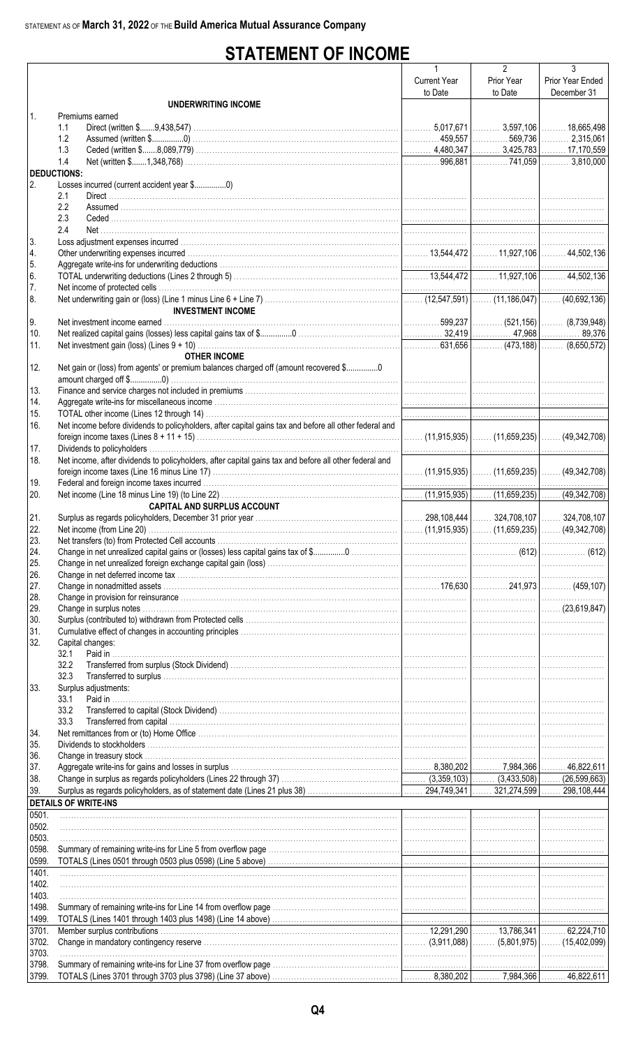# **STATEMENT OF INCOME**

|                  |                                                                                                        | $\mathbf{1}$        | $\overline{2}$ | $\overline{3}$   |
|------------------|--------------------------------------------------------------------------------------------------------|---------------------|----------------|------------------|
|                  |                                                                                                        | <b>Current Year</b> | Prior Year     | Prior Year Ended |
|                  |                                                                                                        | to Date             | to Date        | December 31      |
| $\mathbf{1}$ .   | UNDERWRITING INCOME<br>Premiums earned                                                                 |                     |                |                  |
|                  | 1.1                                                                                                    |                     |                |                  |
|                  | 1.2                                                                                                    |                     |                |                  |
|                  | 1.3                                                                                                    |                     |                |                  |
|                  | 1.4                                                                                                    |                     |                |                  |
|                  | <b>DEDUCTIONS:</b>                                                                                     |                     |                |                  |
| 2.               | Losses incurred (current accident year \$0)<br>2.1                                                     |                     |                |                  |
|                  | 2.2                                                                                                    |                     |                |                  |
|                  | 2.3                                                                                                    |                     |                |                  |
|                  | 2.4                                                                                                    |                     |                |                  |
| 3.               |                                                                                                        |                     |                |                  |
| 4.               |                                                                                                        |                     |                |                  |
| 5.               |                                                                                                        |                     |                |                  |
| 6.               |                                                                                                        |                     |                |                  |
| $\overline{7}$ . |                                                                                                        |                     |                |                  |
| 8.               | <b>INVESTMENT INCOME</b>                                                                               |                     |                |                  |
| 9.               |                                                                                                        |                     |                |                  |
| 10.              |                                                                                                        |                     |                |                  |
| 11.              |                                                                                                        |                     |                |                  |
|                  | <b>OTHER INCOME</b>                                                                                    |                     |                |                  |
| 12.              | Net gain or (loss) from agents' or premium balances charged off (amount recovered \$0                  |                     |                |                  |
|                  |                                                                                                        |                     |                |                  |
| 13.              |                                                                                                        |                     |                |                  |
| 14.<br>15.       |                                                                                                        |                     |                |                  |
| 16.              | Net income before dividends to policyholders, after capital gains tax and before all other federal and |                     |                |                  |
|                  |                                                                                                        |                     |                |                  |
| 17.              |                                                                                                        |                     |                |                  |
| 18.              | Net income, after dividends to policyholders, after capital gains tax and before all other federal and |                     |                |                  |
|                  |                                                                                                        |                     |                |                  |
| 19.              |                                                                                                        |                     |                |                  |
| 20.              |                                                                                                        |                     |                |                  |
|                  | CAPITAL AND SURPLUS ACCOUNT                                                                            |                     |                |                  |
| 21.<br>22.       |                                                                                                        |                     |                |                  |
| 23.              |                                                                                                        |                     |                |                  |
| 24.              |                                                                                                        |                     |                |                  |
| 25.              |                                                                                                        |                     |                |                  |
| 26.              |                                                                                                        |                     |                |                  |
| 27.              |                                                                                                        |                     |                |                  |
| 28.              |                                                                                                        |                     |                |                  |
| 29.<br>30.       |                                                                                                        |                     |                |                  |
| 31.              |                                                                                                        |                     |                |                  |
| 32.              | Capital changes:                                                                                       |                     |                |                  |
|                  | 32.1                                                                                                   |                     |                |                  |
|                  | 32.2                                                                                                   |                     |                |                  |
|                  | 32.3                                                                                                   |                     |                |                  |
| 33.              | Surplus adjustments:                                                                                   |                     |                |                  |
|                  | 33.1                                                                                                   |                     |                |                  |
|                  | 33.2<br>33.3                                                                                           |                     |                |                  |
| 34.              |                                                                                                        |                     |                |                  |
| 35.              |                                                                                                        |                     |                |                  |
| 36.              |                                                                                                        |                     |                |                  |
| 37.              |                                                                                                        |                     |                |                  |
| 38.              |                                                                                                        |                     |                |                  |
| 39.              |                                                                                                        |                     |                |                  |
|                  | <b>DETAILS OF WRITE-INS</b>                                                                            |                     |                |                  |
| 0501.<br>0502.   |                                                                                                        |                     |                |                  |
| 0503.            |                                                                                                        |                     |                |                  |
| 0598.            |                                                                                                        |                     |                |                  |
| 0599.            |                                                                                                        |                     |                |                  |
| 1401.            |                                                                                                        |                     |                |                  |
| 1402.            |                                                                                                        |                     |                |                  |
| 1403.            |                                                                                                        |                     |                |                  |
| 1498.            |                                                                                                        |                     |                |                  |
| 1499.            |                                                                                                        |                     |                |                  |
| 3701.<br>3702.   |                                                                                                        |                     |                |                  |
| 3703.            |                                                                                                        |                     |                |                  |
| 3798.            |                                                                                                        |                     |                |                  |
| 3799.            |                                                                                                        |                     |                |                  |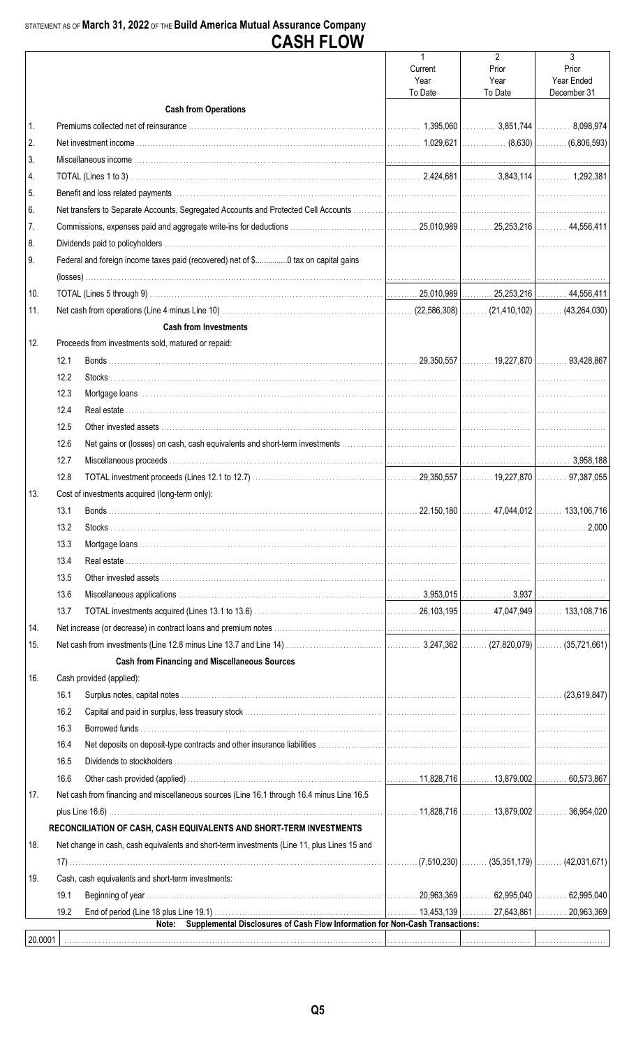|                |      | UMJI I LUII                                                                                 |                            |                                            |                                         |
|----------------|------|---------------------------------------------------------------------------------------------|----------------------------|--------------------------------------------|-----------------------------------------|
|                |      |                                                                                             | Current<br>Year<br>To Date | $\overline{2}$<br>Prior<br>Year<br>To Date | 3<br>Prior<br>Year Ended<br>December 31 |
|                |      | <b>Cash from Operations</b>                                                                 |                            |                                            |                                         |
| $\mathbf{1}$ . |      |                                                                                             |                            |                                            |                                         |
| 2.             |      |                                                                                             |                            |                                            |                                         |
| 3.             |      |                                                                                             |                            |                                            |                                         |
| 4.             |      |                                                                                             |                            |                                            |                                         |
| 5.             |      |                                                                                             |                            |                                            |                                         |
| 6.             |      |                                                                                             |                            |                                            |                                         |
| 7.             |      |                                                                                             |                            |                                            |                                         |
| 8.             |      |                                                                                             |                            |                                            |                                         |
| 9.             |      | Federal and foreign income taxes paid (recovered) net of \$0 tax on capital gains           |                            |                                            |                                         |
|                |      |                                                                                             |                            |                                            |                                         |
| 10.            |      |                                                                                             |                            |                                            |                                         |
| 11.            |      |                                                                                             |                            |                                            |                                         |
|                |      | <b>Cash from Investments</b>                                                                |                            |                                            |                                         |
| 12.            |      | Proceeds from investments sold, matured or repaid:                                          |                            |                                            |                                         |
|                | 12.1 |                                                                                             |                            |                                            |                                         |
|                | 12.2 |                                                                                             |                            |                                            |                                         |
|                | 12.3 |                                                                                             |                            |                                            |                                         |
|                | 12.4 |                                                                                             |                            |                                            |                                         |
|                | 12.5 |                                                                                             |                            |                                            |                                         |
|                | 12.6 |                                                                                             |                            |                                            |                                         |
|                | 12.7 |                                                                                             |                            |                                            |                                         |
|                | 12.8 |                                                                                             |                            |                                            |                                         |
| 13.            |      | Cost of investments acquired (long-term only):                                              |                            |                                            |                                         |
|                | 13.1 |                                                                                             |                            |                                            |                                         |
|                | 13.2 |                                                                                             |                            |                                            |                                         |
|                | 13.3 |                                                                                             |                            |                                            |                                         |
|                | 13.4 |                                                                                             |                            |                                            |                                         |
|                | 13.5 |                                                                                             |                            |                                            |                                         |
|                | 13.6 |                                                                                             |                            |                                            |                                         |
|                | 13.7 |                                                                                             |                            |                                            |                                         |
| 14.            |      |                                                                                             |                            |                                            |                                         |
| 15.            |      |                                                                                             |                            |                                            |                                         |
|                |      | <b>Cash from Financing and Miscellaneous Sources</b>                                        |                            |                                            |                                         |
| 16.            |      | Cash provided (applied):                                                                    |                            |                                            |                                         |
|                | 16.1 |                                                                                             |                            |                                            |                                         |
|                | 16.2 |                                                                                             |                            |                                            |                                         |
|                | 16.3 |                                                                                             |                            |                                            |                                         |
|                | 16.4 |                                                                                             |                            |                                            |                                         |
|                | 16.5 |                                                                                             |                            |                                            |                                         |
|                | 16.6 |                                                                                             |                            |                                            |                                         |
| 17.            |      | Net cash from financing and miscellaneous sources (Line 16.1 through 16.4 minus Line 16.5   |                            |                                            |                                         |
|                |      |                                                                                             |                            |                                            |                                         |
|                |      | RECONCILIATION OF CASH, CASH EQUIVALENTS AND SHORT-TERM INVESTMENTS                         |                            |                                            |                                         |
| 18.            |      | Net change in cash, cash equivalents and short-term investments (Line 11, plus Lines 15 and |                            |                                            |                                         |
|                |      |                                                                                             |                            |                                            |                                         |
| 19.            |      | Cash, cash equivalents and short-term investments:                                          |                            |                                            |                                         |
|                | 19.1 |                                                                                             |                            |                                            |                                         |
|                | 19.2 |                                                                                             |                            |                                            |                                         |
|                |      | Supplemental Disclosures of Cash Flow Information for Non-Cash Transactions:<br>Note:       |                            |                                            |                                         |
| 20.0001        |      |                                                                                             |                            |                                            |                                         |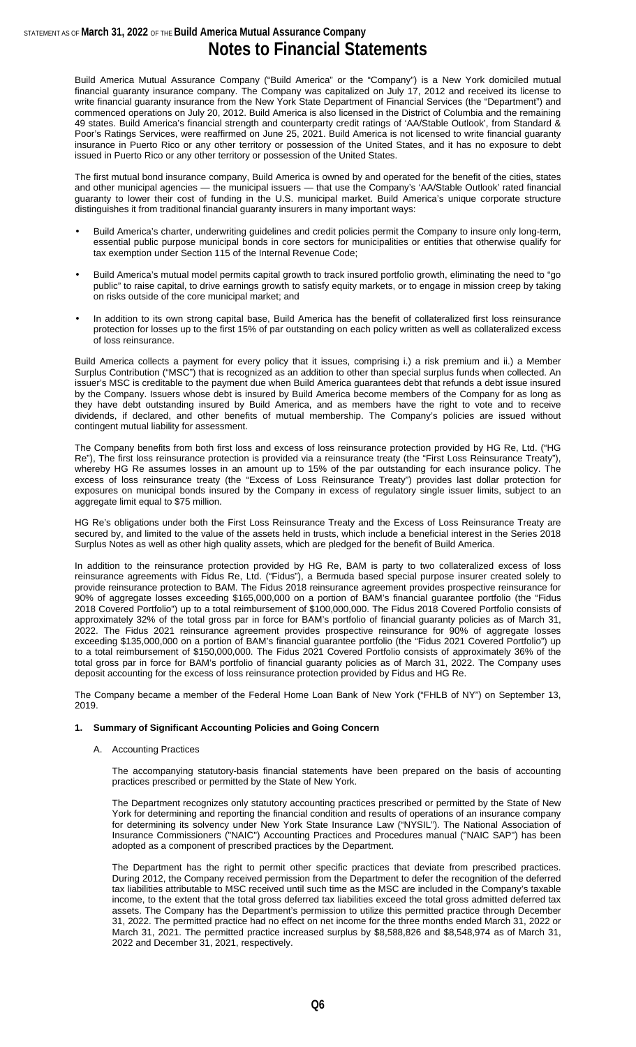Build America Mutual Assurance Company ("Build America" or the "Company") is a New York domiciled mutual financial guaranty insurance company. The Company was capitalized on July 17, 2012 and received its license to write financial guaranty insurance from the New York State Department of Financial Services (the "Department") and commenced operations on July 20, 2012. Build America is also licensed in the District of Columbia and the remaining 49 states. Build America's financial strength and counterparty credit ratings of 'AA/Stable Outlook', from Standard & Poor's Ratings Services, were reaffirmed on June 25, 2021. Build America is not licensed to write financial guaranty insurance in Puerto Rico or any other territory or possession of the United States, and it has no exposure to debt issued in Puerto Rico or any other territory or possession of the United States.

The first mutual bond insurance company, Build America is owned by and operated for the benefit of the cities, states and other municipal agencies — the municipal issuers — that use the Company's 'AA/Stable Outlook' rated financial guaranty to lower their cost of funding in the U.S. municipal market. Build America's unique corporate structure distinguishes it from traditional financial guaranty insurers in many important ways:

- Build America's charter, underwriting guidelines and credit policies permit the Company to insure only long-term, essential public purpose municipal bonds in core sectors for municipalities or entities that otherwise qualify for tax exemption under Section 115 of the Internal Revenue Code;
- Build America's mutual model permits capital growth to track insured portfolio growth, eliminating the need to "go public" to raise capital, to drive earnings growth to satisfy equity markets, or to engage in mission creep by taking on risks outside of the core municipal market; and
- In addition to its own strong capital base, Build America has the benefit of collateralized first loss reinsurance protection for losses up to the first 15% of par outstanding on each policy written as well as collateralized excess of loss reinsurance.

Build America collects a payment for every policy that it issues, comprising i.) a risk premium and ii.) a Member Surplus Contribution ("MSC") that is recognized as an addition to other than special surplus funds when collected. An issuer's MSC is creditable to the payment due when Build America guarantees debt that refunds a debt issue insured by the Company. Issuers whose debt is insured by Build America become members of the Company for as long as they have debt outstanding insured by Build America, and as members have the right to vote and to receive dividends, if declared, and other benefits of mutual membership. The Company's policies are issued without contingent mutual liability for assessment.

The Company benefits from both first loss and excess of loss reinsurance protection provided by HG Re, Ltd. ("HG Re"), The first loss reinsurance protection is provided via a reinsurance treaty (the "First Loss Reinsurance Treaty"), whereby HG Re assumes losses in an amount up to 15% of the par outstanding for each insurance policy. The excess of loss reinsurance treaty (the "Excess of Loss Reinsurance Treaty") provides last dollar protection for exposures on municipal bonds insured by the Company in excess of regulatory single issuer limits, subject to an aggregate limit equal to \$75 million.

HG Re's obligations under both the First Loss Reinsurance Treaty and the Excess of Loss Reinsurance Treaty are secured by, and limited to the value of the assets held in trusts, which include a beneficial interest in the Series 2018 Surplus Notes as well as other high quality assets, which are pledged for the benefit of Build America.

In addition to the reinsurance protection provided by HG Re, BAM is party to two collateralized excess of loss reinsurance agreements with Fidus Re, Ltd. ("Fidus"), a Bermuda based special purpose insurer created solely to provide reinsurance protection to BAM. The Fidus 2018 reinsurance agreement provides prospective reinsurance for 90% of aggregate losses exceeding \$165,000,000 on a portion of BAM's financial guarantee portfolio (the "Fidus 2018 Covered Portfolio") up to a total reimbursement of \$100,000,000. The Fidus 2018 Covered Portfolio consists of approximately 32% of the total gross par in force for BAM's portfolio of financial guaranty policies as of March 31, 2022. The Fidus 2021 reinsurance agreement provides prospective reinsurance for 90% of aggregate losses exceeding \$135,000,000 on a portion of BAM's financial guarantee portfolio (the "Fidus 2021 Covered Portfolio") up to a total reimbursement of \$150,000,000. The Fidus 2021 Covered Portfolio consists of approximately 36% of the total gross par in force for BAM's portfolio of financial guaranty policies as of March 31, 2022. The Company uses deposit accounting for the excess of loss reinsurance protection provided by Fidus and HG Re.

The Company became a member of the Federal Home Loan Bank of New York ("FHLB of NY") on September 13, 2019.

#### **1. Summary of Significant Accounting Policies and Going Concern**

#### A. Accounting Practices

The accompanying statutory-basis financial statements have been prepared on the basis of accounting practices prescribed or permitted by the State of New York.

The Department recognizes only statutory accounting practices prescribed or permitted by the State of New York for determining and reporting the financial condition and results of operations of an insurance company for determining its solvency under New York State Insurance Law ("NYSIL"). The National Association of Insurance Commissioners ("NAIC") Accounting Practices and Procedures manual ("NAIC SAP") has been adopted as a component of prescribed practices by the Department.

The Department has the right to permit other specific practices that deviate from prescribed practices. During 2012, the Company received permission from the Department to defer the recognition of the deferred tax liabilities attributable to MSC received until such time as the MSC are included in the Company's taxable income, to the extent that the total gross deferred tax liabilities exceed the total gross admitted deferred tax assets. The Company has the Department's permission to utilize this permitted practice through December 31, 2022. The permitted practice had no effect on net income for the three months ended March 31, 2022 or March 31, 2021. The permitted practice increased surplus by \$8,588,826 and \$8,548,974 as of March 31, 2022 and December 31, 2021, respectively.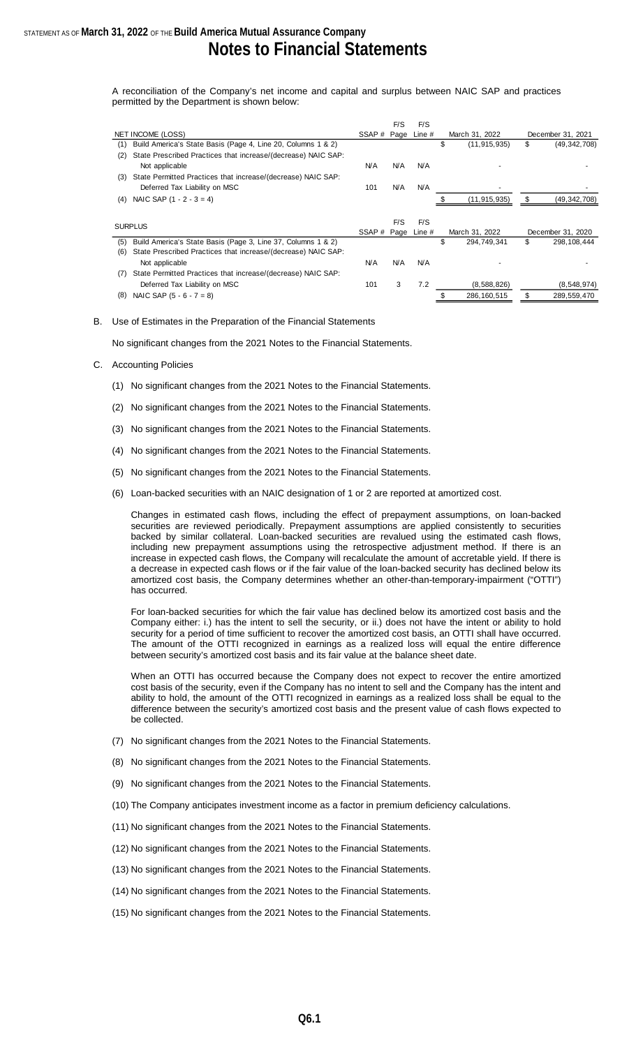A reconciliation of the Company's net income and capital and surplus between NAIC SAP and practices permitted by the Department is shown below:

|     |                                                               |                    | F/S        | F/S        |                      |    |                   |
|-----|---------------------------------------------------------------|--------------------|------------|------------|----------------------|----|-------------------|
|     | NET INCOME (LOSS)                                             | SSAP # Page        |            | Line $#$   | March 31, 2022       |    | December 31, 2021 |
| (1) | Build America's State Basis (Page 4, Line 20, Columns 1 & 2)  |                    |            |            | \$<br>(11, 915, 935) | \$ | (49, 342, 708)    |
| (2) | State Prescribed Practices that increase/(decrease) NAIC SAP: |                    |            |            |                      |    |                   |
|     | Not applicable                                                | <b>N/A</b>         | <b>N/A</b> | <b>N/A</b> |                      |    |                   |
| (3) | State Permitted Practices that increase/(decrease) NAIC SAP:  |                    |            |            |                      |    |                   |
|     | Deferred Tax Liability on MSC                                 | 101                | <b>N/A</b> | N/A        |                      |    |                   |
| (4) | NAIC SAP $(1 - 2 - 3 = 4)$                                    |                    |            |            | (11, 915, 935)       | \$ | (49,342,708)      |
|     |                                                               |                    |            |            |                      |    |                   |
|     | <b>SURPLUS</b>                                                |                    | F/S        | F/S        |                      |    |                   |
|     |                                                               | SSAP # Page Line # |            |            | March 31, 2022       |    | December 31, 2020 |
| (5) | Build America's State Basis (Page 3, Line 37, Columns 1 & 2)  |                    |            |            | 294,749,341          | S. | 298,108,444       |
| (6) | State Prescribed Practices that increase/(decrease) NAIC SAP: |                    |            |            |                      |    |                   |
|     | Not applicable                                                | <b>N/A</b>         | <b>N/A</b> | <b>N/A</b> |                      |    |                   |
| (7) | State Permitted Practices that increase/(decrease) NAIC SAP:  |                    |            |            |                      |    |                   |
|     | Deferred Tax Liability on MSC                                 | 101                | 3          | 7.2        | (8,588,826)          |    | (8,548,974)       |
| (8) | NAIC SAP $(5 - 6 - 7 = 8)$                                    |                    |            |            | 286, 160, 515        | \$ | 289,559,470       |

B. Use of Estimates in the Preparation of the Financial Statements

No significant changes from the 2021 Notes to the Financial Statements.

#### C. Accounting Policies

- (1) No significant changes from the 2021 Notes to the Financial Statements.
- (2) No significant changes from the 2021 Notes to the Financial Statements.
- (3) No significant changes from the 2021 Notes to the Financial Statements.
- (4) No significant changes from the 2021 Notes to the Financial Statements.
- (5) No significant changes from the 2021 Notes to the Financial Statements.
- (6) Loan-backed securities with an NAIC designation of 1 or 2 are reported at amortized cost.

Changes in estimated cash flows, including the effect of prepayment assumptions, on loan-backed securities are reviewed periodically. Prepayment assumptions are applied consistently to securities backed by similar collateral. Loan-backed securities are revalued using the estimated cash flows, including new prepayment assumptions using the retrospective adjustment method. If there is an increase in expected cash flows, the Company will recalculate the amount of accretable yield. If there is a decrease in expected cash flows or if the fair value of the loan-backed security has declined below its amortized cost basis, the Company determines whether an other-than-temporary-impairment ("OTTI") has occurred.

For loan-backed securities for which the fair value has declined below its amortized cost basis and the Company either: i.) has the intent to sell the security, or ii.) does not have the intent or ability to hold security for a period of time sufficient to recover the amortized cost basis, an OTTI shall have occurred. The amount of the OTTI recognized in earnings as a realized loss will equal the entire difference between security's amortized cost basis and its fair value at the balance sheet date.

When an OTTI has occurred because the Company does not expect to recover the entire amortized cost basis of the security, even if the Company has no intent to sell and the Company has the intent and ability to hold, the amount of the OTTI recognized in earnings as a realized loss shall be equal to the difference between the security's amortized cost basis and the present value of cash flows expected to be collected.

- (7) No significant changes from the 2021 Notes to the Financial Statements.
- (8) No significant changes from the 2021 Notes to the Financial Statements.
- (9) No significant changes from the 2021 Notes to the Financial Statements.
- (10) The Company anticipates investment income as a factor in premium deficiency calculations.
- (11) No significant changes from the 2021 Notes to the Financial Statements.
- (12) No significant changes from the 2021 Notes to the Financial Statements.
- (13) No significant changes from the 2021 Notes to the Financial Statements.
- (14) No significant changes from the 2021 Notes to the Financial Statements.
- (15) No significant changes from the 2021 Notes to the Financial Statements.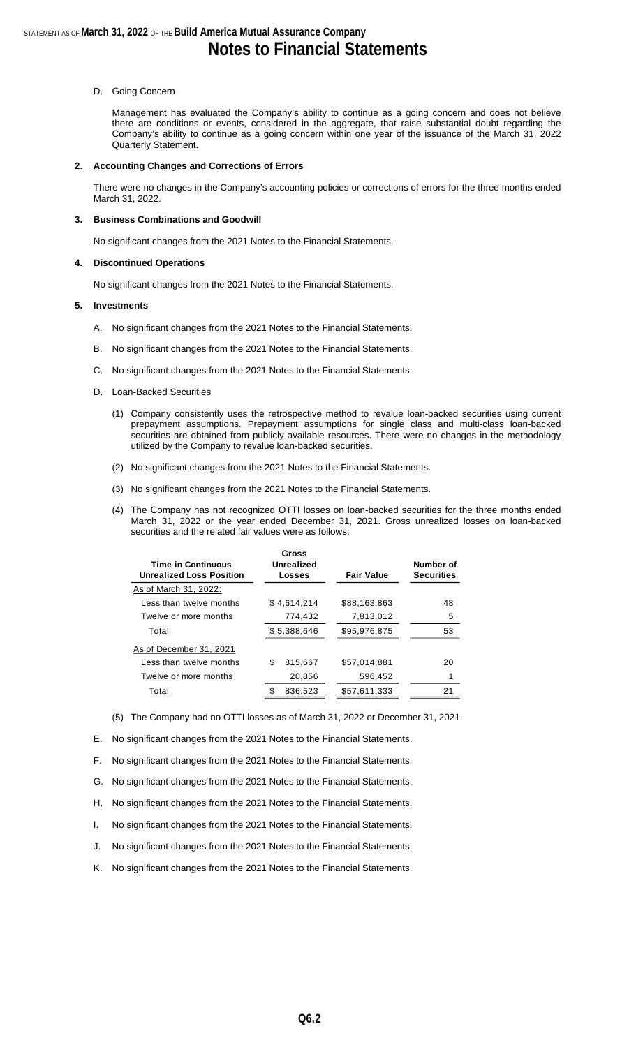#### D. Going Concern

Management has evaluated the Company's ability to continue as a going concern and does not believe there are conditions or events, considered in the aggregate, that raise substantial doubt regarding the Company's ability to continue as a going concern within one year of the issuance of the March 31, 2022 Quarterly Statement.

#### **2. Accounting Changes and Corrections of Errors**

There were no changes in the Company's accounting policies or corrections of errors for the three months ended March 31, 2022.

#### **3. Business Combinations and Goodwill**

No significant changes from the 2021 Notes to the Financial Statements.

#### **4. Discontinued Operations**

No significant changes from the 2021 Notes to the Financial Statements.

#### **5. Investments**

- A. No significant changes from the 2021 Notes to the Financial Statements.
- B. No significant changes from the 2021 Notes to the Financial Statements.
- C. No significant changes from the 2021 Notes to the Financial Statements.
- D. Loan-Backed Securities
	- (1) Company consistently uses the retrospective method to revalue loan-backed securities using current prepayment assumptions. Prepayment assumptions for single class and multi-class loan-backed securities are obtained from publicly available resources. There were no changes in the methodology utilized by the Company to revalue loan-backed securities.
	- (2) No significant changes from the 2021 Notes to the Financial Statements.
	- (3) No significant changes from the 2021 Notes to the Financial Statements.
	- (4) The Company has not recognized OTTI losses on loan-backed securities for the three months ended March 31, 2022 or the year ended December 31, 2021. Gross unrealized losses on loan-backed securities and the related fair values were as follows:

| <b>Time in Continuous</b><br><b>Unrealized Loss Position</b> |   | Gross<br>Unrealized<br>Losses | <b>Fair Value</b> | Number of<br><b>Securities</b> |
|--------------------------------------------------------------|---|-------------------------------|-------------------|--------------------------------|
| As of March 31, 2022:                                        |   |                               |                   |                                |
| Less than twelve months                                      |   | \$4,614,214                   | \$88.163.863      | 48                             |
| Twelve or more months                                        |   | 774,432                       | 7,813,012         | 5                              |
| Total                                                        |   | \$5,388,646                   | \$95,976,875      | 53                             |
| As of December 31, 2021                                      |   |                               |                   |                                |
| Less than twelve months                                      | S | 815,667                       | \$57,014,881      | 20                             |
| Twelve or more months                                        |   | 20,856                        | 596,452           |                                |
| Total                                                        |   | 836,523                       | \$57,611,333      | 21                             |

(5) The Company had no OTTI losses as of March 31, 2022 or December 31, 2021.

E. No significant changes from the 2021 Notes to the Financial Statements.

- F. No significant changes from the 2021 Notes to the Financial Statements.
- G. No significant changes from the 2021 Notes to the Financial Statements.
- H. No significant changes from the 2021 Notes to the Financial Statements.
- I. No significant changes from the 2021 Notes to the Financial Statements.
- J. No significant changes from the 2021 Notes to the Financial Statements.
- K. No significant changes from the 2021 Notes to the Financial Statements.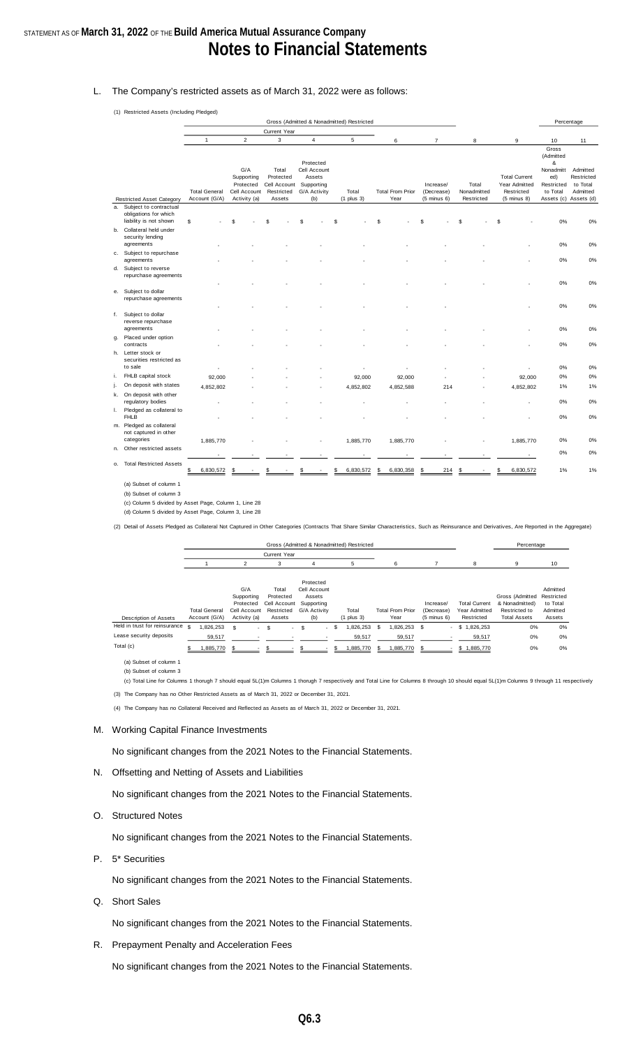## STATEMENT AS OF **March 31, 2022** OF THE **Build America Mutual Assurance Company Notes to Financial Statements**

#### L. The Company's restricted assets as of March 31, 2022 were as follows:

(1) Restricted Assets (Including Pledged)

|    |                                                                              |                                       |                                                                |                                                            |                                                                          | Gross (Admitted & Nonadmitted) Restricted |                                 |                                                   |                                    |                                                                        |                                                                                     | Percentage                                                   |
|----|------------------------------------------------------------------------------|---------------------------------------|----------------------------------------------------------------|------------------------------------------------------------|--------------------------------------------------------------------------|-------------------------------------------|---------------------------------|---------------------------------------------------|------------------------------------|------------------------------------------------------------------------|-------------------------------------------------------------------------------------|--------------------------------------------------------------|
|    |                                                                              |                                       |                                                                | Current Year                                               |                                                                          |                                           |                                 |                                                   |                                    |                                                                        |                                                                                     |                                                              |
|    |                                                                              | $\mathbf{1}$                          | $\overline{c}$                                                 | 3                                                          | $\overline{4}$                                                           | 5                                         | 6                               | $\overline{7}$                                    | 8                                  | 9                                                                      | 10                                                                                  | 11                                                           |
|    | <b>Restricted Asset Category</b>                                             | <b>Total General</b><br>Account (G/A) | G/A<br>Supporting<br>Protected<br>Cell Account<br>Activity (a) | Total<br>Protected<br>Cell Account<br>Restricted<br>Assets | Protected<br>Cell Account<br>Assets<br>Supporting<br>G/A Activity<br>(b) | Total<br>$(1$ plus $3)$                   | <b>Total From Prior</b><br>Year | Increase/<br>(Decrease)<br>$(5 \text{ minus } 6)$ | Total<br>Nonadmitted<br>Restricted | <b>Total Current</b><br>Year Admitted<br>Restricted<br>$(5$ minus $8)$ | Gross<br>(Admitted<br>&<br>Nonadmitt<br>ed)<br>Restricted<br>to Total<br>Assets (c) | Admitted<br>Restricted<br>to Total<br>Admitted<br>Assets (d) |
|    | a. Subject to contractual<br>obligations for which<br>liability is not shown | \$                                    |                                                                |                                                            |                                                                          | \$.                                       | £.                              |                                                   | £.                                 | \$.                                                                    | 0%                                                                                  | 0%                                                           |
|    | b. Collateral held under<br>security lending<br>agreements                   |                                       |                                                                |                                                            |                                                                          |                                           |                                 |                                                   |                                    |                                                                        | 0%                                                                                  | 0%                                                           |
|    | c. Subject to repurchase                                                     |                                       |                                                                |                                                            |                                                                          |                                           |                                 |                                                   |                                    |                                                                        |                                                                                     |                                                              |
|    | agreements<br>d. Subject to reverse<br>repurchase agreements                 |                                       |                                                                |                                                            |                                                                          |                                           |                                 |                                                   |                                    |                                                                        | 0%                                                                                  | 0%                                                           |
|    |                                                                              |                                       |                                                                |                                                            |                                                                          |                                           |                                 |                                                   |                                    |                                                                        | 0%                                                                                  | 0%                                                           |
|    | e. Subject to dollar<br>repurchase agreements                                |                                       |                                                                |                                                            |                                                                          |                                           |                                 |                                                   |                                    |                                                                        | 0%                                                                                  | 0%                                                           |
|    | f. Subject to dollar<br>reverse repurchase                                   |                                       |                                                                |                                                            |                                                                          |                                           |                                 |                                                   |                                    |                                                                        |                                                                                     |                                                              |
|    | agreements                                                                   |                                       |                                                                |                                                            |                                                                          |                                           |                                 |                                                   |                                    |                                                                        | 0%                                                                                  | 0%                                                           |
| g. | Placed under option<br>contracts                                             |                                       |                                                                |                                                            |                                                                          |                                           |                                 |                                                   |                                    |                                                                        | 0%                                                                                  | 0%                                                           |
|    | h. Letter stock or<br>securities restricted as<br>to sale                    |                                       |                                                                |                                                            |                                                                          |                                           |                                 |                                                   |                                    |                                                                        |                                                                                     |                                                              |
| i. | FHLB capital stock                                                           |                                       |                                                                |                                                            |                                                                          |                                           |                                 |                                                   |                                    |                                                                        | 0%<br>0%                                                                            | 0%<br>0%                                                     |
| j. | On deposit with states                                                       | 92,000<br>4,852,802                   |                                                                |                                                            |                                                                          | 92,000                                    | 92,000<br>4,852,588             | 214                                               |                                    | 92,000<br>4,852,802                                                    | 1%                                                                                  | 1%                                                           |
|    | k. On deposit with other<br>regulatory bodies                                |                                       |                                                                |                                                            |                                                                          | 4,852,802                                 |                                 |                                                   |                                    |                                                                        | 0%                                                                                  | 0%                                                           |
| L. | Pledged as collateral to<br><b>FHLB</b>                                      |                                       |                                                                |                                                            |                                                                          |                                           |                                 |                                                   |                                    |                                                                        | 0%                                                                                  | 0%                                                           |
|    | m. Pledged as collateral<br>not captured in other                            |                                       |                                                                |                                                            |                                                                          |                                           |                                 |                                                   |                                    |                                                                        |                                                                                     |                                                              |
|    | categories<br>n. Other restricted assets                                     | 1,885,770                             |                                                                |                                                            |                                                                          | 1,885,770                                 | 1,885,770                       |                                                   |                                    | 1,885,770                                                              | 0%                                                                                  | 0%                                                           |
|    |                                                                              |                                       |                                                                |                                                            |                                                                          |                                           |                                 |                                                   |                                    |                                                                        | 0%                                                                                  | 0%                                                           |
| 0. | <b>Total Restricted Assets</b>                                               | \$<br>6,830,572                       |                                                                |                                                            |                                                                          | 6,830,572                                 | 6,830,358<br>S                  | 214                                               | \$                                 | 6,830,572<br>S                                                         | 1%                                                                                  | 1%                                                           |

(a) Subset of column 1

(b) Subset of column 3

(d) Column 5 divided by Asset Page, Column 3, Line 28 (c) Column 5 divided by Asset Page, Column 1, Line 28

(2) Detail of Assets Pledged as Collateral Not Captured in Other Categories (Contracts That Share Similar Characteristics, Such as Reinsurance and Derivatives, Are Reported in the Aggregate)

|                                 |                      |                |                          |   |                     |     |              |      |      | Gross (Admitted & Nonadmitted) Restricted |     |                         |      |                        |                          |                      |                 | Percentage          |            |    |
|---------------------------------|----------------------|----------------|--------------------------|---|---------------------|-----|--------------|------|------|-------------------------------------------|-----|-------------------------|------|------------------------|--------------------------|----------------------|-----------------|---------------------|------------|----|
|                                 |                      |                |                          |   | <b>Current Year</b> |     |              |      |      |                                           |     |                         |      |                        |                          |                      |                 |                     |            |    |
|                                 |                      | $\mathfrak{p}$ |                          |   | 3                   |     |              |      |      | h                                         |     | 6                       |      |                        |                          | 8                    | 9               |                     | 10         |    |
|                                 |                      |                |                          |   |                     |     |              |      |      |                                           |     |                         |      |                        |                          |                      |                 |                     |            |    |
|                                 |                      |                |                          |   |                     |     | Protected    |      |      |                                           |     |                         |      |                        |                          |                      |                 |                     |            |    |
|                                 |                      | G/A            |                          |   | Total               |     | Cell Account |      |      |                                           |     |                         |      |                        |                          |                      |                 |                     | Admitted   |    |
|                                 |                      | Supporting     |                          |   | Protected           |     | Assets       |      |      |                                           |     |                         |      |                        |                          |                      | Gross (Admitted |                     | Restricted |    |
|                                 |                      | Protected      |                          |   | Cell Account        |     | Supporting   |      |      |                                           |     |                         |      | Increase/              |                          | <b>Total Current</b> | & Nonadmitted)  |                     | to Total   |    |
|                                 | <b>Total General</b> | Cell Account   |                          |   | Restricted          |     | G/A Activity |      |      | Total                                     |     | <b>Total From Prior</b> |      | (Decrease)             |                          | Year Admitted        | Restricted to   |                     | Admitted   |    |
| <b>Description of Assets</b>    | Account (G/A)        | Activity (a)   |                          |   | Assets              |     | (b)          |      |      | $(1$ plus $3)$                            |     | Year                    |      | $(5 \text{ minus } 6)$ |                          | Restricted           |                 | <b>Total Assets</b> | Assets     |    |
| Held in trust for reinsurance s | ,826,253             | \$.            | $\overline{\phantom{a}}$ | S | $\sim$              | -S  |              | - \$ |      | ,826,253                                  | \$. | 1,826,253               | - \$ |                        | $\overline{\phantom{a}}$ | \$1,826,253          |                 | 0%                  |            | 0% |
| Lease security deposits         | 59,517               |                |                          |   |                     |     |              |      |      | 59,517                                    |     | 59,517                  |      |                        |                          | 59,517               |                 | 0%                  |            | 0% |
| Total (c)                       | 1,885,770            | -S             |                          |   |                     | \$. |              |      | Э'n, | 1,885,770                                 | £.  | 1,885,770               | -S   |                        |                          | \$1,885,770          |                 | 0%                  |            | 0% |

(b) Subset of column 3 (a) Subset of column 1

(c) Total Line for Columns 1 thorugh 7 should equal 5L(1)m Columns 1 thorugh 7 respectively and Total Line for Columns 8 through 10 should equal 5L(1)m Columns 9 through 11 respectively

(3) The Company has no Other Restricted Assets as of March 31, 2022 or December 31, 2021.

(4) The Company has no Collateral Received and Reflected as Assets as of March 31, 2022 or December 31, 2021.

#### M. Working Capital Finance Investments

No significant changes from the 2021 Notes to the Financial Statements.

N. Offsetting and Netting of Assets and Liabilities

No significant changes from the 2021 Notes to the Financial Statements.

O. Structured Notes

No significant changes from the 2021 Notes to the Financial Statements.

P. 5\* Securities

No significant changes from the 2021 Notes to the Financial Statements.

Q. Short Sales

No significant changes from the 2021 Notes to the Financial Statements.

R. Prepayment Penalty and Acceleration Fees

No significant changes from the 2021 Notes to the Financial Statements.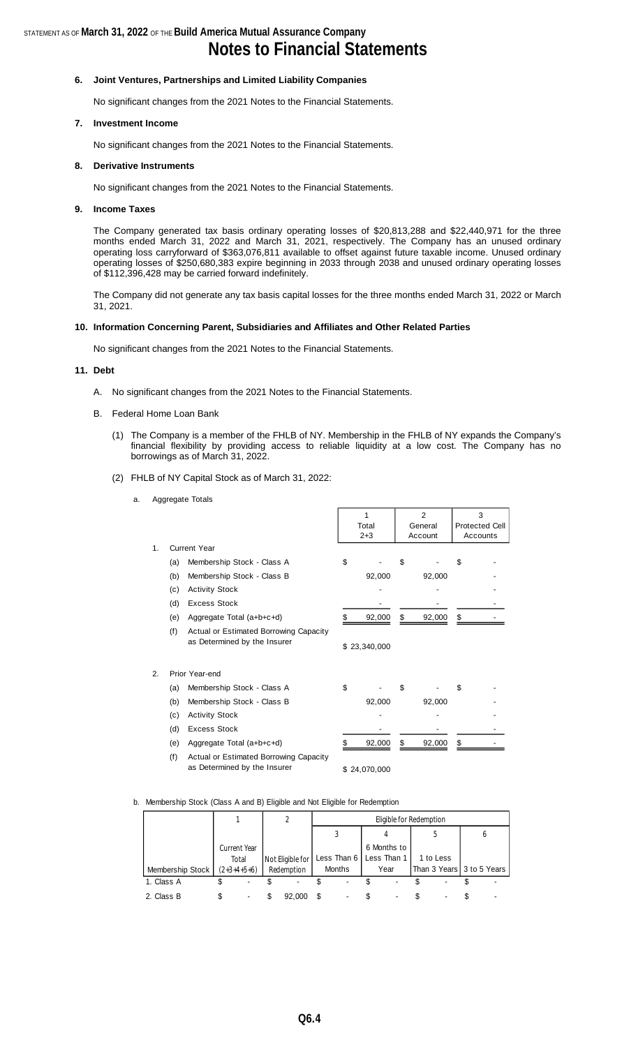#### **6. Joint Ventures, Partnerships and Limited Liability Companies**

No significant changes from the 2021 Notes to the Financial Statements.

#### **7. Investment Income**

No significant changes from the 2021 Notes to the Financial Statements.

#### **8. Derivative Instruments**

No significant changes from the 2021 Notes to the Financial Statements.

#### **9. Income Taxes**

The Company generated tax basis ordinary operating losses of \$20,813,288 and \$22,440,971 for the three months ended March 31, 2022 and March 31, 2021, respectively. The Company has an unused ordinary operating loss carryforward of \$363,076,811 available to offset against future taxable income. Unused ordinary operating losses of \$250,680,383 expire beginning in 2033 through 2038 and unused ordinary operating losses of \$112,396,428 may be carried forward indefinitely.

The Company did not generate any tax basis capital losses for the three months ended March 31, 2022 or March 31, 2021.

#### **10. Information Concerning Parent, Subsidiaries and Affiliates and Other Related Parties**

No significant changes from the 2021 Notes to the Financial Statements.

#### **11. Debt**

- A. No significant changes from the 2021 Notes to the Financial Statements.
- B. Federal Home Loan Bank
	- (1) The Company is a member of the FHLB of NY. Membership in the FHLB of NY expands the Company's financial flexibility by providing access to reliable liquidity at a low cost. The Company has no borrowings as of March 31, 2022.

 $\overline{2}$ 

3

(2) FHLB of NY Capital Stock as of March 31, 2022:

| a. Aggregate Totals |
|---------------------|
|                     |

|    |     |                                                                        |    | 1            | 2            | 3  |                       |  |
|----|-----|------------------------------------------------------------------------|----|--------------|--------------|----|-----------------------|--|
|    |     |                                                                        |    | Total        | General      |    | <b>Protected Cell</b> |  |
|    |     |                                                                        |    | $2 + 3$      | Account      |    | Accounts              |  |
| 1. |     | <b>Current Year</b>                                                    |    |              |              |    |                       |  |
|    | (a) | Membership Stock - Class A                                             | \$ |              | \$           | \$ |                       |  |
|    | (b) | Membership Stock - Class B                                             |    | 92,000       | 92,000       |    |                       |  |
|    | (c) | <b>Activity Stock</b>                                                  |    |              |              |    |                       |  |
|    | (d) | <b>Excess Stock</b>                                                    |    |              |              |    |                       |  |
|    | (e) | Aggregate Total (a+b+c+d)                                              |    | 92,000       | \$<br>92,000 | \$ |                       |  |
|    | (f) | Actual or Estimated Borrowing Capacity<br>as Determined by the Insurer |    | \$23,340,000 |              |    |                       |  |
| 2. |     | Prior Year-end                                                         |    |              |              |    |                       |  |
|    | (a) | Membership Stock - Class A                                             | \$ |              | \$           | \$ |                       |  |
|    | (b) | Membership Stock - Class B                                             |    | 92,000       | 92,000       |    |                       |  |
|    | (c) | <b>Activity Stock</b>                                                  |    |              |              |    |                       |  |
|    | (d) | <b>Excess Stock</b>                                                    |    |              |              |    |                       |  |
|    | (e) | Aggregate Total (a+b+c+d)                                              | S  | 92,000       | \$<br>92,000 | \$ |                       |  |
|    | (f) | Actual or Estimated Borrowing Capacity<br>as Determined by the Insurer |    | \$24,070,000 |              |    |                       |  |

#### b. Membership Stock (Class A and B) Eligible and Not Eligible for Redemption

|                  |                     |                  |    | Eligible for Redemption |  |             |  |                           |  |   |  |  |
|------------------|---------------------|------------------|----|-------------------------|--|-------------|--|---------------------------|--|---|--|--|
|                  |                     |                  |    |                         |  |             |  |                           |  | o |  |  |
|                  | <b>Current Year</b> |                  |    |                         |  | 6 Months to |  |                           |  |   |  |  |
|                  | Total               | Not Eligible for |    | Less Than 6             |  | Less Than 1 |  | 1 to Less                 |  |   |  |  |
| Membership Stock | $(2+3+4+5+6)$       | Redemption       |    | Months                  |  | Year        |  | Than 3 Years 3 to 5 Years |  |   |  |  |
| 1. Class A       |                     |                  |    |                         |  |             |  |                           |  |   |  |  |
| 2. Class B       |                     | 92,000           | £. |                         |  |             |  |                           |  |   |  |  |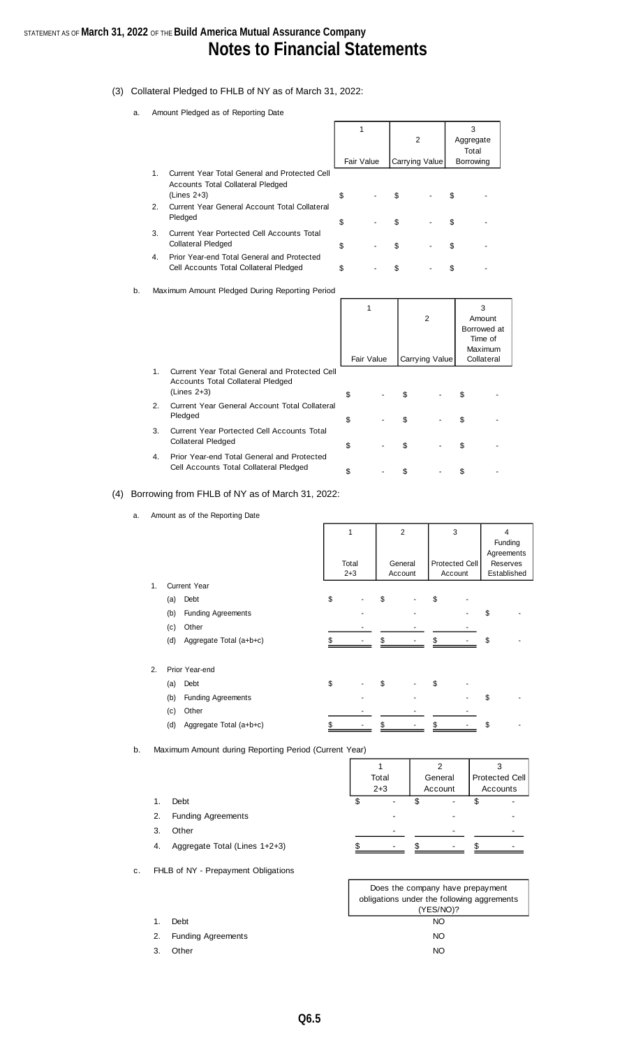## STATEMENT AS OF **March 31, 2022** OF THE **Build America Mutual Assurance Company Notes to Financial Statements**

- (3) Collateral Pledged to FHLB of NY as of March 31, 2022:
	- a. Amount Pledged as of Reporting Date

1.

2.

3.

4.

|                                                                                                   | Fair Value | $\overline{2}$<br>Carrying Value | 3<br>Aggregate<br>Total<br>Borrowing |  |
|---------------------------------------------------------------------------------------------------|------------|----------------------------------|--------------------------------------|--|
| Current Year Total General and Protected Cell<br>Accounts Total Collateral Pledged<br>(Lines 2+3) | \$         | \$                               | \$                                   |  |
| Current Year General Account Total Collateral<br>Pledged                                          | \$         | \$                               | \$                                   |  |
| Current Year Portected Cell Accounts Total<br>Collateral Pledged                                  | \$         | \$                               | \$                                   |  |
| Prior Year-end Total General and Protected<br>Cell Accounts Total Collateral Pledged              | \$         | \$                               | S                                    |  |

b. Maximum Amount Pledged During Reporting Period

|    |                                                                                                     | 1<br>Fair Value | 2<br>Carrying Value |    | 3<br>Amount<br>Borrowed at<br>Time of<br>Maximum<br>Collateral |
|----|-----------------------------------------------------------------------------------------------------|-----------------|---------------------|----|----------------------------------------------------------------|
| 1. | Current Year Total General and Protected Cell<br>Accounts Total Collateral Pledged<br>$(Lines 2+3)$ | \$              | \$                  | \$ |                                                                |
| 2. | Current Year General Account Total Collateral<br>Pledged                                            | \$              | \$                  | \$ |                                                                |
| 3. | Current Year Portected Cell Accounts Total<br><b>Collateral Pledged</b>                             | \$              | \$                  | \$ |                                                                |
| 4. | Prior Year-end Total General and Protected<br>Cell Accounts Total Collateral Pledged                | \$              | \$                  | S  |                                                                |

#### (4) Borrowing from FHLB of NY as of March 31, 2022:

a. Amount as of the Reporting Date

|    |                                  | 1<br>Total<br>$2 + 3$ | $\overline{2}$<br>General<br>Account | 3<br>Protected Cell<br>Account | 4<br>Funding<br>Agreements<br>Reserves<br>Established |  |
|----|----------------------------------|-----------------------|--------------------------------------|--------------------------------|-------------------------------------------------------|--|
| 1. | <b>Current Year</b>              |                       |                                      |                                |                                                       |  |
|    | Debt<br>(a)                      | \$                    | \$                                   | \$                             |                                                       |  |
|    | <b>Funding Agreements</b><br>(b) |                       |                                      |                                | \$                                                    |  |
|    | Other<br>(c)                     |                       |                                      |                                |                                                       |  |
|    | (d)<br>Aggregate Total (a+b+c)   |                       |                                      |                                | \$                                                    |  |
| 2. | Prior Year-end                   |                       |                                      |                                |                                                       |  |
|    | (a)<br>Debt                      | \$                    | \$                                   | \$                             |                                                       |  |
|    | <b>Funding Agreements</b><br>(b) |                       |                                      |                                | \$                                                    |  |
|    | Other<br>(c)                     |                       |                                      |                                |                                                       |  |
|    | (d)<br>Aggregate Total (a+b+c)   |                       |                                      |                                | \$                                                    |  |

b. Maximum Amount during Reporting Period (Current Year)

|    |                               |   | Total<br>$2 + 3$ | General<br>Account | Protected Cell<br>Accounts |
|----|-------------------------------|---|------------------|--------------------|----------------------------|
| 1. | Debt                          | œ |                  |                    |                            |
| 2. | <b>Funding Agreements</b>     |   |                  |                    |                            |
| 3. | Other                         |   |                  |                    |                            |
| 4. | Aggregate Total (Lines 1+2+3) |   | $\blacksquare$   |                    |                            |

c. FHLB of NY - Prepayment Obligations

2. Funding Agreements

1. Debt

3. Other

| Does the company have prepayment           |  |  |  |  |  |  |  |
|--------------------------------------------|--|--|--|--|--|--|--|
| obligations under the following aggrements |  |  |  |  |  |  |  |
| (YES/NO)?                                  |  |  |  |  |  |  |  |
| NΟ                                         |  |  |  |  |  |  |  |
| NO.                                        |  |  |  |  |  |  |  |
| NΩ                                         |  |  |  |  |  |  |  |

٦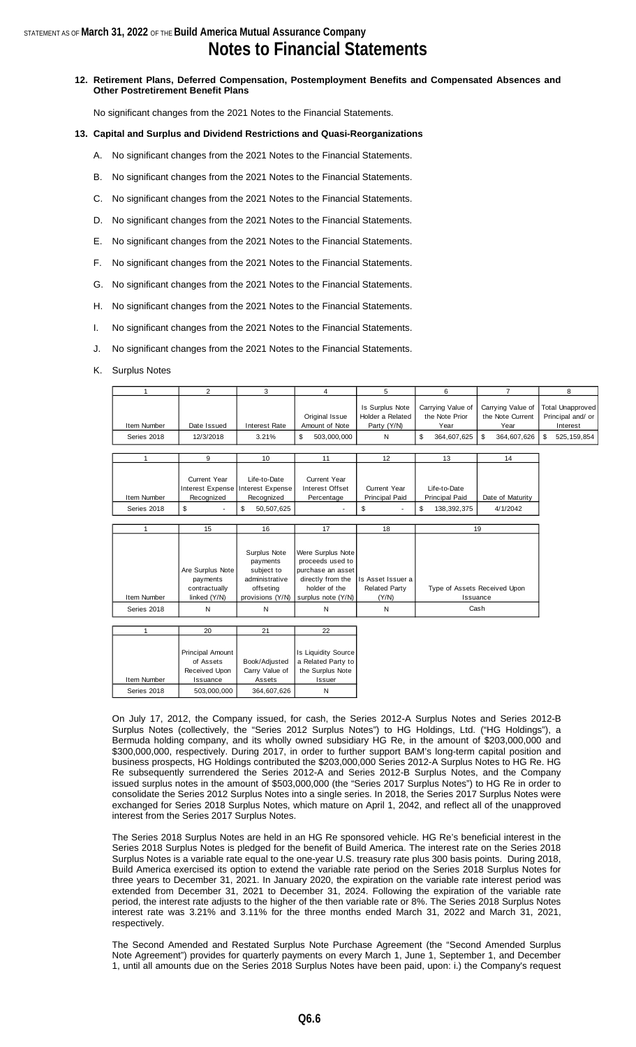## **Notes to Financial Statements**

**12. Retirement Plans, Deferred Compensation, Postemployment Benefits and Compensated Absences and Other Postretirement Benefit Plans**

No significant changes from the 2021 Notes to the Financial Statements.

#### **13. Capital and Surplus and Dividend Restrictions and Quasi-Reorganizations**

- A. No significant changes from the 2021 Notes to the Financial Statements.
- B. No significant changes from the 2021 Notes to the Financial Statements.
- C. No significant changes from the 2021 Notes to the Financial Statements.
- D. No significant changes from the 2021 Notes to the Financial Statements.
- E. No significant changes from the 2021 Notes to the Financial Statements.
- F. No significant changes from the 2021 Notes to the Financial Statements.
- G. No significant changes from the 2021 Notes to the Financial Statements.
- H. No significant changes from the 2021 Notes to the Financial Statements.
- I. No significant changes from the 2021 Notes to the Financial Statements.
- J. No significant changes from the 2021 Notes to the Financial Statements.
- K. Surplus Notes

| 1                          | 2                                                                                              | 3                                                                                         | 4                                                                                                                      | 5                                                       | 6                                                                | $\overline{7}$                                                     | 8                                                                               |
|----------------------------|------------------------------------------------------------------------------------------------|-------------------------------------------------------------------------------------------|------------------------------------------------------------------------------------------------------------------------|---------------------------------------------------------|------------------------------------------------------------------|--------------------------------------------------------------------|---------------------------------------------------------------------------------|
| Item Number<br>Series 2018 | Date Issued<br>12/3/2018                                                                       | <b>Interest Rate</b><br>3.21%                                                             | Original Issue<br>Amount of Note<br>\$<br>503,000,000                                                                  | Is Surplus Note<br>Holder a Related<br>Party (Y/N)<br>N | Carrying Value of<br>the Note Prior<br>Year<br>\$<br>364,607,625 | Carrying Value of<br>the Note Current<br>Year<br>\$<br>364,607,626 | <b>Total Unapproved</b><br>Principal and/ or<br>Interest<br>\$<br>525, 159, 854 |
|                            |                                                                                                |                                                                                           |                                                                                                                        |                                                         |                                                                  |                                                                    |                                                                                 |
| 1                          | 9                                                                                              | 10                                                                                        | 11                                                                                                                     | 12                                                      | 13                                                               | 14                                                                 |                                                                                 |
| Item Number<br>Series 2018 | <b>Current Year</b><br>Interest Expense Interest Expense<br>Recognized<br>\$<br>$\overline{a}$ | Life-to-Date<br>Recognized<br>\$<br>50,507,625                                            | <b>Current Year</b><br>Interest Offset<br>Percentage<br>٠                                                              | <b>Current Year</b><br><b>Principal Paid</b><br>\$      | Life-to-Date<br>Principal Paid<br>\$<br>138, 392, 375            | Date of Maturity<br>4/1/2042                                       |                                                                                 |
|                            |                                                                                                |                                                                                           |                                                                                                                        |                                                         |                                                                  |                                                                    |                                                                                 |
| 1                          | 15                                                                                             | 16                                                                                        | 17                                                                                                                     | 18                                                      |                                                                  | 19                                                                 |                                                                                 |
| Item Number                | Are Surplus Note<br>payments<br>contractually<br>linked (Y/N)                                  | Surplus Note<br>payments<br>subject to<br>administrative<br>offseting<br>provisions (Y/N) | Were Surplus Note<br>proceeds used to<br>purchase an asset<br>directly from the<br>holder of the<br>surplus note (Y/N) | Is Asset Issuer a<br><b>Related Party</b><br>(Y/N)      |                                                                  | Type of Assets Received Upon<br>Issuance                           |                                                                                 |
| Series 2018                | N                                                                                              | N                                                                                         | N                                                                                                                      | N                                                       |                                                                  | Cash                                                               |                                                                                 |
|                            |                                                                                                |                                                                                           |                                                                                                                        |                                                         |                                                                  |                                                                    |                                                                                 |
| 1                          | 20                                                                                             | 21                                                                                        | 22                                                                                                                     |                                                         |                                                                  |                                                                    |                                                                                 |
| Item Number<br>Series 2018 | Principal Amount<br>of Assets<br>Received Upon<br>Issuance<br>503,000,000                      | Book/Adjusted<br>Carry Value of<br>Assets<br>364,607,626                                  | <b>Is Liquidity Source</b><br>a Related Party to<br>the Surplus Note<br>Issuer<br>N                                    |                                                         |                                                                  |                                                                    |                                                                                 |

On July 17, 2012, the Company issued, for cash, the Series 2012-A Surplus Notes and Series 2012-B Surplus Notes (collectively, the "Series 2012 Surplus Notes") to HG Holdings, Ltd. ("HG Holdings"), a Bermuda holding company, and its wholly owned subsidiary HG Re, in the amount of \$203,000,000 and \$300,000,000, respectively. During 2017, in order to further support BAM's long-term capital position and business prospects, HG Holdings contributed the \$203,000,000 Series 2012-A Surplus Notes to HG Re. HG Re subsequently surrendered the Series 2012-A and Series 2012-B Surplus Notes, and the Company issued surplus notes in the amount of \$503,000,000 (the "Series 2017 Surplus Notes") to HG Re in order to consolidate the Series 2012 Surplus Notes into a single series. In 2018, the Series 2017 Surplus Notes were exchanged for Series 2018 Surplus Notes, which mature on April 1, 2042, and reflect all of the unapproved interest from the Series 2017 Surplus Notes.

The Series 2018 Surplus Notes are held in an HG Re sponsored vehicle. HG Re's beneficial interest in the Series 2018 Surplus Notes is pledged for the benefit of Build America. The interest rate on the Series 2018 Surplus Notes is a variable rate equal to the one-year U.S. treasury rate plus 300 basis points. During 2018, Build America exercised its option to extend the variable rate period on the Series 2018 Surplus Notes for three years to December 31, 2021. In January 2020, the expiration on the variable rate interest period was extended from December 31, 2021 to December 31, 2024. Following the expiration of the variable rate period, the interest rate adjusts to the higher of the then variable rate or 8%. The Series 2018 Surplus Notes interest rate was 3.21% and 3.11% for the three months ended March 31, 2022 and March 31, 2021, respectively.

The Second Amended and Restated Surplus Note Purchase Agreement (the "Second Amended Surplus Note Agreement") provides for quarterly payments on every March 1, June 1, September 1, and December 1, until all amounts due on the Series 2018 Surplus Notes have been paid, upon: i.) the Company's request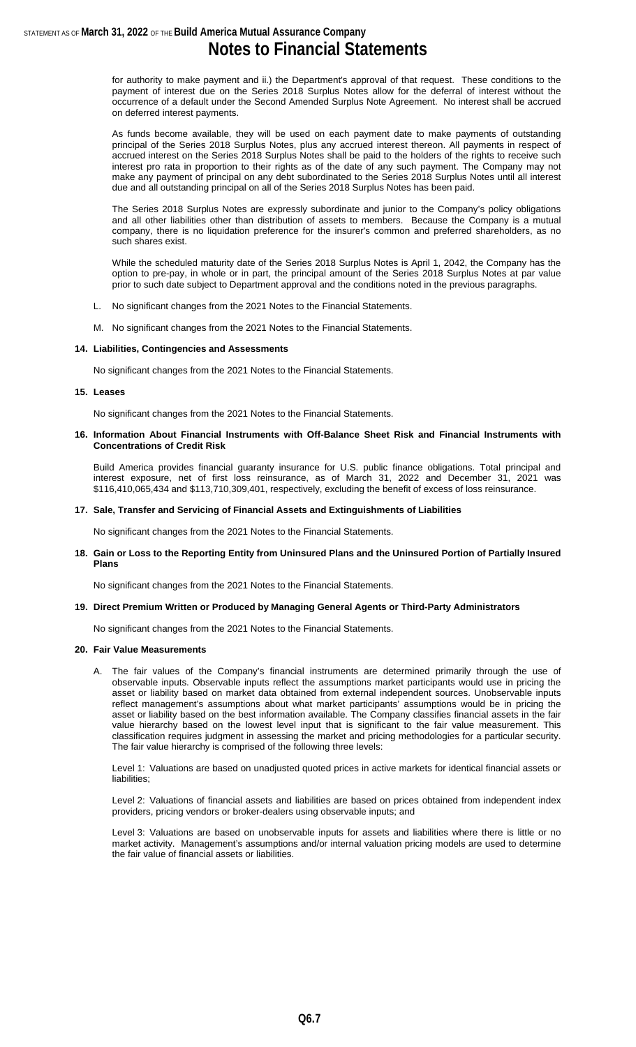for authority to make payment and ii.) the Department's approval of that request. These conditions to the payment of interest due on the Series 2018 Surplus Notes allow for the deferral of interest without the occurrence of a default under the Second Amended Surplus Note Agreement. No interest shall be accrued on deferred interest payments.

As funds become available, they will be used on each payment date to make payments of outstanding principal of the Series 2018 Surplus Notes, plus any accrued interest thereon. All payments in respect of accrued interest on the Series 2018 Surplus Notes shall be paid to the holders of the rights to receive such interest pro rata in proportion to their rights as of the date of any such payment. The Company may not make any payment of principal on any debt subordinated to the Series 2018 Surplus Notes until all interest due and all outstanding principal on all of the Series 2018 Surplus Notes has been paid.

The Series 2018 Surplus Notes are expressly subordinate and junior to the Company's policy obligations and all other liabilities other than distribution of assets to members. Because the Company is a mutual company, there is no liquidation preference for the insurer's common and preferred shareholders, as no such shares exist.

While the scheduled maturity date of the Series 2018 Surplus Notes is April 1, 2042, the Company has the option to pre-pay, in whole or in part, the principal amount of the Series 2018 Surplus Notes at par value prior to such date subject to Department approval and the conditions noted in the previous paragraphs.

- L. No significant changes from the 2021 Notes to the Financial Statements.
- M. No significant changes from the 2021 Notes to the Financial Statements.

#### **14. Liabilities, Contingencies and Assessments**

No significant changes from the 2021 Notes to the Financial Statements.

#### **15. Leases**

No significant changes from the 2021 Notes to the Financial Statements.

**16. Information About Financial Instruments with Off-Balance Sheet Risk and Financial Instruments with Concentrations of Credit Risk**

Build America provides financial guaranty insurance for U.S. public finance obligations. Total principal and interest exposure, net of first loss reinsurance, as of March 31, 2022 and December 31, 2021 was \$116,410,065,434 and \$113,710,309,401, respectively, excluding the benefit of excess of loss reinsurance.

#### **17. Sale, Transfer and Servicing of Financial Assets and Extinguishments of Liabilities**

No significant changes from the 2021 Notes to the Financial Statements.

#### **18. Gain or Loss to the Reporting Entity from Uninsured Plans and the Uninsured Portion of Partially Insured Plans**

No significant changes from the 2021 Notes to the Financial Statements.

#### **19. Direct Premium Written or Produced by Managing General Agents or Third-Party Administrators**

No significant changes from the 2021 Notes to the Financial Statements.

#### **20. Fair Value Measurements**

A. The fair values of the Company's financial instruments are determined primarily through the use of observable inputs. Observable inputs reflect the assumptions market participants would use in pricing the asset or liability based on market data obtained from external independent sources. Unobservable inputs reflect management's assumptions about what market participants' assumptions would be in pricing the asset or liability based on the best information available. The Company classifies financial assets in the fair value hierarchy based on the lowest level input that is significant to the fair value measurement. This classification requires judgment in assessing the market and pricing methodologies for a particular security. The fair value hierarchy is comprised of the following three levels:

Level 1: Valuations are based on unadjusted quoted prices in active markets for identical financial assets or liabilities;

Level 2: Valuations of financial assets and liabilities are based on prices obtained from independent index providers, pricing vendors or broker-dealers using observable inputs; and

Level 3: Valuations are based on unobservable inputs for assets and liabilities where there is little or no market activity. Management's assumptions and/or internal valuation pricing models are used to determine the fair value of financial assets or liabilities.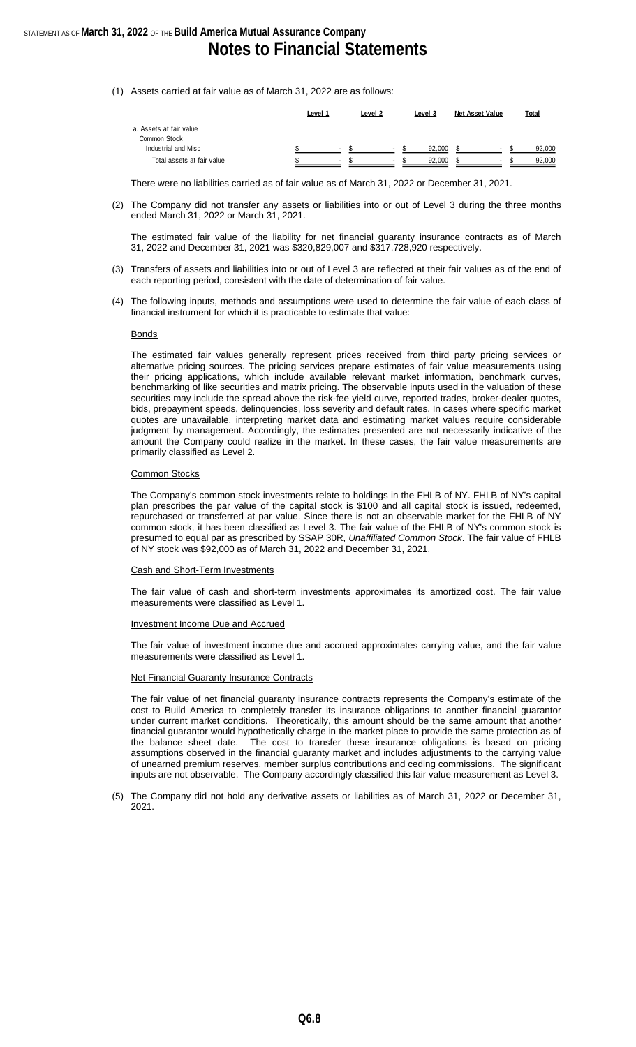(1) Assets carried at fair value as of March 31, 2022 are as follows:

|                            | Level 1 |                          | Level 2 |                          | Level 3 | Net Asset Value | Total  |
|----------------------------|---------|--------------------------|---------|--------------------------|---------|-----------------|--------|
| a. Assets at fair value    |         |                          |         |                          |         |                 |        |
| Common Stock               |         |                          |         |                          |         |                 |        |
| Industrial and Misc        |         | $\overline{\phantom{a}}$ |         | $\overline{a}$           | 92.000  |                 | 92.000 |
| Total assets at fair value |         |                          |         | $\overline{\phantom{a}}$ | 92.000  |                 | 92.000 |

There were no liabilities carried as of fair value as of March 31, 2022 or December 31, 2021.

(2) The Company did not transfer any assets or liabilities into or out of Level 3 during the three months ended March 31, 2022 or March 31, 2021.

The estimated fair value of the liability for net financial guaranty insurance contracts as of March 31, 2022 and December 31, 2021 was \$320,829,007 and \$317,728,920 respectively.

- (3) Transfers of assets and liabilities into or out of Level 3 are reflected at their fair values as of the end of each reporting period, consistent with the date of determination of fair value.
- (4) The following inputs, methods and assumptions were used to determine the fair value of each class of financial instrument for which it is practicable to estimate that value:

#### Bonds

The estimated fair values generally represent prices received from third party pricing services or alternative pricing sources. The pricing services prepare estimates of fair value measurements using their pricing applications, which include available relevant market information, benchmark curves, benchmarking of like securities and matrix pricing. The observable inputs used in the valuation of these securities may include the spread above the risk-fee yield curve, reported trades, broker-dealer quotes, bids, prepayment speeds, delinquencies, loss severity and default rates. In cases where specific market quotes are unavailable, interpreting market data and estimating market values require considerable judgment by management. Accordingly, the estimates presented are not necessarily indicative of the amount the Company could realize in the market. In these cases, the fair value measurements are primarily classified as Level 2.

#### Common Stocks

The Company's common stock investments relate to holdings in the FHLB of NY. FHLB of NY's capital plan prescribes the par value of the capital stock is \$100 and all capital stock is issued, redeemed, repurchased or transferred at par value. Since there is not an observable market for the FHLB of NY common stock, it has been classified as Level 3. The fair value of the FHLB of NY's common stock is presumed to equal par as prescribed by SSAP 30R, *Unaffiliated Common Stock*. The fair value of FHLB of NY stock was \$92,000 as of March 31, 2022 and December 31, 2021.

#### Cash and Short-Term Investments

The fair value of cash and short-term investments approximates its amortized cost. The fair value measurements were classified as Level 1.

#### Investment Income Due and Accrued

The fair value of investment income due and accrued approximates carrying value, and the fair value measurements were classified as Level 1.

#### **Net Financial Guaranty Insurance Contracts**

The fair value of net financial guaranty insurance contracts represents the Company's estimate of the cost to Build America to completely transfer its insurance obligations to another financial guarantor under current market conditions. Theoretically, this amount should be the same amount that another financial guarantor would hypothetically charge in the market place to provide the same protection as of the balance sheet date. The cost to transfer these insurance obligations is based on pricing assumptions observed in the financial guaranty market and includes adjustments to the carrying value of unearned premium reserves, member surplus contributions and ceding commissions. The significant inputs are not observable. The Company accordingly classified this fair value measurement as Level 3.

(5) The Company did not hold any derivative assets or liabilities as of March 31, 2022 or December 31, 2021.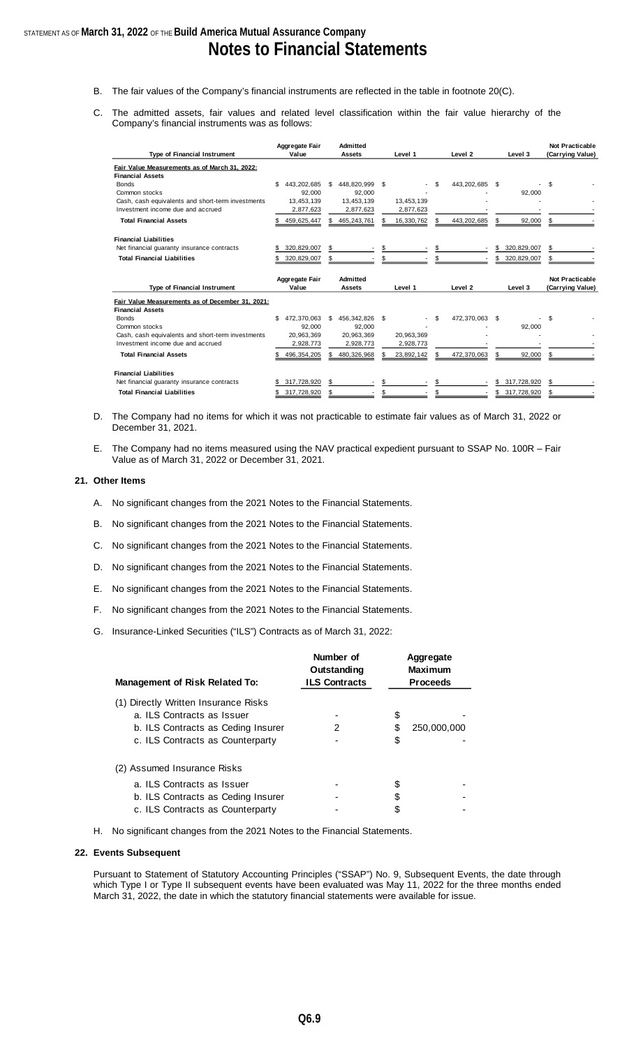- B. The fair values of the Company's financial instruments are reflected in the table in footnote 20(C).
- C. The admitted assets, fair values and related level classification within the fair value hierarchy of the Company's financial instruments was as follows:

| Type of Financial Instrument                                                | Aggregate Fair<br>Value | Admitted<br><b>Assets</b> | Level 1    | Level <sub>2</sub> | Level 3            | <b>Not Practicable</b><br>(Carrying Value) |
|-----------------------------------------------------------------------------|-------------------------|---------------------------|------------|--------------------|--------------------|--------------------------------------------|
| Fair Value Measurements as of March 31, 2022:                               |                         |                           |            |                    |                    |                                            |
| <b>Financial Assets</b>                                                     |                         |                           |            |                    |                    |                                            |
| <b>Bonds</b>                                                                | \$<br>443,202,685       | - \$<br>448,820,999       | - \$       | \$.<br>443,202,685 | \$.                | \$                                         |
| Common stocks                                                               | 92.000                  | 92,000                    |            |                    | 92,000             |                                            |
| Cash, cash equivalents and short-term investments                           | 13,453,139              | 13,453,139                | 13,453,139 |                    |                    |                                            |
| Investment income due and accrued                                           | 2,877,623               | 2,877,623                 | 2,877,623  |                    |                    |                                            |
| <b>Total Financial Assets</b>                                               | 459,625,447             | 465,243,761               | 16,330,762 | 443,202,685        | 92,000<br>\$.      | S                                          |
| <b>Financial Liabilities</b>                                                |                         |                           |            |                    |                    |                                            |
| Net financial quaranty insurance contracts                                  | 320,829,007             |                           |            | \$                 | \$<br>320,829,007  | \$                                         |
| <b>Total Financial Liabilities</b>                                          | 320,829,007             |                           |            |                    | 320,829,007<br>S   | \$                                         |
|                                                                             |                         |                           |            |                    |                    |                                            |
|                                                                             | Aggregate Fair          | Admitted                  |            |                    |                    | Not Practicable                            |
| Type of Financial Instrument                                                | Value                   | <b>Assets</b>             | Level 1    | Level <sub>2</sub> | Level 3            | (Carrying Value)                           |
| Fair Value Measurements as of December 31, 2021;<br><b>Financial Assets</b> |                         |                           |            |                    |                    |                                            |
| <b>Bonds</b>                                                                | \$<br>472,370,063       | 456,342,826 \$<br>- \$    |            | \$.<br>472,370,063 | \$.                | \$.                                        |
| Common stocks                                                               | 92,000                  | 92.000                    |            |                    | 92,000             |                                            |
| Cash, cash equivalents and short-term investments                           | 20.963.369              | 20.963.369                | 20.963.369 |                    |                    |                                            |
| Investment income due and accrued                                           | 2,928,773               | 2,928,773                 | 2,928,773  |                    |                    |                                            |
| <b>Total Financial Assets</b>                                               | 496, 354, 205           | 480,326,968               | 23,892,142 | 472,370,063        | 92,000             | \$                                         |
| <b>Financial Liabilities</b>                                                |                         |                           |            |                    |                    |                                            |
| Net financial guaranty insurance contracts                                  | 317,728,920             | \$.                       |            |                    | 317,728,920<br>\$. | \$                                         |

- D. The Company had no items for which it was not practicable to estimate fair values as of March 31, 2022 or December 31, 2021.
- E. The Company had no items measured using the NAV practical expedient pursuant to SSAP No. 100R Fair Value as of March 31, 2022 or December 31, 2021.

#### **21. Other Items**

- A. No significant changes from the 2021 Notes to the Financial Statements.
- B. No significant changes from the 2021 Notes to the Financial Statements.
- C. No significant changes from the 2021 Notes to the Financial Statements.
- D. No significant changes from the 2021 Notes to the Financial Statements.
- E. No significant changes from the 2021 Notes to the Financial Statements.
- F. No significant changes from the 2021 Notes to the Financial Statements.
- G. Insurance-Linked Securities ("ILS") Contracts as of March 31, 2022:

| <b>Management of Risk Related To:</b>                              | Number of<br>Outstanding<br><b>ILS Contracts</b> |    | Aggregate<br><b>Maximum</b><br><b>Proceeds</b> |
|--------------------------------------------------------------------|--------------------------------------------------|----|------------------------------------------------|
| (1) Directly Written Insurance Risks<br>a. ILS Contracts as Issuer |                                                  | \$ |                                                |
| b. ILS Contracts as Ceding Insurer                                 | 2                                                | S  | 250,000,000                                    |
| c. ILS Contracts as Counterparty                                   |                                                  | \$ |                                                |
| (2) Assumed Insurance Risks                                        |                                                  |    |                                                |
| a. ILS Contracts as Issuer                                         |                                                  |    |                                                |
| b. ILS Contracts as Ceding Insurer                                 |                                                  |    |                                                |
| c. ILS Contracts as Counterparty                                   |                                                  | S  |                                                |

H. No significant changes from the 2021 Notes to the Financial Statements.

#### **22. Events Subsequent**

Pursuant to Statement of Statutory Accounting Principles ("SSAP") No. 9, Subsequent Events, the date through which Type I or Type II subsequent events have been evaluated was May 11, 2022 for the three months ended March 31, 2022, the date in which the statutory financial statements were available for issue.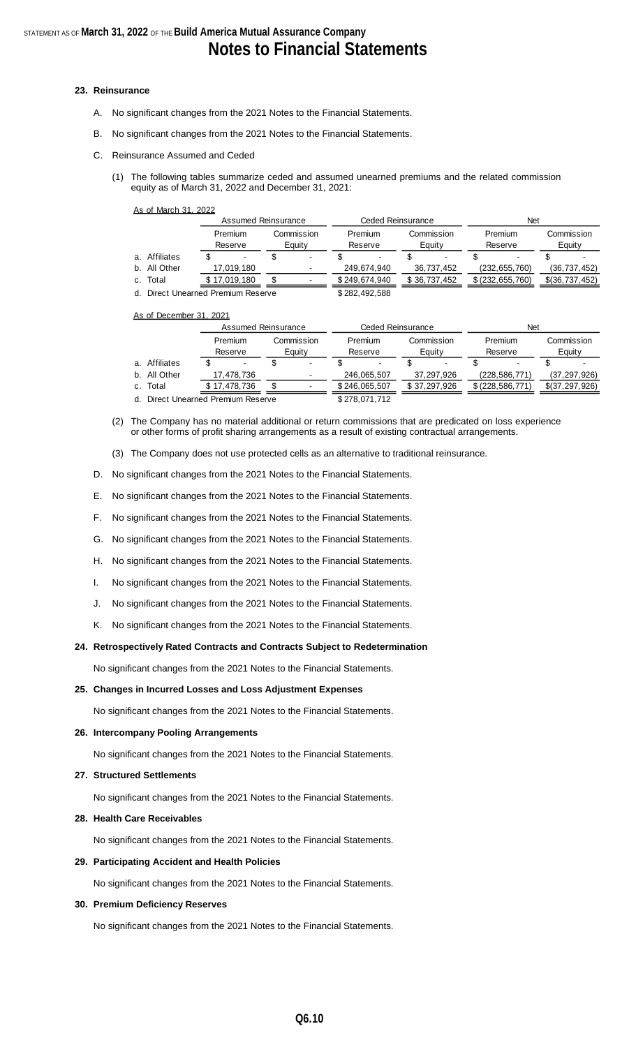#### **23. Reinsurance**

- A. No significant changes from the 2021 Notes to the Financial Statements.
- B. No significant changes from the 2021 Notes to the Financial Statements.
- C. Reinsurance Assumed and Ceded
	- (1) The following tables summarize ceded and assumed unearned premiums and the related commission equity as of March 31, 2022 and December 31, 2021:

|  |  | As of March 31, 2022 |  |  |
|--|--|----------------------|--|--|
|--|--|----------------------|--|--|

|  |                                    | Assumed Reinsurance |              |                      |                | Ceded Reinsurance  |               |                      | Net          |                    |                    |                      |                |
|--|------------------------------------|---------------------|--------------|----------------------|----------------|--------------------|---------------|----------------------|--------------|--------------------|--------------------|----------------------|----------------|
|  |                                    | Premium<br>Reserve  |              | Commission<br>Eauity |                | Premium<br>Reserve |               | Commission<br>Eauity |              | Premium<br>Reserve |                    | Commission<br>Equity |                |
|  | a. Affiliates                      |                     |              |                      | $\blacksquare$ |                    |               |                      |              |                    |                    |                      |                |
|  | b. All Other                       |                     | 17,019,180   |                      | ۰              |                    | 249.674.940   |                      | 36,737,452   |                    | (232, 655, 760)    |                      | (36, 737, 452) |
|  | c. Total                           |                     | \$17,019,180 |                      |                |                    | \$249,674,940 |                      | \$36,737,452 |                    | \$ (232, 655, 760) |                      | \$(36,737,452) |
|  | d. Direct Unearned Premium Reserve |                     |              |                      |                | \$282,492,588      |               |                      |              |                    |                    |                      |                |

As of December 31, 2021

|  |                                    |                    | Assumed Reinsurance |                      |  | Ceded Reinsurance  |               | Net                  |              |                    |                    |                      |                |
|--|------------------------------------|--------------------|---------------------|----------------------|--|--------------------|---------------|----------------------|--------------|--------------------|--------------------|----------------------|----------------|
|  |                                    | Premium<br>Reserve |                     | Commission<br>Equity |  | Premium<br>Reserve |               | Commission<br>Equity |              | Premium<br>Reserve |                    | Commission<br>Equity |                |
|  | a. Affiliates                      |                    |                     |                      |  |                    |               |                      |              |                    |                    |                      |                |
|  | b. All Other                       |                    | 17,478,736          |                      |  |                    | 246,065,507   |                      | 37,297,926   |                    | (228, 586, 771)    |                      | (37, 297, 926) |
|  | c. Total                           |                    | \$17,478,736        |                      |  |                    | \$246,065,507 |                      | \$37,297,926 |                    | \$ (228, 586, 771) |                      | \$(37,297,926) |
|  | d. Direct Unearned Premium Reserve |                    |                     |                      |  |                    | \$278,071,712 |                      |              |                    |                    |                      |                |

- (2) The Company has no material additional or return commissions that are predicated on loss experience or other forms of profit sharing arrangements as a result of existing contractual arrangements.
- (3) The Company does not use protected cells as an alternative to traditional reinsurance.
- D. No significant changes from the 2021 Notes to the Financial Statements.
- E. No significant changes from the 2021 Notes to the Financial Statements.
- F. No significant changes from the 2021 Notes to the Financial Statements.
- G. No significant changes from the 2021 Notes to the Financial Statements.
- H. No significant changes from the 2021 Notes to the Financial Statements.
- I. No significant changes from the 2021 Notes to the Financial Statements.
- J. No significant changes from the 2021 Notes to the Financial Statements.
- K. No significant changes from the 2021 Notes to the Financial Statements.

#### **24. Retrospectively Rated Contracts and Contracts Subject to Redetermination**

No significant changes from the 2021 Notes to the Financial Statements.

#### **25. Changes in Incurred Losses and Loss Adjustment Expenses**

No significant changes from the 2021 Notes to the Financial Statements.

#### **26. Intercompany Pooling Arrangements**

No significant changes from the 2021 Notes to the Financial Statements.

#### **27. Structured Settlements**

No significant changes from the 2021 Notes to the Financial Statements.

#### **28. Health Care Receivables**

No significant changes from the 2021 Notes to the Financial Statements.

#### **29. Participating Accident and Health Policies**

No significant changes from the 2021 Notes to the Financial Statements.

#### **30. Premium Deficiency Reserves**

No significant changes from the 2021 Notes to the Financial Statements.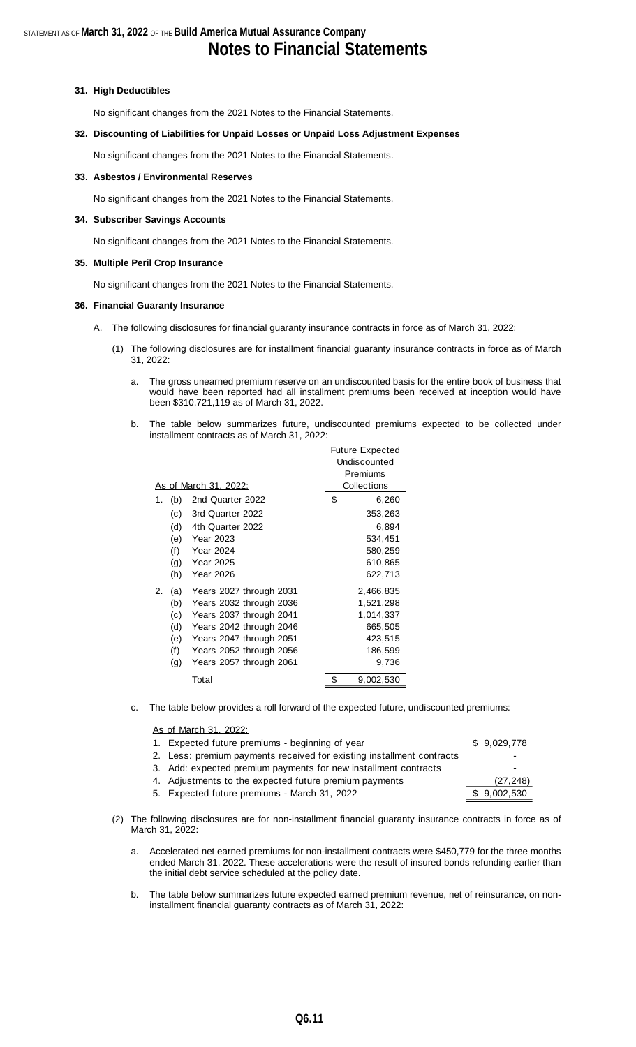#### **31. High Deductibles**

No significant changes from the 2021 Notes to the Financial Statements.

#### **32. Discounting of Liabilities for Unpaid Losses or Unpaid Loss Adjustment Expenses**

No significant changes from the 2021 Notes to the Financial Statements.

#### **33. Asbestos / Environmental Reserves**

No significant changes from the 2021 Notes to the Financial Statements.

#### **34. Subscriber Savings Accounts**

No significant changes from the 2021 Notes to the Financial Statements.

#### **35. Multiple Peril Crop Insurance**

No significant changes from the 2021 Notes to the Financial Statements.

#### **36. Financial Guaranty Insurance**

- A. The following disclosures for financial guaranty insurance contracts in force as of March 31, 2022:
	- (1) The following disclosures are for installment financial guaranty insurance contracts in force as of March 31, 2022:
		- a. The gross unearned premium reserve on an undiscounted basis for the entire book of business that would have been reported had all installment premiums been received at inception would have been \$310,721,119 as of March 31, 2022.
		- b. The table below summarizes future, undiscounted premiums expected to be collected under installment contracts as of March 31, 2022:

|    |     |                         | <b>Future Expected</b><br>Undiscounted |
|----|-----|-------------------------|----------------------------------------|
|    |     |                         | Premiums                               |
|    |     | As of March 31, 2022:   | Collections                            |
| 1. | (b) | 2nd Quarter 2022        | \$<br>6,260                            |
|    | (c) | 3rd Quarter 2022        | 353,263                                |
|    | (d) | 4th Quarter 2022        | 6,894                                  |
|    | (e) | <b>Year 2023</b>        | 534,451                                |
|    | (f) | <b>Year 2024</b>        | 580,259                                |
|    | (g) | Year 2025               | 610,865                                |
|    | (h) | <b>Year 2026</b>        | 622,713                                |
| 2. | (a) | Years 2027 through 2031 | 2,466,835                              |
|    | (b) | Years 2032 through 2036 | 1,521,298                              |
|    | (c) | Years 2037 through 2041 | 1,014,337                              |
|    | (d) | Years 2042 through 2046 | 665,505                                |
|    | (e) | Years 2047 through 2051 | 423,515                                |
|    | (f) | Years 2052 through 2056 | 186,599                                |
|    | (g) | Years 2057 through 2061 | 9,736                                  |
|    |     | Total                   | \$<br>9,002,530                        |

c. The table below provides a roll forward of the expected future, undiscounted premiums:

#### As of March 31, 2022:

| 1. Expected future premiums - beginning of year                       | \$9,029,778 |
|-----------------------------------------------------------------------|-------------|
| 2. Less: premium payments received for existing installment contracts |             |
| 3. Add: expected premium payments for new installment contracts       | ۰           |
| 4. Adjustments to the expected future premium payments                | (27, 248)   |
| 5. Expected future premiums - March 31, 2022                          | \$9,002,530 |
|                                                                       |             |

- (2) The following disclosures are for non-installment financial guaranty insurance contracts in force as of March 31, 2022:
	- a. Accelerated net earned premiums for non-installment contracts were \$450,779 for the three months ended March 31, 2022. These accelerations were the result of insured bonds refunding earlier than the initial debt service scheduled at the policy date.
	- b. The table below summarizes future expected earned premium revenue, net of reinsurance, on noninstallment financial guaranty contracts as of March 31, 2022: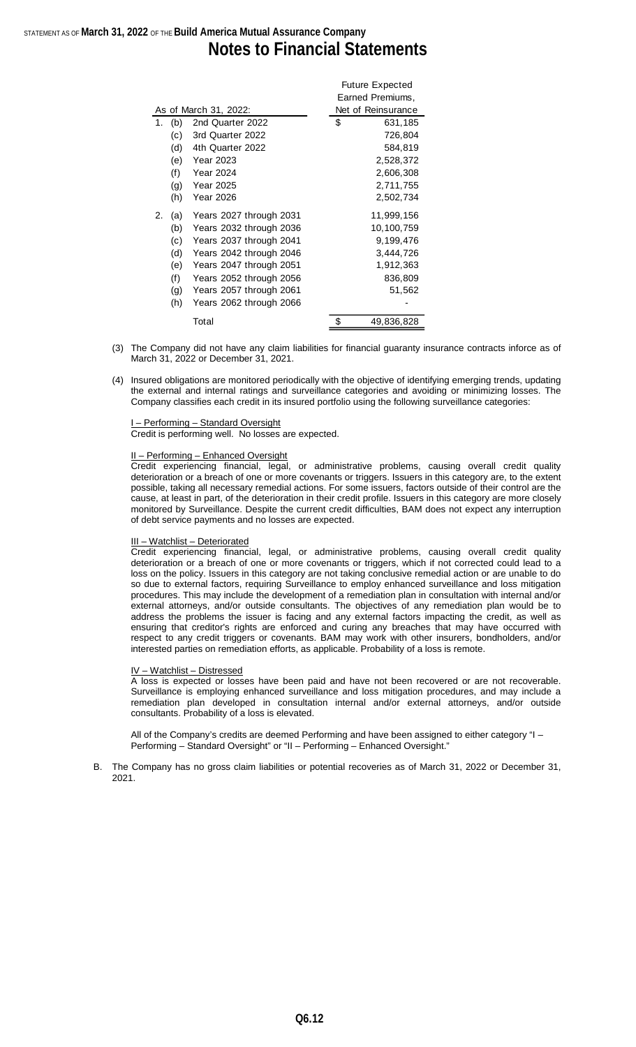## STATEMENT AS OF **March 31, 2022** OF THE **Build America Mutual Assurance Company Notes to Financial Statements**

|    |     |                         | Future Expected    |
|----|-----|-------------------------|--------------------|
|    |     |                         | Earned Premiums,   |
|    |     | As of March 31, 2022:   | Net of Reinsurance |
| 1. | (b) | 2nd Quarter 2022        | \$<br>631,185      |
|    | (c) | 3rd Quarter 2022        | 726,804            |
|    | (d) | 4th Quarter 2022        | 584,819            |
|    | (e) | <b>Year 2023</b>        | 2,528,372          |
|    | (f) | <b>Year 2024</b>        | 2,606,308          |
|    | (g) | <b>Year 2025</b>        | 2,711,755          |
|    | (h) | Year 2026               | 2,502,734          |
| 2. | (a) | Years 2027 through 2031 | 11,999,156         |
|    | (b) | Years 2032 through 2036 | 10,100,759         |
|    | (c) | Years 2037 through 2041 | 9,199,476          |
|    | (d) | Years 2042 through 2046 | 3,444,726          |
|    | (e) | Years 2047 through 2051 | 1,912,363          |
|    | (f) | Years 2052 through 2056 | 836,809            |
|    | (g) | Years 2057 through 2061 | 51,562             |
|    | (h) | Years 2062 through 2066 |                    |
|    |     | Total                   | \$<br>49,836,828   |

(3) The Company did not have any claim liabilities for financial guaranty insurance contracts inforce as of March 31, 2022 or December 31, 2021.

 $F(x) = F(x)$ 

(4) Insured obligations are monitored periodically with the objective of identifying emerging trends, updating the external and internal ratings and surveillance categories and avoiding or minimizing losses. The Company classifies each credit in its insured portfolio using the following surveillance categories:

- Performing - Standard Oversight Credit is performing well. No losses are expected.

#### II – Performing – Enhanced Oversight

Credit experiencing financial, legal, or administrative problems, causing overall credit quality deterioration or a breach of one or more covenants or triggers. Issuers in this category are, to the extent possible, taking all necessary remedial actions. For some issuers, factors outside of their control are the cause, at least in part, of the deterioration in their credit profile. Issuers in this category are more closely monitored by Surveillance. Despite the current credit difficulties, BAM does not expect any interruption of debt service payments and no losses are expected.

#### III – Watchlist – Deteriorated

Credit experiencing financial, legal, or administrative problems, causing overall credit quality deterioration or a breach of one or more covenants or triggers, which if not corrected could lead to a loss on the policy. Issuers in this category are not taking conclusive remedial action or are unable to do so due to external factors, requiring Surveillance to employ enhanced surveillance and loss mitigation procedures. This may include the development of a remediation plan in consultation with internal and/or external attorneys, and/or outside consultants. The objectives of any remediation plan would be to address the problems the issuer is facing and any external factors impacting the credit, as well as ensuring that creditor's rights are enforced and curing any breaches that may have occurred with respect to any credit triggers or covenants. BAM may work with other insurers, bondholders, and/or interested parties on remediation efforts, as applicable. Probability of a loss is remote.

#### IV – Watchlist – Distressed

A loss is expected or losses have been paid and have not been recovered or are not recoverable. Surveillance is employing enhanced surveillance and loss mitigation procedures, and may include a remediation plan developed in consultation internal and/or external attorneys, and/or outside consultants. Probability of a loss is elevated.

All of the Company's credits are deemed Performing and have been assigned to either category "I – Performing – Standard Oversight" or "II – Performing – Enhanced Oversight."

B. The Company has no gross claim liabilities or potential recoveries as of March 31, 2022 or December 31, 2021.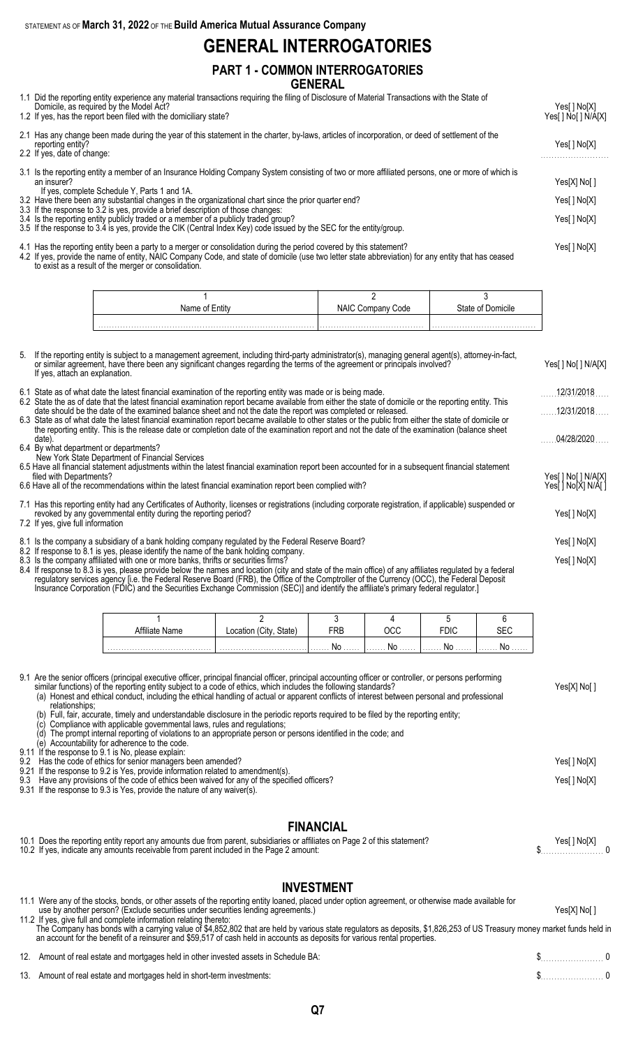## **GENERAL INTERROGATORIES**

### **PART 1 - COMMON INTERROGATORIES GENERAL**

- 1.1 Did the reporting entity experience any material transactions requiring the filing of Disclosure of Material Transactions with the State of
- Domicile, as required by the Model Act? Yes[ ] No[X] 1.2 If yes, has the report been filed with the domiciliary state? The state of the state of the state of the state of the state of the state of the state of the state of the state of the state of the state of the state of 2.1 Has any change been made during the year of this statement in the charter, by-laws, articles of incorporation, or deed of settlement of the reporting entity? Yes[ ] No[X] 2.2 If yes, date of change: 3.1 Is the reporting entity a member of an Insurance Holding Company System consisting of two or more affiliated persons, one or more of which is an insurer? Yes[X] No[ ] If yes, complete Schedule Y, Parts 1 and 1A. 3.2 Have there been any substantial changes in the organizational chart since the prior quarter end? Yes[ ] No[X] 3.3 If the response to 3.2 is yes, provide a brief description of those changes: 3.4 Is the reporting entity publicly traded or a member of a publicly traded group? Yes[ ] No[X] 3.5 If the response to 3.4 is yes, provide the CIK (Central Index Key) code issued by the SEC for the entity/group.
- 4.1 Has the reporting entity been a party to a merger or consolidation during the period covered by this statement? Yes[ ] No[X] 4.2 If yes, provide the name of entity, NAIC Company Code, and state of domicile (use two letter state abbreviation) for any entity that has ceased to exist as a result of the merger or consolidation.

| Name | ode: | 3tate of<br>'omicile |
|------|------|----------------------|
|      |      |                      |
|      |      |                      |

| 5. If the reporting entity is subject to a management agreement, including third-party administrator(s), managing general agent(s), attorney-in-fact,<br>or similar agreement, have there been any significant changes regarding the terms of the agreement or principals involved?<br>If yes, attach an explanation.                                                                                                                                                               | Yes[ ] No[ ] N/A[X]                        |
|-------------------------------------------------------------------------------------------------------------------------------------------------------------------------------------------------------------------------------------------------------------------------------------------------------------------------------------------------------------------------------------------------------------------------------------------------------------------------------------|--------------------------------------------|
| 6.1 State as of what date the latest financial examination of the reporting entity was made or is being made.                                                                                                                                                                                                                                                                                                                                                                       | 12/31/2018                                 |
| 6.2 State the as of date that the latest financial examination report became available from either the state of domicile or the reporting entity. This<br>date should be the date of the examined balance sheet and not the date the report was completed or released.                                                                                                                                                                                                              | 12/31/2018                                 |
| 6.3 State as of what date the latest financial examination report became available to other states or the public from either the state of domicile or<br>the reporting entity. This is the release date or completion date of the examination report and not the date of the examination (balance sheet<br>date).                                                                                                                                                                   | 04/28/2020                                 |
| 6.4 By what department or departments?<br>New York State Department of Financial Services                                                                                                                                                                                                                                                                                                                                                                                           |                                            |
| 6.5 Have all financial statement adjustments within the latest financial examination report been accounted for in a subsequent financial statement                                                                                                                                                                                                                                                                                                                                  |                                            |
| filed with Departments?<br>6.6 Have all of the recommendations within the latest financial examination report been complied with?                                                                                                                                                                                                                                                                                                                                                   | Yes[ ] No[ ] N/A[X]<br>Yes[ ] No[X] N/A[ ] |
| 7.1 Has this reporting entity had any Certificates of Authority, licenses or registrations (including corporate registration, if applicable) suspended or<br>revoked by any governmental entity during the reporting period?<br>7.2 If yes, give full information                                                                                                                                                                                                                   |                                            |
| 8.1 Is the company a subsidiary of a bank holding company regulated by the Federal Reserve Board?                                                                                                                                                                                                                                                                                                                                                                                   | Yes[ ] No[X]                               |
| 8.2 If response to 8.1 is yes, please identify the name of the bank holding company.<br>8.3 Is the company affiliated with one or more banks, thrifts or securities firms?<br>8.4 If response to 8.3 is yes, please provide below the names and location (city and state of the main office) of any affiliates regulated by a federal<br>regulatory services agency [i.e. the Federal Reserve Board (FRB), the Office of the Comptroller of the Currency (OCC), the Federal Deposit | Yes[ ] No[X]                               |

Insurance Corporation (FDIC) and the Securities Exchange Commission (SEC)] and identify the affiliate's primary federal regulator.]

| te Name | State' | FRB |    |              |               |
|---------|--------|-----|----|--------------|---------------|
|         |        |     | No | 1. <b>NO</b> | . <b>I YU</b> |

9.1 Are the senior officers (principal executive officer, principal financial officer, principal accounting officer or controller, or persons performing similar functions) of the reporting entity subject to a code of ethics, which includes the following standards? Yes[X] No[ ] (a) Honest and ethical conduct, including the ethical handling of actual or apparent conflicts of interest between personal and professional

- relationships; (b) Full, fair, accurate, timely and understandable disclosure in the periodic reports required to be filed by the reporting entity;
	-
	- (c) Compliance with applicable governmental laws, rules and regulations; (d) The prompt internal reporting of violations to an appropriate person or persons identified in the code; and
- (e) Accountability for adherence to the code.
- 9.11 If the response to 9.1 is No, please explain:
- 9.2 Has the code of ethics for senior managers been amended? Yes[ ] No[X] 9.21 If the response to 9.2 is Yes, provide information related to amendment(s). 9.3 Have any provisions of the code of ethics been waived for any of the specified officers? The state of the specified officers and the specified officers?
- 9.31 If the response to 9.3 is Yes, provide the nature of any waiver(s).

#### **FINANCIAL**

| 10.1 Does the reporting entity report any amounts due from parent, subsidiaries or affiliates on Page 2 of this statement? | Yes[] No[X] |
|----------------------------------------------------------------------------------------------------------------------------|-------------|
| 10.2 If yes, indicate any amounts receivable from parent included in the Page 2 amount:                                    |             |

## **INVESTMENT**

| 11.1 Were any of the stocks, bonds, or other assets of the reporting entity loaned, placed under option agreement, or otherwise made available for<br>use by another person? (Exclude securities under securities lending agreements.)                                                                                                                                     | Yes[X] No[] |  |
|----------------------------------------------------------------------------------------------------------------------------------------------------------------------------------------------------------------------------------------------------------------------------------------------------------------------------------------------------------------------------|-------------|--|
| 11.2 If yes, give full and complete information relating thereto:<br>The Company has bonds with a carrying value of \$4,852,802 that are held by various state regulators as deposits, \$1,826,253 of US Treasury money market funds held in<br>an account for the benefit of a reinsurer and \$59,517 of cash held in accounts as deposits for various rental properties. |             |  |
| 12. Amount of real estate and mortgages held in other invested assets in Schedule BA:                                                                                                                                                                                                                                                                                      | $\sim$ 0    |  |
| 13. Amount of real estate and mortgages held in short-term investments:                                                                                                                                                                                                                                                                                                    | $\sim$ 5 0  |  |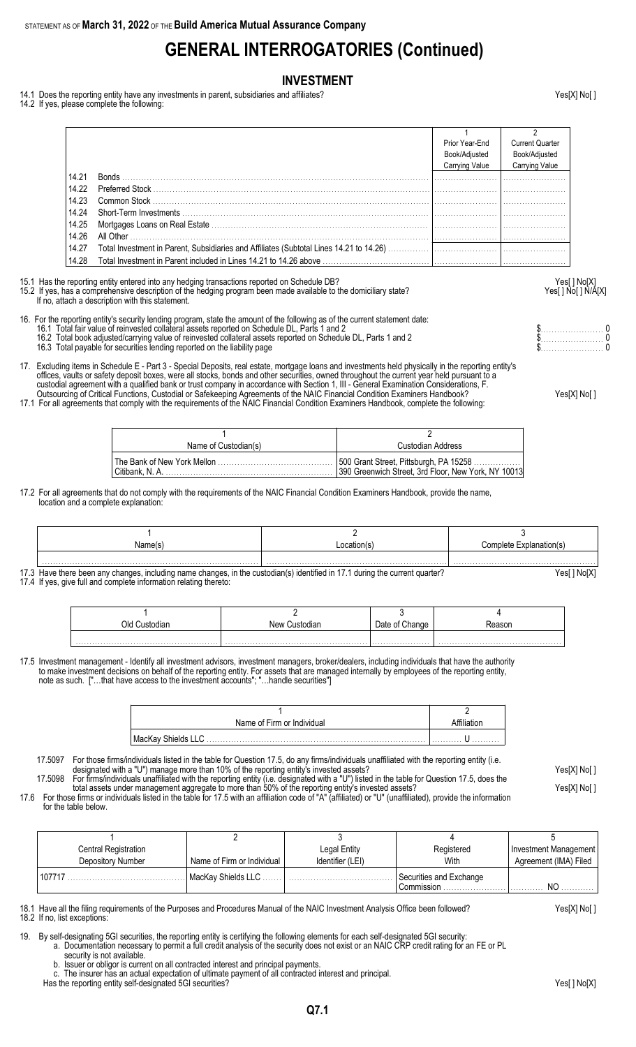# **GENERAL INTERROGATORIES (Continued)**

#### **INVESTMENT**

- 14.1 Does the reporting entity have any investments in parent, subsidiaries and affiliates? Yesel X and a reporting entity have any investments in parent, subsidiaries and affiliates?
- 14.2 If yes, please complete the following:

|       |                            | Prior Year-End<br>Book/Adjusted<br>Carrying Value | <b>Current Quarter</b><br>Book/Adjusted<br>Carrying Value |
|-------|----------------------------|---------------------------------------------------|-----------------------------------------------------------|
| 14.21 | Bonds                      |                                                   |                                                           |
| 14.22 | Preferred Stock            |                                                   |                                                           |
| 14.23 |                            |                                                   |                                                           |
| 14.24 |                            |                                                   |                                                           |
| 14.25 |                            |                                                   |                                                           |
| 14.26 | All Other <b>All Other</b> |                                                   |                                                           |
| 14.27 |                            |                                                   |                                                           |
| 14.28 |                            |                                                   |                                                           |

15.1 Has the reporting entity entered into any hedging transactions reported on Schedule DB?<br>15.2 If yes, has a comprehensive description of the hedging program been made available to the domiciliary state?<br>Yes[] No[] N/A[ 15.2 If yes, has a comprehensive description of the hedging program been made available to the domiciliary state? If no, attach a description with this statement.

16. For the reporting entity's security lending program, state the amount of the following as of the current statement date: 16.1 Total fair value of reinvested collateral assets reported on Schedule DL, Parts 1 and 2 \$. . . . . . . . . . . . . . . . . . . . . . . 0

- 16.2 Total book adjusted/carrying value of reinvested collateral assets reported on Schedule DL, Parts 1 and 2 \$. . . . . . . . . . . . . . . . . . . . . . . 0
- 16.3 Total payable for securities lending reported on the liability page \$. . . . . . . . . . . . . . . . . . . . . . . 0

17. Excluding items in Schedule E - Part 3 - Special Deposits, real estate, mortgage loans and investments held physically in the reporting entity's offices, vaults or safety deposit boxes, were all stocks, bonds and other securities, owned throughout the current year held pursuant to a custodial agreement with a qualified bank or trust company in accordance with Section 1, III - General Examination Considerations, F. Outsourcing of Critical Functions, Custodial or Safekeeping Agreements of the NAIC Financial Condition Examiners Handbook? Yes[X] No[ ]

17.1 For all agreements that comply with the requirements of the NAIC Financial Condition Examiners Handbook, complete the following:

| Name of Custodian(s) |  | Custodian Address                                   |  |  |
|----------------------|--|-----------------------------------------------------|--|--|
|                      |  | 390 Greenwich Street, 3rd Floor, New York, NY 10013 |  |  |

17.2 For all agreements that do not comply with the requirements of the NAIC Financial Condition Examiners Handbook, provide the name, location and a complete explanation:

| Name(s | ocation(s | <i>C</i> omplete<br>Explanation(s) |
|--------|-----------|------------------------------------|
|        |           |                                    |

17.3 Have there been any changes, including name changes, in the custodian(s) identified in 17.1 during the current quarter? Yesell No[X] 17.4 If yes, give full and complete information relating thereto:

| Old<br>ustodiar. | New Custodian | hangeٽ | nason |
|------------------|---------------|--------|-------|
|                  |               |        |       |

17.5 Investment management - Identify all investment advisors, investment managers, broker/dealers, including individuals that have the authority to make investment decisions on behalf of the reporting entity. For assets that are managed internally by employees of the reporting entity, note as such. ["…that have access to the investment accounts"; "…handle securities"]

| Name of Firm or Individual |   |
|----------------------------|---|
|                            | . |

17.5097 For those firms/individuals listed in the table for Question 17.5, do any firms/individuals unaffiliated with the reporting entity (i.e. designated with a "U") manage more than 10% of the reporting entity's invested assets? Yes[X] No[ ] 17.5098 For firms/individuals unaffiliated with the reporting entity (i.e. designated with a "U") listed in the table for Question 17.5, does the

total assets under management aggregate to more than 50% of the reporting entity's invested assets? Yes[X] No[ ] 17.6 For those firms or individuals listed in the table for 17.5 with an affiliation code of "A" (affiliated) or "U" (unaffiliated), provide the information

for the table below.

| Central Registration |                            | Legal Entity     | Registered              | Investment Management |
|----------------------|----------------------------|------------------|-------------------------|-----------------------|
| Depository Number    | Name of Firm or Individual | Identifier (LEI) | With                    | Agreement (IMA) Filed |
| 107717               | l MacKav Shields LLC       |                  | Securities and Exchange |                       |
|                      |                            |                  | Commission              | NO                    |

18.1 Have all the filing requirements of the Purposes and Procedures Manual of the NAIC Investment Analysis Office been followed? Yes[X] No[ ] 18.2 If no, list exceptions:

19. By self-designating 5GI securities, the reporting entity is certifying the following elements for each self-designated 5GI security:

a. Documentation necessary to permit a full credit analysis of the security does not exist or an NAIC CRP credit rating for an FE or PL security is not available.

Has the reporting entity self-designated 5GI securities? The reporting entity self-designated 5GI securities? Yes

b. Issuer or obligor is current on all contracted interest and principal payments.

c. The insurer has an actual expectation of ultimate payment of all contracted interest and principal.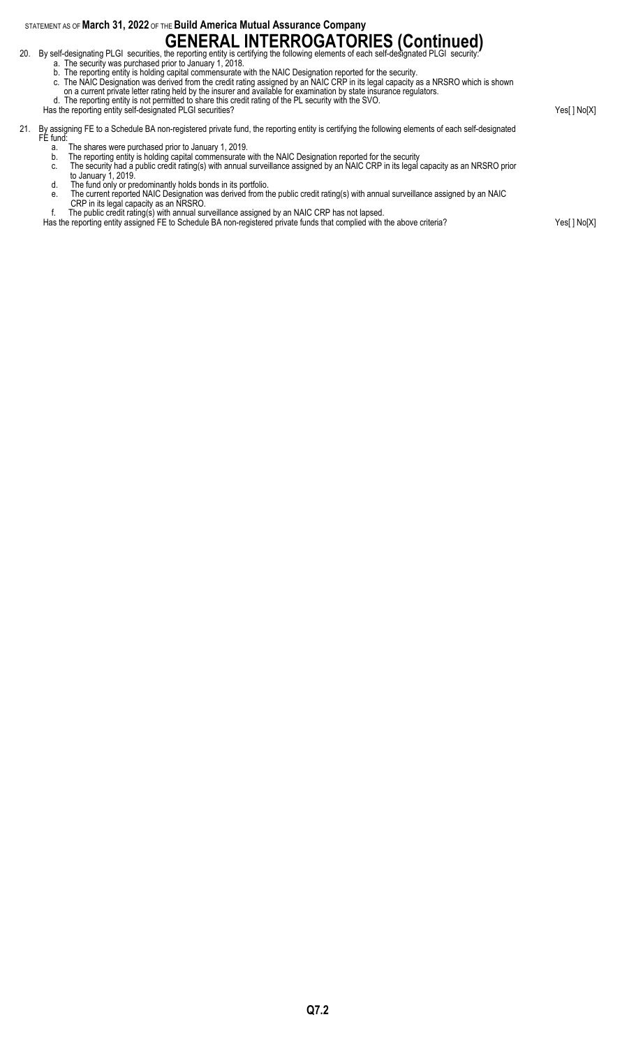# **GENERAL INTERROGATORIES (Continued)**<br>20. By self-designating PLGI securities, the reporting entity is certifying the following elements of each self-designated PLGI security:

- 
- a. The security was purchased prior to January 1, 2018.
- b. The reporting entity is holding capital commensurate with the NAIC Designation reported for the security.
- c. The NAIC Designation was derived from the credit rating assigned by an NAIC CRP in its legal capacity as a NRSRO which is shown
- on a current private letter rating held by the insurer and available for examination by state insurance regulators. d. The reporting entity is not permitted to share this credit rating of the PL security with the SVO.

- Has the reporting entity self-designated PLGI securities? Yes[ ] No[X] 21. By assigning FE to a Schedule BA non-registered private fund, the reporting entity is certifying the following elements of each self-designated FE fund: a. The shares were purchased prior to January 1, 2019. b. The reporting entity is holding capital commensurate with the NAIC Designation reported for the security c. The security had a public credit rating(s) with annual surveillance assigned by an NAIC CRP in its legal capacity as an NRSRO prior to January 1, 2019. d. The fund only or predominantly holds bonds in its portfolio. e. The current reported NAIC Designation was derived from the public credit rating(s) with annual surveillance assigned by an NAIC
	- CRP in its legal capacity as an NRSRO.
	- f. The public credit rating(s) with annual surveillance assigned by an NAIC CRP has not lapsed.
	- Has the reporting entity assigned FE to Schedule BA non-registered private funds that complied with the above criteria? Yes[ ] No[X]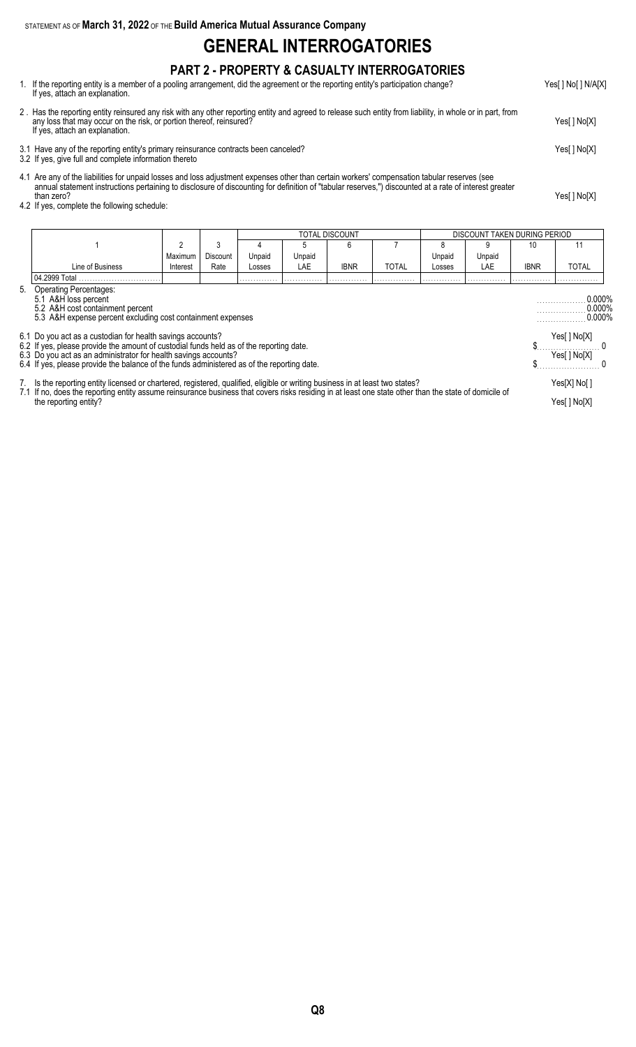# **GENERAL INTERROGATORIES**

## **PART 2 - PROPERTY & CASUALTY INTERROGATORIES**

- 1. If the reporting entity is a member of a pooling arrangement, did the agreement or the reporting entity's participation change? Yes[ ] No[ ] N/A[X] If yes, attach an explanation.
- 2 . Has the reporting entity reinsured any risk with any other reporting entity and agreed to release such entity from liability, in whole or in part, from any loss that may occur on the risk, or portion thereof, reinsured? Yes[ ] No[X] If yes, attach an explanation.
- 3.1 Have any of the reporting entity's primary reinsurance contracts been canceled? Yes[ ] No[X]
- 3.2 If yes, give full and complete information thereto
- 4.1 Are any of the liabilities for unpaid losses and loss adjustment expenses other than certain workers' compensation tabular reserves (see annual statement instructions pertaining to disclosure of discounting for definition of "tabular reserves,") discounted at a rate of interest greater than zero? Yes[ ] No[X]
- 4.2 If yes, complete the following schedule:

|                                                                                                                                                                                |          |                                  |        |        | TOTAL DISCOUNT |              |        | DISCOUNT TAKEN DURING PERIOD |             |              |  |
|--------------------------------------------------------------------------------------------------------------------------------------------------------------------------------|----------|----------------------------------|--------|--------|----------------|--------------|--------|------------------------------|-------------|--------------|--|
|                                                                                                                                                                                | 2        | 3                                |        |        | 6              |              |        | 9                            | 10          | 11           |  |
|                                                                                                                                                                                | Maximum  | Discount                         | Unpaid | Unpaid |                |              | Unpaid | Unpaid                       |             |              |  |
| Line of Business                                                                                                                                                               | Interest | Rate                             | Losses | LAE    | <b>IBNR</b>    | <b>TOTAL</b> | Losses | LAE                          | <b>IBNR</b> | TOTAL        |  |
| 04.2999 Total                                                                                                                                                                  |          |                                  |        |        |                |              |        |                              |             |              |  |
| 5. Operating Percentages:<br>5.1 A&H loss percent<br>5.2 A&H cost containment percent<br>5.3 A&H expense percent excluding cost containment expenses                           |          | 0.000%<br>$0.000\%$<br>$0.000\%$ |        |        |                |              |        |                              |             |              |  |
| 6.1 Do you act as a custodian for health savings accounts?<br>6.2 If yes, please provide the amount of custodial funds held as of the reporting date.                          |          |                                  |        |        |                |              |        |                              |             | Yes[ ] No[X] |  |
| 6.3 Do you act as an administrator for health savings accounts?                                                                                                                |          |                                  |        |        |                |              |        |                              |             | Yes[ ] No[X] |  |
| 6.4 If yes, please provide the balance of the funds administered as of the reporting date.                                                                                     |          |                                  |        |        |                |              |        |                              |             |              |  |
| 7. Is the reporting entity licensed or chartered, registered, qualified, eligible or writing business in at least two states?                                                  |          |                                  |        |        |                |              |        |                              |             | Yes[X] No[]  |  |
| 7.1 If no, does the reporting entity assume reinsurance business that covers risks residing in at least one state other than the state of domicile of<br>the reporting entity? |          |                                  |        |        |                |              |        |                              |             |              |  |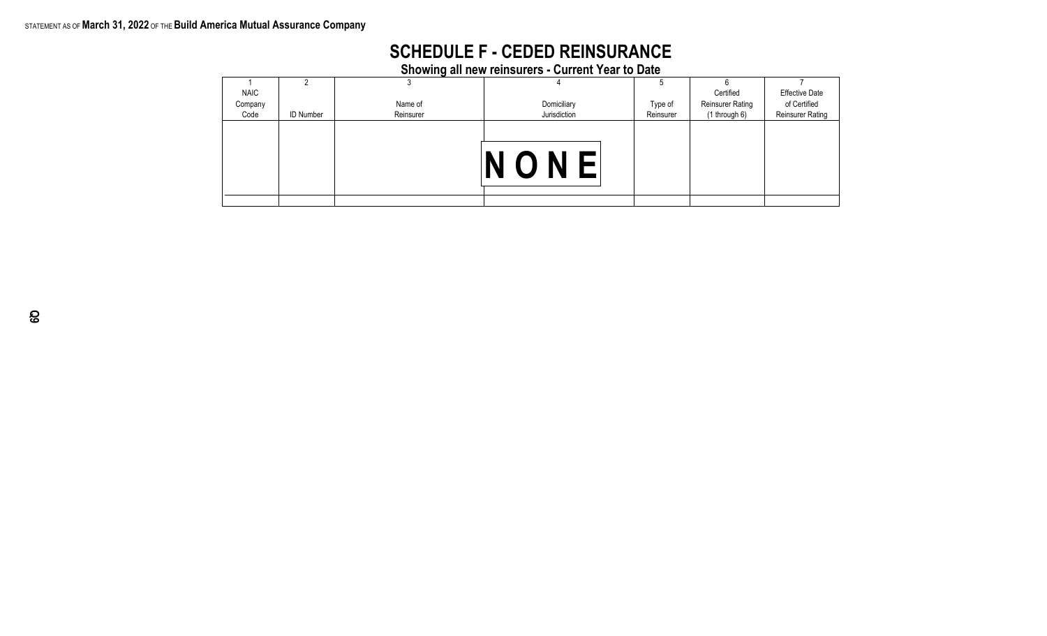# **SCHEDULE F - CEDED REINSURANCE**

**Showing all new reinsurers - Current Year to Date**

|             |                  | J         |              | э         |                  |                         |
|-------------|------------------|-----------|--------------|-----------|------------------|-------------------------|
| <b>NAIC</b> |                  |           |              |           | Certified        | <b>Effective Date</b>   |
| Company     |                  | Name of   | Domiciliary  | Type of   | Reinsurer Rating | of Certified            |
| Code        | <b>ID Number</b> | Reinsurer | Jurisdiction | Reinsurer | (1 through 6)    | <b>Reinsurer Rating</b> |
|             |                  |           | ONE          |           |                  |                         |
|             |                  |           |              |           |                  |                         |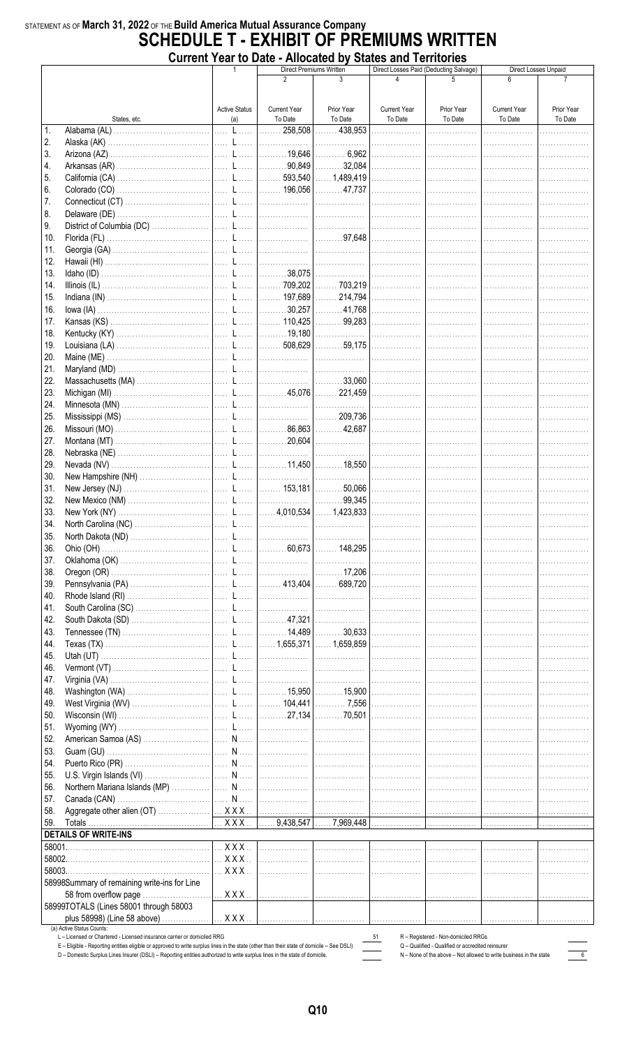### STATEMENT AS OF March 31, 2022 OF THE Build America Mutual Assurance Company **SCHEDULE T - EXHIBIT OF PREMIUMS WRITTEN Current Year to Date - Allocated by States and Territories**

|        |                                                                                                                                                                                                                       |  |                                         | THIVOULUM MY                   | Direct Premiums Written |                                | Direct Losses Paid (Deducting Salvage)                                                   | Direct Losses Unpaid            |                       |  |
|--------|-----------------------------------------------------------------------------------------------------------------------------------------------------------------------------------------------------------------------|--|-----------------------------------------|--------------------------------|-------------------------|--------------------------------|------------------------------------------------------------------------------------------|---------------------------------|-----------------------|--|
|        |                                                                                                                                                                                                                       |  |                                         | 2                              | 3                       | 4                              |                                                                                          | 6                               |                       |  |
|        |                                                                                                                                                                                                                       |  |                                         |                                |                         |                                |                                                                                          |                                 |                       |  |
|        |                                                                                                                                                                                                                       |  |                                         |                                |                         |                                |                                                                                          |                                 |                       |  |
|        | States, etc.                                                                                                                                                                                                          |  | <b>Active Status</b><br>(a)             | <b>Current Year</b><br>To Date | Prior Year<br>To Date   | <b>Current Year</b><br>To Date | Prior Year<br>To Date                                                                    | <b>Current Year</b><br>To Date  | Prior Year<br>To Date |  |
| 1.     |                                                                                                                                                                                                                       |  |                                         |                                |                         | .                              | .                                                                                        | .                               |                       |  |
| 2.     |                                                                                                                                                                                                                       |  |                                         |                                |                         | .                              | .                                                                                        | . <b>.</b> .                    |                       |  |
| 3.     |                                                                                                                                                                                                                       |  |                                         |                                |                         |                                | .                                                                                        | .                               |                       |  |
| 4.     |                                                                                                                                                                                                                       |  |                                         |                                |                         | .                              |                                                                                          | .                               |                       |  |
| 5.     |                                                                                                                                                                                                                       |  |                                         |                                |                         |                                | .                                                                                        | .                               |                       |  |
| 6.     |                                                                                                                                                                                                                       |  |                                         |                                |                         |                                | .                                                                                        | .                               |                       |  |
| 7.     |                                                                                                                                                                                                                       |  |                                         |                                |                         |                                |                                                                                          |                                 |                       |  |
|        |                                                                                                                                                                                                                       |  |                                         |                                |                         | .                              | .                                                                                        | .                               |                       |  |
| 8.     |                                                                                                                                                                                                                       |  |                                         |                                |                         |                                | .                                                                                        |                                 | .                     |  |
| 9.     |                                                                                                                                                                                                                       |  |                                         |                                |                         |                                |                                                                                          |                                 | .                     |  |
| 10.    |                                                                                                                                                                                                                       |  |                                         |                                |                         |                                |                                                                                          |                                 |                       |  |
| 11.    |                                                                                                                                                                                                                       |  |                                         |                                |                         |                                |                                                                                          |                                 | .                     |  |
| 12.    |                                                                                                                                                                                                                       |  |                                         |                                |                         | .                              |                                                                                          |                                 | .                     |  |
| 13.    |                                                                                                                                                                                                                       |  |                                         |                                |                         |                                | .                                                                                        |                                 |                       |  |
| 14.    |                                                                                                                                                                                                                       |  |                                         |                                |                         |                                | .                                                                                        | . <b>.</b> .                    |                       |  |
| 15.    |                                                                                                                                                                                                                       |  |                                         |                                |                         |                                |                                                                                          |                                 |                       |  |
| 16.    |                                                                                                                                                                                                                       |  |                                         |                                |                         |                                |                                                                                          |                                 |                       |  |
| 17.    |                                                                                                                                                                                                                       |  |                                         |                                |                         |                                | .                                                                                        |                                 |                       |  |
| 18.    |                                                                                                                                                                                                                       |  |                                         |                                |                         |                                | .                                                                                        | .                               |                       |  |
| 19.    |                                                                                                                                                                                                                       |  |                                         |                                |                         |                                | .                                                                                        | 1.                              | .                     |  |
| 20.    |                                                                                                                                                                                                                       |  |                                         |                                |                         |                                |                                                                                          |                                 |                       |  |
| 21.    |                                                                                                                                                                                                                       |  |                                         |                                |                         |                                |                                                                                          |                                 |                       |  |
| 22.    |                                                                                                                                                                                                                       |  |                                         |                                |                         |                                |                                                                                          |                                 |                       |  |
| 23.    |                                                                                                                                                                                                                       |  |                                         |                                |                         |                                |                                                                                          |                                 | .                     |  |
| 24.    |                                                                                                                                                                                                                       |  |                                         |                                |                         |                                | .                                                                                        | 1.                              | .                     |  |
| 25.    |                                                                                                                                                                                                                       |  |                                         |                                |                         |                                | .                                                                                        | .                               | .                     |  |
| 26.    |                                                                                                                                                                                                                       |  |                                         |                                |                         |                                | .                                                                                        | . <b>.</b> .                    | .                     |  |
| 27.    |                                                                                                                                                                                                                       |  |                                         |                                |                         |                                | .                                                                                        | .                               |                       |  |
| 28.    |                                                                                                                                                                                                                       |  |                                         |                                |                         | .                              | .                                                                                        | .                               |                       |  |
| 29.    |                                                                                                                                                                                                                       |  |                                         |                                |                         |                                | .                                                                                        |                                 |                       |  |
| 30.    |                                                                                                                                                                                                                       |  |                                         |                                |                         | .                              | .                                                                                        | .                               |                       |  |
| 31.    |                                                                                                                                                                                                                       |  |                                         |                                |                         |                                |                                                                                          |                                 |                       |  |
|        |                                                                                                                                                                                                                       |  |                                         |                                |                         |                                | .                                                                                        | .                               | .                     |  |
| 32.    |                                                                                                                                                                                                                       |  |                                         |                                |                         | .                              | .                                                                                        | .                               | .                     |  |
| 33.    |                                                                                                                                                                                                                       |  |                                         |                                |                         |                                |                                                                                          |                                 | .                     |  |
| 34.    |                                                                                                                                                                                                                       |  |                                         |                                |                         |                                |                                                                                          |                                 |                       |  |
| 35.    |                                                                                                                                                                                                                       |  |                                         |                                |                         |                                |                                                                                          |                                 | .                     |  |
| 36.    |                                                                                                                                                                                                                       |  |                                         |                                |                         |                                | .                                                                                        | .                               | .                     |  |
| 37.    |                                                                                                                                                                                                                       |  |                                         |                                |                         |                                | .                                                                                        | .                               |                       |  |
| 38.    |                                                                                                                                                                                                                       |  |                                         |                                |                         |                                | .                                                                                        | .                               | .                     |  |
| 39.    |                                                                                                                                                                                                                       |  |                                         |                                |                         |                                | .                                                                                        | .                               |                       |  |
| 40.    |                                                                                                                                                                                                                       |  |                                         |                                |                         |                                | .                                                                                        | .                               |                       |  |
| 41.    |                                                                                                                                                                                                                       |  |                                         |                                |                         | . <b>.</b> .                   | .                                                                                        | .                               |                       |  |
| 42.    |                                                                                                                                                                                                                       |  |                                         |                                |                         |                                | .                                                                                        | .                               |                       |  |
| 43.    |                                                                                                                                                                                                                       |  |                                         |                                |                         |                                | .                                                                                        | .                               |                       |  |
| 44.    |                                                                                                                                                                                                                       |  |                                         |                                |                         |                                | .                                                                                        | the contract of the contract of |                       |  |
| 45.    |                                                                                                                                                                                                                       |  |                                         |                                |                         |                                | .                                                                                        | 1.                              | .                     |  |
| 46.    |                                                                                                                                                                                                                       |  |                                         |                                |                         |                                |                                                                                          |                                 |                       |  |
| 47.    |                                                                                                                                                                                                                       |  |                                         |                                |                         |                                |                                                                                          |                                 | .                     |  |
| 48.    |                                                                                                                                                                                                                       |  |                                         |                                |                         |                                | .                                                                                        | .                               | .                     |  |
| 49.    |                                                                                                                                                                                                                       |  |                                         |                                |                         | .                              | .                                                                                        |                                 |                       |  |
| 50.    |                                                                                                                                                                                                                       |  |                                         |                                |                         |                                | .                                                                                        |                                 |                       |  |
| 51.    |                                                                                                                                                                                                                       |  |                                         |                                |                         |                                | .                                                                                        | .                               |                       |  |
| 52.    |                                                                                                                                                                                                                       |  |                                         |                                |                         |                                | .                                                                                        | .                               |                       |  |
| 53.    |                                                                                                                                                                                                                       |  |                                         |                                | .                       | .                              | .                                                                                        | .                               |                       |  |
| 54.    |                                                                                                                                                                                                                       |  |                                         |                                |                         |                                |                                                                                          |                                 |                       |  |
|        |                                                                                                                                                                                                                       |  |                                         |                                |                         |                                | .                                                                                        | .                               |                       |  |
| 55.    |                                                                                                                                                                                                                       |  |                                         |                                |                         |                                | .                                                                                        | .                               |                       |  |
| 56.    |                                                                                                                                                                                                                       |  |                                         |                                |                         |                                | .                                                                                        | 1.                              | .                     |  |
| 57.    |                                                                                                                                                                                                                       |  |                                         |                                |                         |                                |                                                                                          |                                 | .                     |  |
| 58.    |                                                                                                                                                                                                                       |  |                                         |                                |                         |                                |                                                                                          |                                 |                       |  |
| 59.    |                                                                                                                                                                                                                       |  |                                         |                                |                         |                                | .                                                                                        | 1.                              |                       |  |
|        | <b>DETAILS OF WRITE-INS</b>                                                                                                                                                                                           |  |                                         |                                |                         |                                |                                                                                          |                                 |                       |  |
| 58001. |                                                                                                                                                                                                                       |  | $\left   \times \times \times  \right $ | .                              | .                       | .                              | .                                                                                        |                                 |                       |  |
| 58002. |                                                                                                                                                                                                                       |  | $\ldots$ X X X $\ldots$                 | .                              | .                       | .                              | .                                                                                        |                                 |                       |  |
| 58003. |                                                                                                                                                                                                                       |  | $$ X X X $$                             | .                              | .                       | .                              | .                                                                                        |                                 |                       |  |
|        | 58998Summary of remaining write-ins for Line                                                                                                                                                                          |  |                                         |                                |                         |                                |                                                                                          |                                 |                       |  |
|        |                                                                                                                                                                                                                       |  |                                         |                                |                         |                                | .                                                                                        | .                               |                       |  |
|        | 58999TOTALS (Lines 58001 through 58003                                                                                                                                                                                |  |                                         |                                |                         |                                |                                                                                          |                                 |                       |  |
|        | plus 58998) (Line 58 above)                                                                                                                                                                                           |  | $$ $XXX$                                | .                              | .                       | .                              | .                                                                                        | .                               |                       |  |
|        | (a) Active Status Counts:                                                                                                                                                                                             |  |                                         |                                |                         |                                |                                                                                          |                                 |                       |  |
|        | L - Licensed or Chartered - Licensed insurance carrier or domiciled RRG<br>E - Eligible - Reporting entities eligible or approved to write surplus lines in the state (other than their state of domicile - See DSLI) |  |                                         |                                |                         | 51                             | R - Registered - Non-domiciled RRGs<br>Q - Qualified - Qualified or accredited reinsurer |                                 |                       |  |
|        | D - Domestic Surplus Lines Insurer (DSLI) - Reporting entities authorized to write surplus lines in the state of domicile.                                                                                            |  |                                         |                                |                         |                                | N - None of the above - Not allowed to write business in the state                       |                                 |                       |  |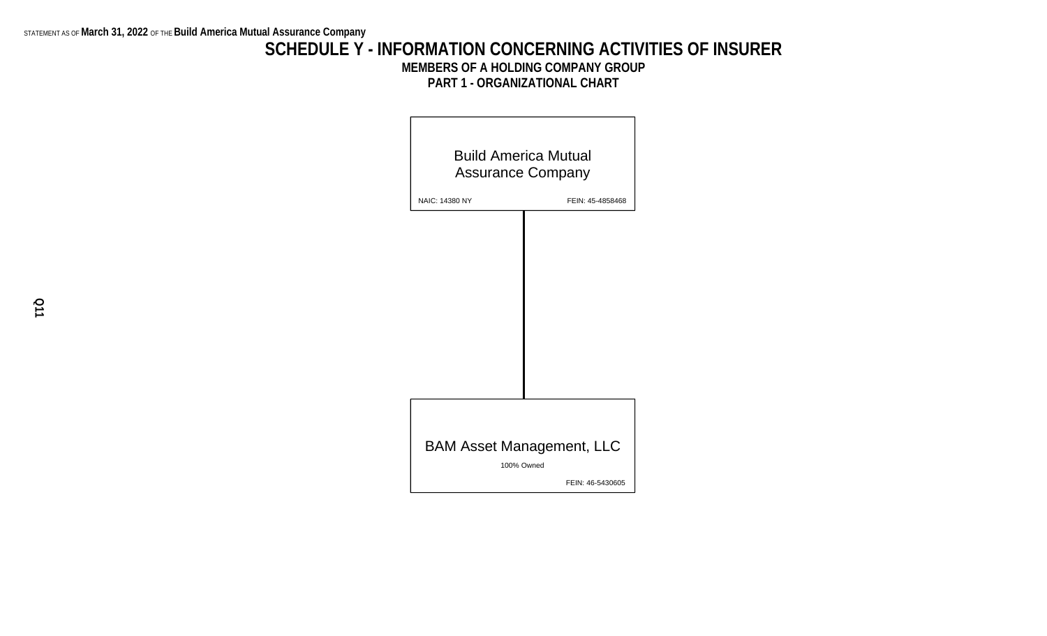## **SCHEDULE Y - INFORMATION CONCERNING ACTIVITIES OF INSURER MEMBERS OF A HOLDING COMPANY GROUP PART 1 - ORGANIZATIONAL CHART**

| <b>Build America Mutual</b><br><b>Assurance Company</b> |                  |  |  |  |  |  |  |  |
|---------------------------------------------------------|------------------|--|--|--|--|--|--|--|
| NAIC: 14380 NY                                          | FEIN: 45-4858468 |  |  |  |  |  |  |  |
|                                                         |                  |  |  |  |  |  |  |  |
|                                                         |                  |  |  |  |  |  |  |  |
|                                                         |                  |  |  |  |  |  |  |  |
|                                                         |                  |  |  |  |  |  |  |  |
|                                                         |                  |  |  |  |  |  |  |  |
|                                                         |                  |  |  |  |  |  |  |  |
|                                                         |                  |  |  |  |  |  |  |  |
|                                                         |                  |  |  |  |  |  |  |  |
|                                                         |                  |  |  |  |  |  |  |  |
| <b>BAM Asset Management, LLC</b>                        |                  |  |  |  |  |  |  |  |
|                                                         |                  |  |  |  |  |  |  |  |
|                                                         | 100% Owned       |  |  |  |  |  |  |  |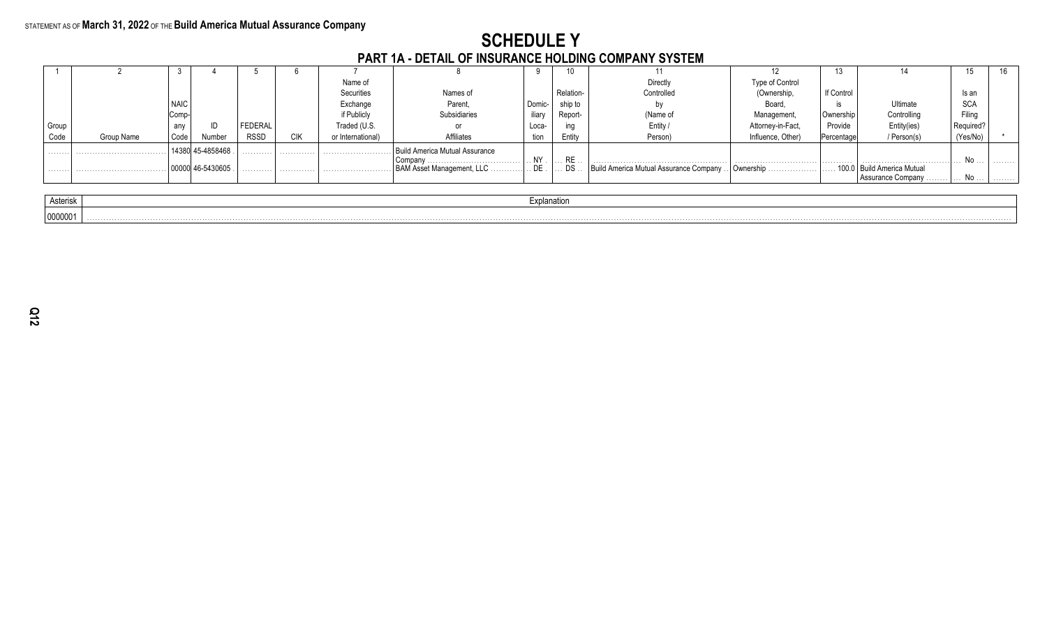## **SCHEDULE Y** PART 1A - DETAIL OF INSURANCE HOLDING COMPANY SYSTEM

|          |            |             |            |         |            |                   | <u>LAILLIA - DETAIE VE INVONANCE HOEDING OOMILANT OTOTEM</u> |             |          |                                        |                   |            |                                                        |            |    |
|----------|------------|-------------|------------|---------|------------|-------------------|--------------------------------------------------------------|-------------|----------|----------------------------------------|-------------------|------------|--------------------------------------------------------|------------|----|
|          |            |             |            |         |            |                   |                                                              |             |          |                                        |                   |            |                                                        |            | 16 |
|          |            |             |            |         |            | Name of           |                                                              |             |          | Directly                               | Type of Control   |            |                                                        |            |    |
|          |            |             |            |         |            | Securities        | Names of                                                     |             | Relation | Controlled                             | Ownership,        | If Control |                                                        | Is an      |    |
|          |            | <b>NAIC</b> |            |         |            | Exchange          | Parent.                                                      | Domic-      | ship to  |                                        | Board             |            | Ultimate                                               | <b>SCA</b> |    |
|          |            | Comp-       |            |         |            | if Publicly       | <b>Subsidiaries</b>                                          | iliary      | Report-  | (Name of                               | Management        | Ownership  | Controlling                                            | Filina     |    |
| Group    |            | any         | ID         | FEDERAL |            | Traded (U.S.      |                                                              | Loca-       |          | Entity                                 |                   | Provide    | Entity(ies)                                            | Required   |    |
| Code     | Group Name | Code        | Number     | RSSD    | <b>CIK</b> | or International) | Affiliates                                                   | tion        | Entity   | Person)                                | Influence, Other) | Percentage | / Person(s)                                            | (Yes/No)   |    |
| .        |            |             | 45-4858468 | .       | .          |                   | Build America Mutual Assurance                               |             |          |                                        |                   |            |                                                        |            |    |
|          |            |             |            |         |            |                   | Company                                                      | NY.         |          |                                        |                   | .          |                                                        | No         | .  |
| .        |            |             | 46-5430605 | .       | .          |                   | BAM Asset Management, LLC                                    | DE.         | DS       | Build America Mutual Assurance Company | l Ownership<br>.  |            | 100.0   Build America Mutual<br>Assurance Company<br>. | No .       | .  |
|          |            |             |            |         |            |                   |                                                              |             |          |                                        |                   |            |                                                        |            |    |
| Asterisk |            |             |            |         |            |                   |                                                              | Explanation |          |                                        |                   |            |                                                        |            |    |
| 0000001  |            |             |            |         |            |                   |                                                              |             |          |                                        |                   |            |                                                        |            |    |

| terisk |  |
|--------|--|
| 0001   |  |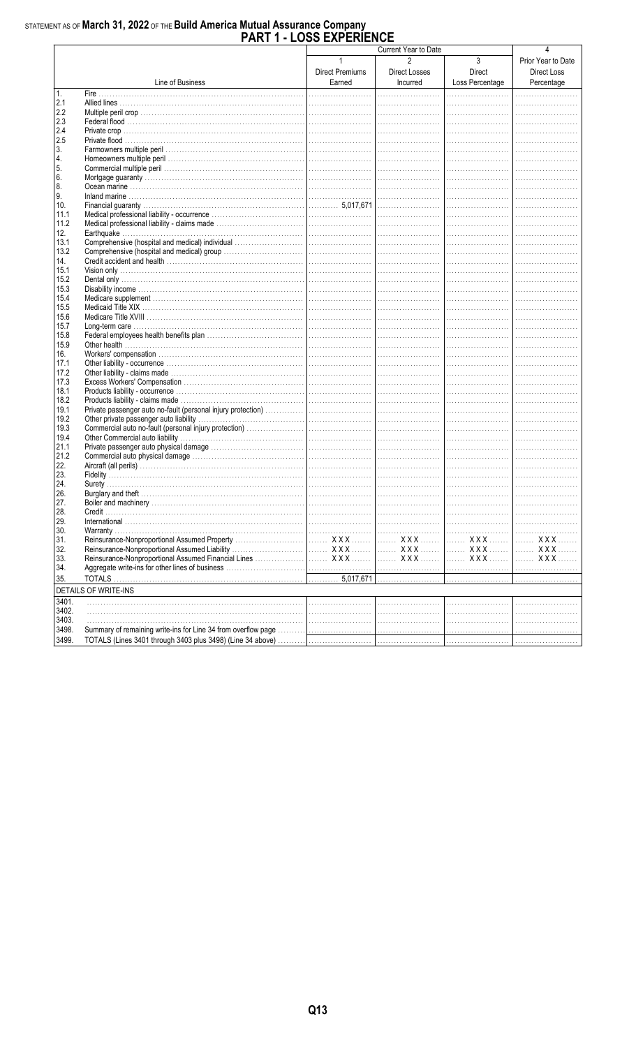# STATEMENT AS OF March 31, 2022 OF THE Build America Mutual Assurance Company<br>PART 1 - LOSS EXPERIENCE

|       |                                                                                                  | U LAI LINLI            | Current Year to Date |                 | 4                  |
|-------|--------------------------------------------------------------------------------------------------|------------------------|----------------------|-----------------|--------------------|
|       |                                                                                                  |                        | $\mathfrak{p}$       |                 |                    |
|       |                                                                                                  | $\mathbf{1}$           |                      | 3               | Prior Year to Date |
|       |                                                                                                  | <b>Direct Premiums</b> | Direct Losses        | Direct          | Direct Loss        |
|       | Line of Business                                                                                 | Earned                 | Incurred             | Loss Percentage | Percentage         |
| 1.    |                                                                                                  |                        |                      |                 |                    |
| 2.1   |                                                                                                  |                        |                      |                 |                    |
| 2.2   |                                                                                                  |                        |                      |                 |                    |
| 2.3   |                                                                                                  |                        |                      |                 |                    |
| 2.4   |                                                                                                  |                        |                      |                 |                    |
| 2.5   |                                                                                                  |                        |                      |                 |                    |
| 3.    |                                                                                                  |                        |                      |                 |                    |
| 4.    |                                                                                                  |                        |                      |                 |                    |
| 5.    |                                                                                                  |                        |                      |                 |                    |
| 6.    |                                                                                                  |                        |                      |                 |                    |
| 8.    |                                                                                                  |                        |                      |                 |                    |
| 9.    |                                                                                                  |                        |                      |                 |                    |
| 10.   |                                                                                                  |                        |                      |                 |                    |
| 11.1  |                                                                                                  |                        |                      |                 |                    |
| 11.2  |                                                                                                  |                        |                      |                 |                    |
| 12.   |                                                                                                  |                        |                      |                 |                    |
| 13.1  |                                                                                                  |                        |                      |                 |                    |
| 13.2  |                                                                                                  |                        |                      |                 |                    |
| 14.   |                                                                                                  |                        |                      |                 |                    |
| 15.1  |                                                                                                  |                        |                      |                 |                    |
| 15.2  |                                                                                                  |                        |                      |                 |                    |
| 15.3  |                                                                                                  |                        |                      |                 |                    |
| 15.4  |                                                                                                  |                        |                      |                 |                    |
| 15.5  |                                                                                                  |                        |                      |                 |                    |
| 15.6  |                                                                                                  |                        |                      |                 |                    |
| 15.7  |                                                                                                  |                        |                      |                 |                    |
| 15.8  |                                                                                                  |                        |                      |                 |                    |
| 15.9  |                                                                                                  |                        |                      |                 |                    |
| 16.   |                                                                                                  |                        |                      |                 |                    |
| 17.1  |                                                                                                  |                        |                      |                 |                    |
| 17.2  |                                                                                                  |                        |                      |                 |                    |
| 17.3  |                                                                                                  |                        |                      |                 |                    |
| 18.1  |                                                                                                  |                        |                      |                 |                    |
| 18.2  |                                                                                                  |                        |                      |                 |                    |
| 19.1  |                                                                                                  |                        |                      |                 |                    |
| 19.2  |                                                                                                  |                        |                      |                 |                    |
| 19.3  |                                                                                                  |                        |                      |                 |                    |
| 19.4  |                                                                                                  |                        |                      |                 |                    |
| 21.1  |                                                                                                  |                        |                      |                 |                    |
| 21.2  |                                                                                                  |                        |                      |                 |                    |
| 22.   |                                                                                                  |                        |                      |                 |                    |
| 23.   |                                                                                                  |                        |                      |                 |                    |
| 24.   |                                                                                                  |                        |                      |                 |                    |
| 26.   |                                                                                                  |                        |                      |                 |                    |
| 27.   |                                                                                                  |                        |                      |                 | .                  |
| 28.   |                                                                                                  |                        |                      |                 |                    |
| 29.   |                                                                                                  |                        |                      |                 |                    |
| 30.   |                                                                                                  |                        |                      |                 |                    |
| 31.   |                                                                                                  |                        |                      | XXX  1 XXX      | . X X X            |
| 32.   |                                                                                                  |                        |                      |                 | <b>XXX</b>         |
| 33.   |                                                                                                  |                        |                      | XXX    XXX      | <b>XXX</b>         |
| 34.   |                                                                                                  |                        |                      |                 |                    |
| 35.   |                                                                                                  |                        |                      |                 |                    |
|       | <b>DETAILS OF WRITE-INS</b>                                                                      |                        |                      |                 |                    |
| 3401. |                                                                                                  |                        |                      |                 |                    |
| 3402. |                                                                                                  |                        |                      |                 |                    |
| 3403. |                                                                                                  |                        |                      |                 |                    |
| 3498. |                                                                                                  |                        |                      |                 |                    |
| 3499. | TOTALS (Lines 3401 through 3403 plus 3498) (Line 34 above) …………   ……………………   …………………   ……………………… |                        |                      |                 |                    |
|       |                                                                                                  |                        |                      |                 |                    |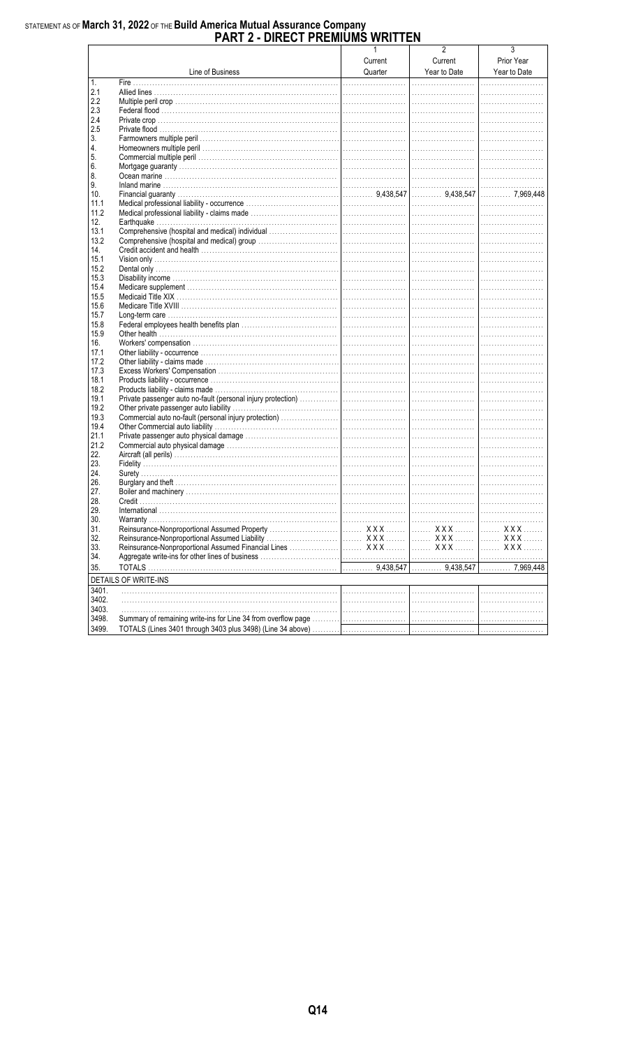# STATEMENT AS OF March 31, 2022 OF THE Build America Mutual Assurance Company<br>PART 2 - DIRECT PREMIUMS WRITTEN

|                |                      | $\mathbf{1}$ | $\overline{2}$ | 3            |
|----------------|----------------------|--------------|----------------|--------------|
|                |                      | Current      | Current        | Prior Year   |
|                | Line of Business     | Quarter      | Year to Date   | Year to Date |
| 1.             |                      |              |                |              |
| 2.1            |                      |              |                |              |
| 2.2            |                      |              |                |              |
| 2.3            |                      |              |                |              |
| 2.4            |                      |              |                |              |
| 2.5            |                      |              |                |              |
| 3.             |                      |              |                |              |
| 4.             |                      |              |                |              |
| 5.             |                      |              |                |              |
| 6.             |                      |              |                |              |
| 8.             |                      |              |                |              |
| 9.             |                      |              |                |              |
| 10.            |                      |              |                |              |
| 11.1           |                      |              |                |              |
| 11.2           |                      |              |                |              |
| 12.            |                      |              |                |              |
| 13.1           |                      |              |                |              |
| 13.2           |                      |              |                |              |
| 14.            |                      |              |                |              |
| 15.1           |                      |              |                |              |
| 15.2           |                      |              |                |              |
| 15.3           |                      |              |                |              |
| 15.4           |                      |              |                |              |
| 15.5           |                      |              |                |              |
| 15.6           |                      |              |                |              |
| 15.7           |                      |              |                |              |
| 15.8           |                      |              |                |              |
| 15.9           |                      |              |                |              |
| 16.            |                      |              |                |              |
| 17.1           |                      |              |                |              |
| 17.2           |                      |              |                |              |
| 17.3<br>18.1   |                      |              |                |              |
| 18.2           |                      |              |                |              |
| 19.1           |                      |              |                |              |
| 19.2           |                      |              |                |              |
| 19.3           |                      |              |                |              |
| 19.4           |                      |              |                |              |
| 21.1           |                      |              |                |              |
| 21.2           |                      |              |                |              |
| 22.            |                      |              |                |              |
| 23.            |                      |              |                |              |
| 24.            |                      |              |                |              |
| 26.            |                      |              |                |              |
| 27.            |                      |              |                |              |
| 28.            |                      |              |                |              |
| 29.            |                      |              |                |              |
| 30.            |                      |              |                |              |
| 31.            |                      |              |                |              |
| 32.            |                      |              |                |              |
| 33.            |                      |              |                |              |
| 34.            |                      |              |                |              |
| 35.            |                      |              |                |              |
|                | DETAILS OF WRITE-INS |              |                |              |
|                |                      |              |                |              |
| 3401.          |                      |              |                |              |
| 3402.<br>3403. |                      |              |                |              |
| 3498.          |                      |              |                |              |
|                |                      |              |                |              |
| 3499.          |                      |              |                |              |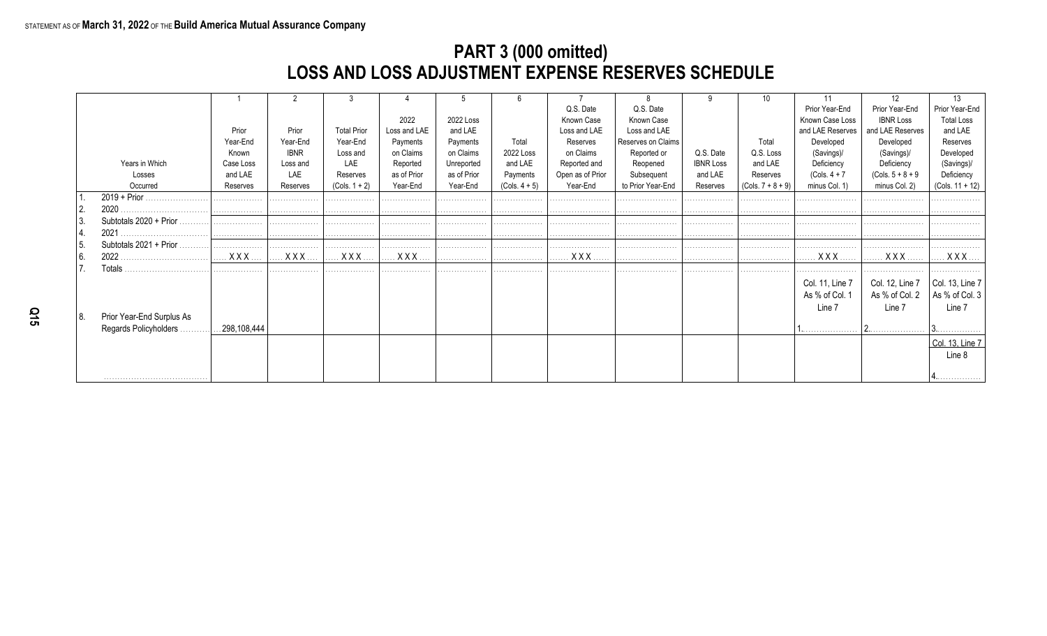## **PART 3 (000 omitted) LOSS AND LOSS ADJUSTMENT EXPENSE RESERVES SCHEDULE**

|      |                           |                     |             |                    |              |             |                 |                  |                    |                  |                     |                  | 12                  | 13                                        |
|------|---------------------------|---------------------|-------------|--------------------|--------------|-------------|-----------------|------------------|--------------------|------------------|---------------------|------------------|---------------------|-------------------------------------------|
|      |                           |                     |             |                    |              |             |                 | Q.S. Date        | Q.S. Date          |                  |                     | Prior Year-End   | Prior Year-End      | Prior Year-End                            |
|      |                           |                     |             |                    | 2022         | 2022 Loss   |                 | Known Case       | Known Case         |                  |                     | Known Case Loss  | <b>IBNR Loss</b>    | <b>Total Loss</b>                         |
|      |                           | Prior               | Prior       | <b>Total Prior</b> | Loss and LAE | and LAE     |                 | Loss and LAE     | Loss and LAE       |                  |                     | and LAE Reserves | and LAE Reserves    | and LAE                                   |
|      |                           | Year-End            | Year-End    | Year-End           | Payments     | Payments    | Total           | Reserves         | Reserves on Claims |                  | Total               | Developed        | Developed           | Reserves                                  |
|      |                           | Known               | <b>IBNR</b> | Loss and           | on Claims    | on Claims   | 2022 Loss       | on Claims        | Reported or        | Q.S. Date        | Q.S. Loss           | (Savings)/       | (Savings)/          | Developed                                 |
|      | Years in Which            | Case Loss           | Loss and    | LAE                | Reported     | Unreported  | and LAE         | Reported and     | Reopened           | <b>IBNR Loss</b> | and LAE             | Deficiency       | Deficiency          | (Savings)/                                |
|      | Losses                    | and LAE             | LAE         | Reserves           | as of Prior  | as of Prior | Payments        | Open as of Prior | Subsequent         | and LAE          | Reserves            | $(Cols. 4 + 7)$  | $(Cols. 5 + 8 + 9)$ | Deficiency                                |
|      | Occurred                  | Reserves            | Reserves    | $(Cols. 1 + 2)$    | Year-End     | Year-End    | $(Cols. 4 + 5)$ | Year-End         | to Prior Year-End  | Reserves         | $(Cols. 7 + 8 + 9)$ | minus Col. 1)    | minus Col. 2)       | $(Cols. 11 + 12)$                         |
|      |                           | .                   | .           | .                  | .            | .           | .               |                  | .                  | .                | .                   |                  |                     | .                                         |
|      | 2020                      | .                   | .           | .                  | .            | .           | .               |                  | .                  | .                | .                   |                  |                     | .                                         |
| 3.   | Subtotals 2020 + Prior    |                     | .           | .                  | .            | .           | .               |                  |                    | .                | .                   | .                |                     | .                                         |
| 4.   | 2021                      | .                   |             |                    |              | .           | .               |                  |                    | .                | .                   |                  |                     | .                                         |
| 15.  | Subtotals $2021 + Prior$  | .                   | .           | .                  | .            | .           | .               |                  |                    |                  | .                   |                  |                     |                                           |
| l 6. |                           | <b>X X X</b>        | <b>XXX</b>  | <b>X X X</b>       |              | .           | .               | XXX              |                    | .                |                     |                  | . X X X             | $XXX$                                     |
|      | Totals                    | .                   | .           | .                  | .            | .           | .               |                  |                    | .                | .                   |                  |                     | .                                         |
|      |                           |                     |             |                    |              |             |                 |                  |                    |                  |                     | Col. 11, Line 7  | Col. 12, Line 7     |                                           |
|      |                           |                     |             |                    |              |             |                 |                  |                    |                  |                     | As % of Col. 1   | As % of Col. 2      | $\vert$ Col. 13, Line 7<br>As % of Col. 3 |
|      |                           |                     |             |                    |              |             |                 |                  |                    |                  |                     | Line 7           | Line 7              | Line 7                                    |
| 8.   | Prior Year-End Surplus As |                     |             |                    |              |             |                 |                  |                    |                  |                     |                  |                     |                                           |
|      | Regards Policyholders.    | $\dots$ 298,108,444 |             |                    |              |             |                 |                  |                    |                  |                     | <b>1</b>         |                     | <u>U.</u>                                 |
|      |                           |                     |             |                    |              |             |                 |                  |                    |                  |                     |                  |                     | Col. 13, Line 7                           |
|      |                           |                     |             |                    |              |             |                 |                  |                    |                  |                     |                  |                     | Line 8                                    |
|      |                           |                     |             |                    |              |             |                 |                  |                    |                  |                     |                  |                     |                                           |
|      |                           |                     |             |                    |              |             |                 |                  |                    |                  |                     |                  |                     |                                           |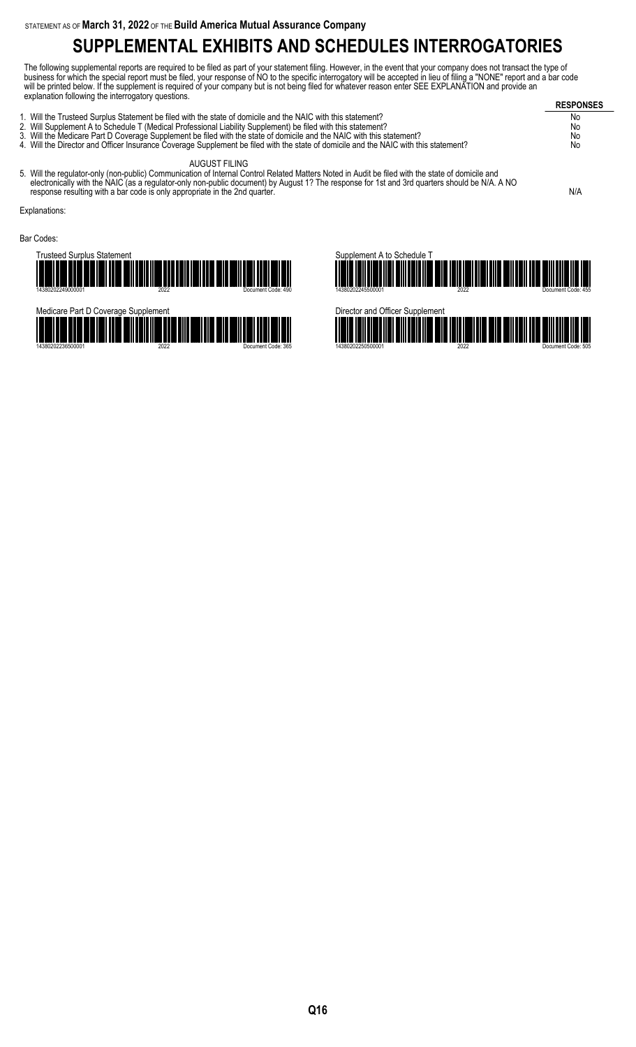# **SUPPLEMENTAL EXHIBITS AND SCHEDULES INTERROGATORIES**

The following supplemental reports are required to be filed as part of your statement filing. However, in the event that your company does not transact the type of business for which the special report must be filed, your response of NO to the specific interrogatory will be accepted in lieu of filing a "NONE" report and a bar code will be printed below. If the supplement is required of your company but is not being filed for whatever reason enter SEE EXPLANATION and provide an explanation following the interrogatory questions.

| $\frac{1}{2}$                                                                                                                        | <b>RESPONSES</b> |
|--------------------------------------------------------------------------------------------------------------------------------------|------------------|
| 1. Will the Trusteed Surplus Statement be filed with the state of domicile and the NAIC with this statement?                         | No.              |
| 2. Will Supplement A to Schedule T (Medical Professional Liability Supplement) be filed with this statement?                         | No               |
| 3. Will the Medicare Part D Coverage Supplement be filed with the state of domicile and the NAIC with this statement?                | No               |
| 4. Will the Director and Officer Insurance Coverage Supplement be filed with the state of domicile and the NAIC with this statement? | No               |
| AUGUST FILING                                                                                                                        |                  |

5. Will the regulator-only (non-public) Communication of Internal Control Related Matters Noted in Audit be filed with the state of domicile and electronically with the NAIC (as a regulator-only non-public document) by August 1? The response for 1st and 3rd quarters should be N/A. A NO response resulting with a bar code is only appropriate in the 2nd quarter.  $N/A$ 

Explanations:

Bar Codes:

Trusteed Surplus Statement 14380202249000001 2022 Document Code: 490





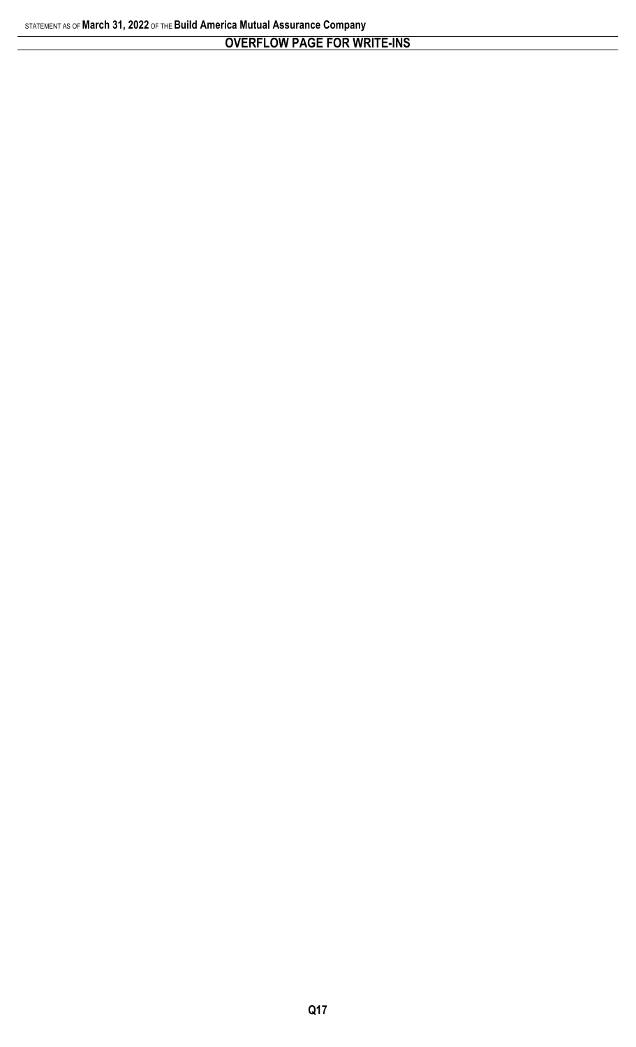## **OVERFLOW PAGE FOR WRITE-INS**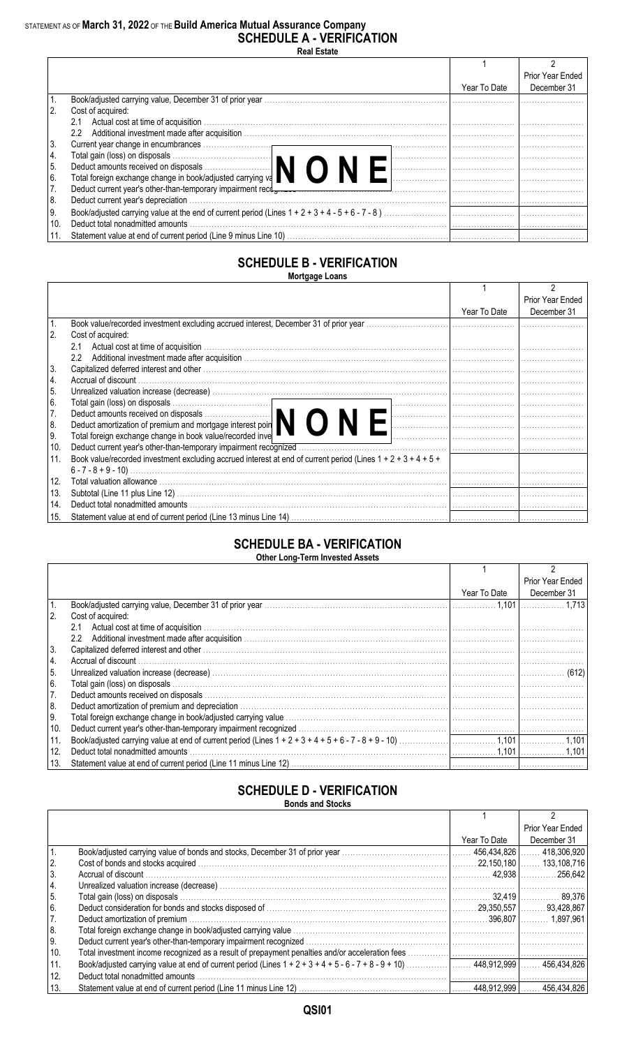## STATEMENT AS OF **March 31, 2022** OF THE **Build America Mutual Assurance Company SCHEDULE A - VERIFICATION**

**Real Estate**

|      |                                                                                                                                        |              | Prior Year Ended |
|------|----------------------------------------------------------------------------------------------------------------------------------------|--------------|------------------|
|      |                                                                                                                                        | Year To Date | December 31      |
|      |                                                                                                                                        |              |                  |
|      | Cost of acquired:                                                                                                                      |              |                  |
|      | 2.1                                                                                                                                    |              |                  |
|      | $2.2^{\circ}$                                                                                                                          |              |                  |
| 3.   |                                                                                                                                        |              |                  |
| 4.   |                                                                                                                                        |              |                  |
| 5.   | Total gain (loss) on disposals<br>Deduct amounts received on disposals<br>Total foreign exchange change in book/adjusted carrying va   |              |                  |
| l 6. |                                                                                                                                        |              |                  |
| 7.   | Deduct current year's other-than-temporary impairment recotomers expansion contains and contained a contained the contained processes. |              |                  |
| 8.   | Deduct current year's depreciation.                                                                                                    |              |                  |
| 9.   |                                                                                                                                        |              |                  |
| 10.  | Deduct total nonadmitted amounts                                                                                                       |              |                  |
|      |                                                                                                                                        |              |                  |

#### **SCHEDULE B - VERIFICATION Mortgage Loans**

|               |                                                                                                                                     |              | Prior Year Ended |
|---------------|-------------------------------------------------------------------------------------------------------------------------------------|--------------|------------------|
|               |                                                                                                                                     | Year To Date | December 31      |
|               |                                                                                                                                     |              |                  |
| <sup>2.</sup> | Cost of acquired:                                                                                                                   |              |                  |
|               | 2.1                                                                                                                                 |              |                  |
|               | $2.2^{\circ}$                                                                                                                       |              |                  |
| 3.            |                                                                                                                                     |              |                  |
| 14.           | Accrual of discount                                                                                                                 |              |                  |
| 5.            |                                                                                                                                     |              |                  |
| 6.            | Total gain (loss) on disposals<br>Deduct amounts received on disposals<br>Deduct amortization of premium and mortgage interest poin |              |                  |
| 17.           |                                                                                                                                     |              |                  |
| 8.            |                                                                                                                                     |              |                  |
| 9.            | Total foreign exchange change in book value/recorded inve                                                                           |              |                  |
| 10.           |                                                                                                                                     |              |                  |
| 11.           | Book value/recorded investment excluding accrued interest at end of current period (Lines $1 + 2 + 3 + 4 + 5 + 1$ )                 |              |                  |
|               |                                                                                                                                     |              |                  |
| 12.           |                                                                                                                                     |              |                  |
| 13.           |                                                                                                                                     |              |                  |
| 14.           |                                                                                                                                     |              |                  |
| 15.           |                                                                                                                                     |              |                  |

#### **SCHEDULE BA - VERIFICATION Other Long-Term Invested Assets**

|      |                                                                                                                                                                                                                                |              | Prior Year Ended |
|------|--------------------------------------------------------------------------------------------------------------------------------------------------------------------------------------------------------------------------------|--------------|------------------|
|      |                                                                                                                                                                                                                                | Year To Date | December 31      |
|      |                                                                                                                                                                                                                                |              |                  |
| 2.   | Cost of acquired:                                                                                                                                                                                                              |              |                  |
|      | 2.1                                                                                                                                                                                                                            |              |                  |
|      | $2.2^{\circ}$                                                                                                                                                                                                                  |              |                  |
| l 3. | Capitalized deferred interest and other with the continuum contract and other with the contract of the contract of the contract of the contract of the contract of the contract of the contract of the contract of the contrac |              |                  |
| 14.  |                                                                                                                                                                                                                                |              |                  |
| 5.   |                                                                                                                                                                                                                                |              |                  |
| l 6. |                                                                                                                                                                                                                                |              |                  |
| 7.   |                                                                                                                                                                                                                                |              |                  |
| 8.   | Deduct amortization of premium and depreciation measurements are according to the contract of premium and depreciation measurements and $\sim$                                                                                 |              |                  |
| l 9. |                                                                                                                                                                                                                                |              |                  |
| 10.  |                                                                                                                                                                                                                                |              |                  |
| 11.  |                                                                                                                                                                                                                                |              |                  |
| 12.  | Deduct total nonadmitted amounts                                                                                                                                                                                               |              |                  |
| 13.  |                                                                                                                                                                                                                                |              |                  |

#### **SCHEDULE D - VERIFICATION Bonds and Stocks**

|      | טאט פווע שנושע                   |              |                  |
|------|----------------------------------|--------------|------------------|
|      |                                  |              |                  |
|      |                                  |              | Prior Year Ended |
|      |                                  | Year To Date | December 31      |
|      |                                  |              |                  |
|      |                                  |              |                  |
| 3.   |                                  |              | .256.642         |
| 4.   |                                  |              |                  |
| l 5. |                                  |              |                  |
| 16.  |                                  |              |                  |
| 7.   |                                  |              |                  |
| 8.   |                                  |              |                  |
| I9.  |                                  |              |                  |
| 10.  |                                  |              |                  |
| 11.  |                                  |              |                  |
| 12.  | Deduct total nonadmitted amounts |              |                  |
| 13.  |                                  |              | 456.434.826      |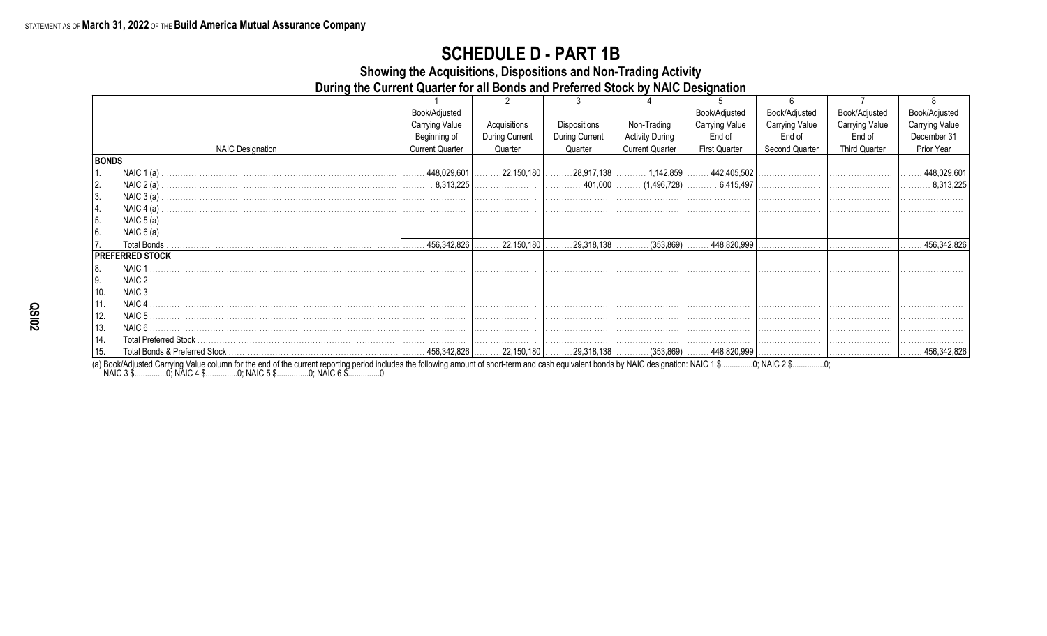Showing the Acquisitions, Dispositions and Non-Trading Activity

During the Current Quarter for all Bonds and Preferred Stock by NAIC Designation

|              |                         | Book/Adjusted          |                |                |                                                                   | Book/Adjusted         | Book/Adjusted         | Book/Adjusted         | Book/Adjusted         |
|--------------|-------------------------|------------------------|----------------|----------------|-------------------------------------------------------------------|-----------------------|-----------------------|-----------------------|-----------------------|
|              |                         | <b>Carrying Value</b>  | Acquisitions   | Dispositions   | Non-Trading                                                       | <b>Carrying Value</b> | <b>Carrying Value</b> | <b>Carrying Value</b> | <b>Carrying Value</b> |
|              |                         | Beginning of           | During Current | During Current | <b>Activity During</b>                                            | End of                | End of                | End of                | December 31           |
|              | <b>NAIC Designation</b> | <b>Current Quarter</b> | Quarter        | Quarter        | <b>Current Quarter</b>                                            | <b>First Quarter</b>  | Second Quarter        | <b>Third Quarter</b>  | Prior Year            |
| <b>BONDS</b> |                         |                        |                |                |                                                                   |                       |                       |                       |                       |
|              | NAIC $1(a)$             |                        |                |                | $\vert$ 22,150,180 $\vert$ 28,917,138 $\vert$ 1,142,859 $\vert$ . | $\ldots$ 442,405,502  |                       |                       | 448,029,601           |
| 2.           |                         |                        |                |                |                                                                   |                       |                       |                       | 8,313,225             |
| 3.           | NAIC $3(a)$             |                        |                |                |                                                                   |                       |                       |                       |                       |
| 4.           | NAIC $4(a)$ .           |                        |                |                |                                                                   |                       |                       |                       |                       |
| 5.           | NAIC $5(a)$ .           |                        |                |                |                                                                   |                       |                       |                       |                       |
| 6.           | NAIC $6(a)$             |                        |                |                |                                                                   |                       |                       |                       |                       |
| 17.          | Total Bonds.            |                        |                |                |                                                                   |                       |                       |                       | .456,342,826          |
|              | <b>PREFERRED STOCK</b>  |                        |                |                |                                                                   |                       |                       |                       |                       |
| 18.          | NAIC <sub>1</sub>       |                        |                |                |                                                                   |                       |                       |                       |                       |
| l 9.         | NAIC <sub>2</sub>       |                        |                |                |                                                                   |                       |                       |                       |                       |
| ່ 10.        | NAIC <sub>3</sub>       |                        |                |                |                                                                   |                       |                       |                       |                       |
| 11.          | NAIC <sub>4</sub>       |                        |                |                |                                                                   |                       |                       |                       |                       |
| 12.          | NAIC <sub>5</sub>       |                        |                |                |                                                                   |                       |                       |                       |                       |
| 13.          | NAIC 6                  |                        |                |                |                                                                   |                       |                       |                       |                       |
| 14.          |                         |                        |                |                |                                                                   |                       |                       |                       |                       |
| 15.          |                         |                        |                |                |                                                                   |                       |                       |                       | ∣…… 456,342,826       |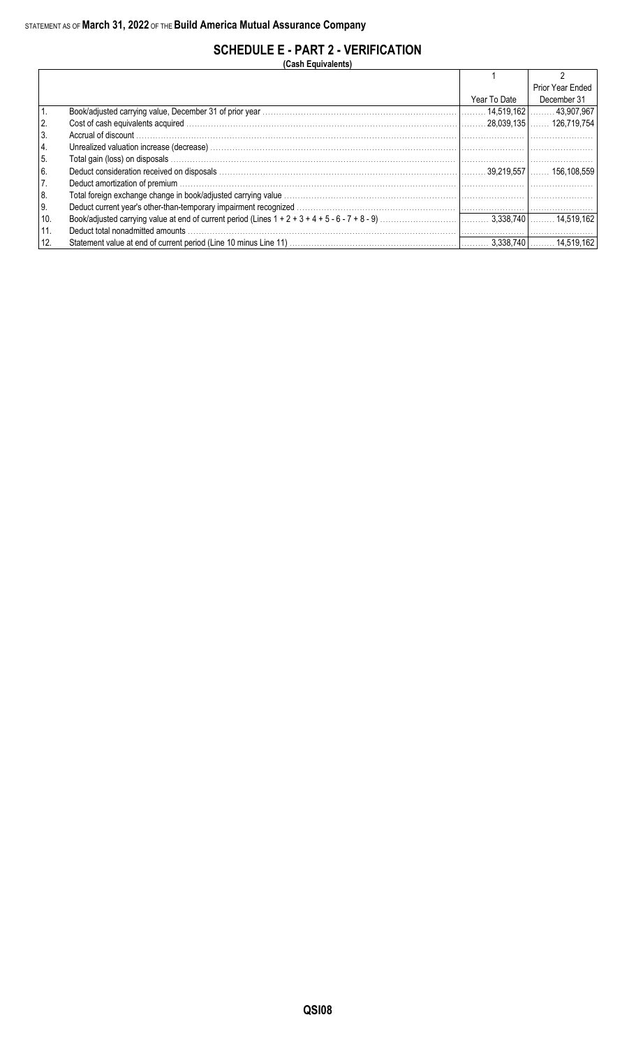## **SCHEDULE E - PART 2 - VERIFICATION**

**(Cash Equivalents)**

|                |              | Prior Year Ended |
|----------------|--------------|------------------|
|                | Year To Date | December 31      |
|                |              |                  |
| $\overline{2}$ |              |                  |
| l 3.           |              |                  |
| 4.             |              |                  |
| 5.             |              |                  |
| 6.             |              |                  |
| 17.            |              |                  |
| 8.             |              |                  |
| ∣9.            |              |                  |
| 10.            |              |                  |
| 11.            |              |                  |
| 12.            |              |                  |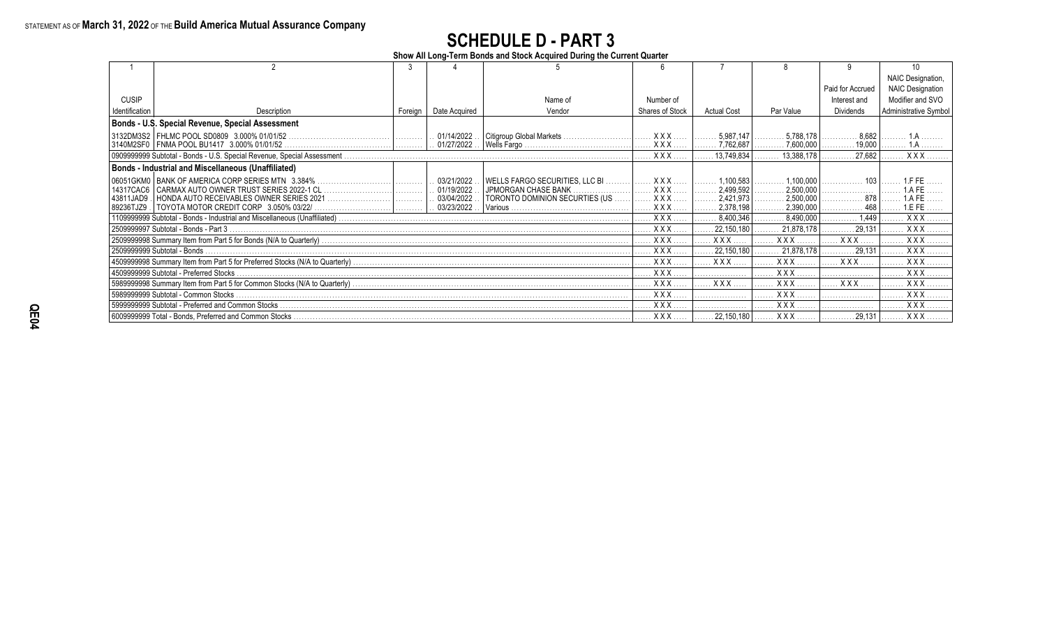**Show All Long-Term Bonds and Stock Acquired During the Current Quarter**

|                |                                                            |         |                  |                                |                 |                    |                        |                  | NAIC Designation,            |
|----------------|------------------------------------------------------------|---------|------------------|--------------------------------|-----------------|--------------------|------------------------|------------------|------------------------------|
|                |                                                            |         |                  |                                |                 |                    |                        | Paid for Accrued | <b>NAIC Designation</b>      |
| <b>CUSIP</b>   |                                                            |         |                  | Name of                        | Number of       |                    |                        | Interest and     | Modifier and SVO             |
| Identification | Description                                                | Foreian | Date Acquired    | Vendor                         | Shares of Stock | <b>Actual Cost</b> | Par Value              | <b>Dividends</b> | <b>Administrative Symbol</b> |
|                | Bonds - U.S. Special Revenue, Special Assessment           |         |                  |                                |                 |                    |                        |                  |                              |
|                | 3132DM3S2   FHLMC POOL SD0809 3.000% 01/01/52              |         | . 01/14/2022.    | Citigroup Global Markets       | <b>XXX</b>      | 5,987,147          | 5,788,178              | 8.682            |                              |
|                | 3140M2SF0   FNMA POOL BU1417 3.000% 01/01/52.              |         | . 01/27/2022.    |                                | XXX             | .7,762,687         | .7,600,000             |                  |                              |
|                |                                                            |         |                  |                                | $XXX$           | 13,749,834         | 13,388,178             | 27,682           | XXX.                         |
|                | <b>Bonds - Industrial and Miscellaneous (Unaffiliated)</b> |         |                  |                                |                 |                    |                        |                  |                              |
|                | 06051GKM0   BANK OF AMERICA CORP SERIES MTN 3.384%         |         | . 03/21/2022     |                                |                 | 1,100,583          | 1.100.000              | . 103            |                              |
| 14317CAC6      |                                                            |         | $. 01/19/2022$ . | JPMORGAN CHASE BANK            | <b>XXX</b>      | 2,499,592          | 2,500,000<br>.         |                  |                              |
| 43811JAD9      | HONDA AUTO RECEIVABLES OWNER SERIES 2021    .              |         | . 03/04/2022.    | TORONTO DOMINION SECURTIES (US | XXX.            | 2,421,973          | 2,500,000              | . 878            |                              |
| 89236TJZ9      |                                                            |         | . 03/23/2022     |                                | $XXX$           | 2,378,198          | 2,390,000              | . 468            | 1.EFE                        |
|                |                                                            |         |                  |                                | $XXX$           | 8.400.346          | 8.490.000              | 1.449            | XXX.                         |
|                | 2509999997 Subtotal - Bonds - Part 3                       |         |                  |                                | XXX.            | 22.150.180         | 21,878,178             | 29.131           | XXX.                         |
|                |                                                            |         |                  |                                | XXX.            | <b>XXX</b>         | <b>XXX</b>             | XXX.             | XXX.                         |
|                | 2509999999 Subtotal - Bonds                                |         |                  |                                | XXX.            | 22,150,180         | 21,878,178             | 29,131           | XXX.                         |
|                |                                                            |         |                  |                                | XXX.            | <b>XXX</b>         | XXX                    | XXX.             | XXX.                         |
|                | 4509999999 Subtotal - Preferred Stocks.                    |         |                  |                                | <b>XXX</b>      |                    | <b>XXX</b>             |                  | <b>XXX</b>                   |
|                |                                                            |         |                  |                                | <b>XXX</b>      | <b>XXX</b>         | <b>XXX</b>             | . XXX            | XXX                          |
|                | 5989999999 Subtotal - Common Stocks.                       |         |                  |                                | XXX.            |                    | <b>XXX</b>             |                  | XXX.                         |
|                | 5999999999 Subtotal - Preferred and Common Stocks.         |         |                  |                                | $XXX$           |                    | $XXX$                  |                  | $XXX$                        |
|                |                                                            |         |                  |                                | XXX             |                    | 22,150,180 $\vert$ XXX | 29,131           | XXX                          |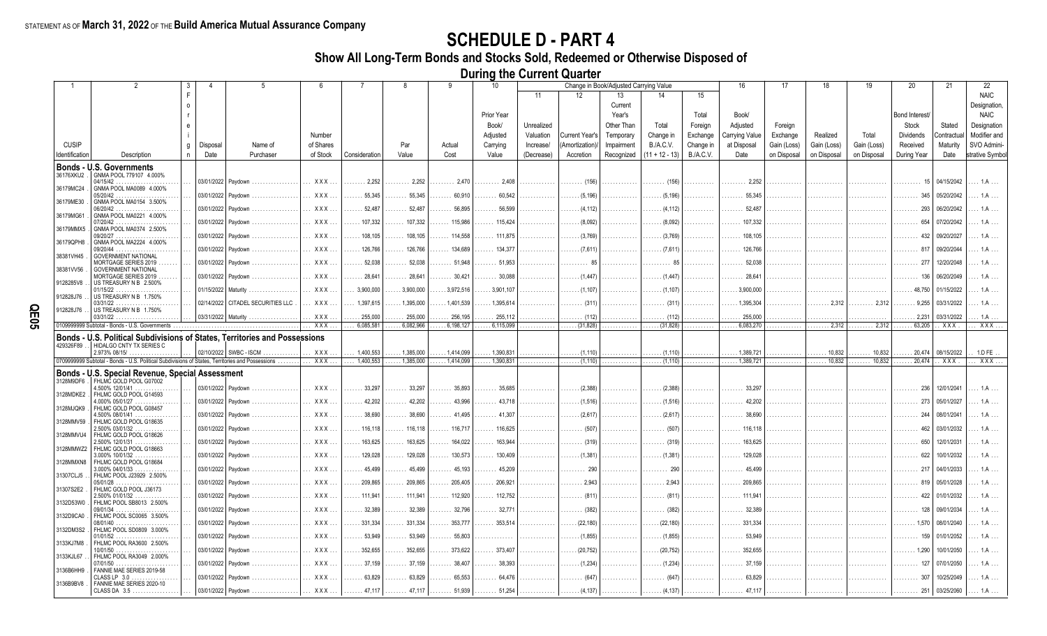**Show All Long-Term Bonds and Stocks Sold, Redeemed or Otherwise Disposed of**

**During the Current Quarter**

|                |                                                                                                  | 3  |                       | $5^{\circ}$                       |            |                          | 8                     | 9                              | 10                     |            |                              | Change in Book/Adjusted Carrying Value |                            |                  | 16                            | 17          | 18               | 19                | 20                         | 21                  | 22              |
|----------------|--------------------------------------------------------------------------------------------------|----|-----------------------|-----------------------------------|------------|--------------------------|-----------------------|--------------------------------|------------------------|------------|------------------------------|----------------------------------------|----------------------------|------------------|-------------------------------|-------------|------------------|-------------------|----------------------------|---------------------|-----------------|
|                |                                                                                                  | F  |                       |                                   |            |                          |                       |                                |                        | 11         | 12                           | 13                                     | 14                         | 15               |                               |             |                  |                   |                            |                     | <b>NAIC</b>     |
|                |                                                                                                  |    |                       |                                   |            |                          |                       |                                |                        |            |                              | Current                                |                            |                  |                               |             |                  |                   |                            |                     | Designation,    |
|                |                                                                                                  |    |                       |                                   |            |                          |                       |                                | Prior Year             |            |                              | Year's                                 |                            | Total            | Book/                         |             |                  |                   | Bond Interest/             |                     | <b>NAIC</b>     |
|                |                                                                                                  |    |                       |                                   |            |                          |                       |                                | Book/                  | Unrealized |                              | Other Than                             | Total                      | Foreign          | Adjusted                      | Foreign     |                  |                   | Stock                      | Stated              | Designation     |
|                |                                                                                                  |    |                       |                                   | Number     |                          |                       |                                | Adjusted               | Valuation  | Current Year's               | Temporary                              | Change in                  | Exchange         | <b>Carrying Value</b>         | Exchange    | Realized         | Total             | Dividends                  | Contractua          | Modifier and    |
| <b>CUSIP</b>   |                                                                                                  | g  | Disposal              | Name of                           | of Shares  |                          | Par                   | Actual                         | Carrying               | Increase/  | (Amortization)               | Impairment                             | <b>B./A.C.V.</b>           | Change in        | at Disposal                   | Gain (Loss) | Gain (Loss)      | Gain (Loss)       | Received                   | Maturity            | SVO Admini-     |
| Identification | Description                                                                                      | n. | Date                  | Purchaser                         | of Stock   | Consideration            | Value                 | Cost                           | Value                  | (Decrease) | Accretion                    | Recognized                             | $(11 + 12 - 13)$           | <b>B./A.C.V.</b> | Date                          | on Disposal | on Disposal      | on Disposal       | During Year                | Date                | strative Symbol |
|                | Bonds - U.S. Governments                                                                         |    |                       |                                   |            |                          |                       |                                |                        |            |                              |                                        |                            |                  |                               |             |                  |                   |                            |                     |                 |
| 36176XKU2      | GNMA POOL 779107 4.000%<br>04/15/42                                                              |    | 03/01/2022 Paydown    |                                   | XXX.       | .2.252<br>.              | $\ldots \ldots 2,252$ | 2,470                          | $\ldots \ldots 2,408$  |            | (156)                        |                                        | (156)                      |                  | 2.252                         |             |                  |                   | 15                         | 04/15/2042          | 1.A             |
| 36179MC24      | GNMA POOL MA0089 4.000%                                                                          |    |                       |                                   | XXX.       | .55,345                  | 55,345                |                                |                        |            | (5.196)                      |                                        | (5.196)                    |                  | 55,345                        |             |                  |                   | 345                        | 05/20/2042          |                 |
| 36179ME30      | 05/20/42<br>GNMA POOL MA0154 3.500%                                                              |    | 03/01/2022 Paydowr    |                                   |            |                          |                       | $\ldots$ . 60,910              | 60,542                 |            |                              |                                        |                            |                  |                               |             |                  |                   |                            |                     |                 |
| 36179MG61      | 06/20/42<br>GNMA POOL MA0221 4.000%                                                              |    | 03/01/2022 Paydown    |                                   | XXX.       | $\ldots 52,487$          | .52,487<br>.          | $\ldots \ldots 56,895$         | $\ldots$ 56,599        |            | (4.112)                      |                                        | (4.112)                    |                  | 52.487<br>.                   |             |                  |                   | 293                        | 06/20/2042          |                 |
|                | 17/20/42                                                                                         |    | 03/01/2022   Paydown  |                                   | $XXX$      | $\ldots$ . 107,332       | 107,332               | $\ldots$ . 115,986             | $\ldots$ 115,424       |            | (8,092)                      |                                        | (8,092)                    |                  | $\ldots$ . 107,332            |             |                  |                   | 654                        | 07/20/2042          |                 |
| 36179MMX5      | GNMA POOL MA0374 2.500%<br>09/20/27                                                              |    | 03/01/2022 Paydowr    |                                   | $XXX$      | $\ldots$ . 108,105       | 108,105               | 114,558                        | $\ldots$ 111,875       |            | (3.769)                      |                                        | (3,769)                    |                  | $\ldots$ . 108,105            |             |                  |                   |                            | 09/20/2027          |                 |
| 36179QPH8      | GNMA POOL MA2224 4.000%<br>09/20/44                                                              |    | 03/01/2022 Paydown    |                                   | <b>XXX</b> | $\ldots$ 126,766         | 126,766               | $\ldots$ 134.689               | 134.377                |            | . (7.611)                    |                                        | (7.611)                    |                  | 126,766                       |             |                  |                   |                            | 09/20/2044          |                 |
| 38381VH45      | <b>GOVERNMENT NATIONAL</b>                                                                       |    |                       |                                   |            |                          |                       |                                |                        |            |                              |                                        |                            |                  |                               |             |                  |                   |                            |                     |                 |
| 38381VV56      | MORTGAGE SERIES 2019<br><b>GOVERNMENT NATIONAL</b>                                               |    | 03/01/2022   Paydown  |                                   | XXX        | 52,038                   | 52,038                | $\ldots$ 51,948                | $\ldots$ 51,953        |            |                              |                                        | 85                         |                  | 52,038                        |             |                  |                   | 277                        | 12/20/2048          |                 |
| 9128285V8      | MORTGAGE SERIES 2019<br>US TREASURY N B 2.500%                                                   |    | 03/01/2022 Paydowr    |                                   | <b>XXX</b> | 28,64                    | 28,641                | .30,421                        | 30,088                 |            | (1.447                       |                                        | (1.447)                    |                  | 28.64                         |             |                  |                   | 136                        | 06/20/2049          |                 |
|                | 01/15/22                                                                                         |    | 01/15/2022   Maturity |                                   | <b>XXX</b> | 3.900.000                | 3.900.000             | .3.972.516                     | 3.901.107              |            | . (1.107)                    |                                        | (1.107)                    |                  | 3.900.000                     |             |                  |                   | 48.750                     | 01/15/2022          |                 |
| 912828J76      | US TREASURY N B 1.750%<br>03/31/22                                                               |    |                       | 02/14/2022 CITADEL SECURITIES LLC | XXX.       | 1,397,615                | 1,395,000             | $\ldots$ 1,401,539             | 1,395,614              |            | (311)                        |                                        | (311)                      |                  | 1,395,304                     |             | 2.312            | $\ldots$ . 2.312  | 9.255                      | 03/31/2022          |                 |
| 912828J76      | US TREASURY N B 1.750%                                                                           |    |                       |                                   | XXX        |                          |                       |                                |                        |            |                              |                                        |                            |                  |                               |             |                  |                   |                            |                     |                 |
|                | $03/31/22$<br>0109999999 Subtotal - Bonds - U.S. Governments                                     |    | 03/31/2022   Maturity |                                   | XXX        | . . 255,000<br>6.085.581 | 255,000<br>6.082.966  | $\ldots$ 256,195<br>.6,198,127 | 255,112<br>.6,115,099  | .<br>.     | $\ldots$ . (112)<br>(31.828) |                                        | $\ldots$ (112)<br>(31.828) |                  | $\ldots$ 255,000<br>6.083.270 |             | $\ldots$ . 2,312 | . 2,312           | $\ldots$ . 2,231<br>63.205 | 03/31/2022<br>. XXX | 1.A<br>XXX.     |
|                | <b>Bonds - U.S. Political Subdivisions of States. Territories and Possessions</b>                |    |                       |                                   |            |                          |                       |                                |                        |            |                              |                                        |                            |                  |                               |             |                  |                   |                            |                     |                 |
| 429326F89      | HIDALGO CNTY TX SERIES C                                                                         |    |                       |                                   |            |                          |                       |                                |                        |            |                              |                                        |                            |                  |                               |             |                  |                   |                            |                     |                 |
|                | 2.973% 08/15/                                                                                    |    |                       | 02/10/2022   SWBC - ISCM          | XXX        | . 1,400,553              | $\ldots$ . 1,385,000  | .1414,099                      | 1,390,831              |            | $\ldots$ (1,110)             |                                        | (1, 110)                   |                  | 1,389,721                     |             | 10,832           | $\ldots$ . 10,832 | 20,474                     | 08/15/2022          | 1.D FE          |
|                | 0709999999 Subtotal - Bonds - U.S. Political Subdivisions of States, Territories and Possessions |    |                       |                                   | <b>XXX</b> | 1,400,553                | .1,385,000            | 1,414,099                      | 1,390,831              | .          | $\ldots$ (1,110)             | .                                      | (1, 110)                   | .                | 1,389,721                     | .           | 10,832           | 10,832<br>.       | 20,474                     | XXX                 | XXX.            |
|                | Bonds - U.S. Special Revenue, Special Assessment                                                 |    |                       |                                   |            |                          |                       |                                |                        |            |                              |                                        |                            |                  |                               |             |                  |                   |                            |                     |                 |
| 3128M9DF6      | FHLMC GOLD POOL G07002<br>4.500% 12/01/41                                                        |    |                       | 03/01/2022 Paydown                | $XXX$      | $\ldots$ 33,297          | .33,297               | 35,893                         | $\ldots \ldots 35,685$ |            | (2,388)                      |                                        | (2,388)                    |                  | 33.297                        |             |                  |                   | 236                        | 12/01/2041          | 1 A             |
| 3128MDKE2      | FHLMC GOLD POOL G14593<br>4.000% 05/01/27                                                        |    | 03/01/2022 Paydown    |                                   | $XXX$      | 42.202                   | 42.202                | 43.996                         | 43.718                 |            | (1.516)                      |                                        | (1.516)                    |                  | 42.202                        |             |                  |                   | 273 I                      | 05/01/2027          |                 |
| 3128MJQK9      | FHLMC GOLD POOL G08457                                                                           |    |                       |                                   |            |                          |                       |                                |                        |            |                              |                                        |                            |                  |                               |             |                  |                   |                            |                     |                 |
| 3128MMV59      | .500% 08/01/41<br>FHLMC GOLD POOL G18635                                                         |    | 03/01/2022 Paydown    |                                   | XXX.       | $\ldots \ldots 38,690$   | . 38,690              | 41,495                         | $\ldots$ . 41.307      |            | (2.617)                      |                                        | (2.617)                    |                  | 38,690                        |             |                  |                   | 244                        | 08/01/2041          |                 |
| 3128MMVU4      | 2.500% 03/01/32<br>FHLMC GOLD POOL G18626                                                        |    | 03/01/2022   Paydown  |                                   | XXX        | $\ldots$ . 116,118       | 116,118               | $\ldots$ . 116,717             | $\ldots$ 116,625       |            | (507                         |                                        | (507)                      |                  | $\ldots$ . 116.118            |             |                  |                   | 462                        | 03/01/2032          |                 |
|                | $2.500\%$ 12/01/31                                                                               |    | 03/01/2022 Paydown    |                                   | <b>XXX</b> | 163,625                  | 163,625               | 164,022                        | 163,944                |            | (319)                        |                                        | (319)                      |                  | 163.62                        |             |                  |                   | 650                        | 12/01/2031          |                 |
| 3128MMWZ2      | FHLMC GOLD POOL G18663<br>$3.000\%$ 10/01/32                                                     |    | 03/01/2022 Paydown    |                                   | <b>XXX</b> | $\ldots$ . 129,028       | 129,028               | $\ldots$ . 130,573             | 130,409                |            | . (1.381)                    |                                        | (1,381)                    |                  | $\ldots$ 129.028              |             |                  |                   | 622                        | 10/01/2032          |                 |
| 3128MMXN8      | FHLMC GOLD POOL G18684<br>$3.000\%$ 04/01/33                                                     |    | 03/01/2022 Paydown    |                                   | <b>XXX</b> | $\ldots$ 45,499          | . 45,499              | 45,193                         | $\ldots$ 45,209        |            | 290                          |                                        | . 290                      |                  | 45.499                        |             |                  |                   | 217                        | 04/01/2033          |                 |
| 31307CLJ5      | FHLMC POOL J23929 2.500%                                                                         |    |                       |                                   |            |                          |                       |                                |                        |            | .                            |                                        |                            |                  | 1.1.1.1                       |             |                  |                   | .                          |                     |                 |
| 31307S2E2      | 05/01/28<br>.<br>FHLMC GOLD POOL J36173                                                          |    |                       | 03/01/2022 Paydown                | <b>XXX</b> | 209,865                  | 209,865               | 205,405<br>.                   | 206,921                |            | 2.943                        |                                        | 2.943                      |                  | 209.865                       |             |                  |                   |                            | 05/01/2028          |                 |
|                | $2.500\%$ 01/01/32                                                                               |    | 03/01/2022 Paydown    |                                   | XXX        | $\ldots$ 111,941         | 111,941               | 112.920                        | 112,752                |            | (811)                        |                                        | $\ldots$ (811)             |                  | 111.94                        |             |                  |                   |                            | 01/01/2032          |                 |
| 3132D53W0      | FHLMC POOL SB8013 2.500%<br>09/01/34<br>.                                                        |    | 03/01/2022 Paydown    |                                   | XXX.       | . 32,389                 | 32,389                | $\ldots \ldots 32,796$         | 32,771                 |            | (382)                        |                                        | (382)                      |                  | 32,389                        |             |                  |                   |                            | 09/01/2034          |                 |
| 3132D9CA0      | FHLMC POOL SC0065 3.500%                                                                         |    | 03/01/2022 Paydown    |                                   | XXX.       | . 331,334                | 331,334               | 353,777                        | 353,514                |            | (22, 180)                    |                                        | (22, 180)                  |                  | 331,334                       |             |                  |                   | 1.570                      | 08/01/2040          |                 |
| 3132DM3S2      | FHLMC POOL SD0809 3.000%                                                                         |    |                       |                                   |            |                          |                       |                                |                        |            |                              |                                        |                            |                  |                               |             |                  |                   |                            |                     |                 |
| 3133KJ7M8      | FHLMC POOL RA3600 2.500%                                                                         |    | 03/01/2022 Pavdowr    |                                   | XXX.       | .53,949                  | 53,949                | 55,803                         |                        |            | (1,855)                      |                                        | (1,855)                    |                  | 53.949                        |             |                  |                   | 159                        | 01/01/2052          |                 |
| 3133KJL67      | $10/01/50$ .<br>FHLMC POOL RA3049 2.000%                                                         |    | 03/01/2022 Paydowr    |                                   | XXX.       | 352,655                  | 352,655               | 373,622                        | 373,407                |            | (20.752)                     |                                        | (20, 752)                  |                  | 352,655                       |             |                  |                   | 1.290                      | 10/01/2050          |                 |
|                | 07/01/50                                                                                         |    | 03/01/2022 Paydown    |                                   | <b>XXX</b> | $\ldots$ . 37,159        | . 37,159              | $\ldots \ldots 38,407$         | 38,393                 |            | $\ldots$ (1,234)             |                                        | (1,234)                    |                  | 37,159                        |             |                  |                   |                            | 07/01/2050          |                 |
| 3136B6HH9      | FANNIE MAE SERIES 2019-58<br>CLASSLP 3.0 .                                                       |    | 03/01/2022            | Paydowr                           | <b>XXX</b> | $\ldots$ 63,829          | 63,829                | 65.553                         | 64.476                 |            |                              |                                        | (647)                      |                  | 63.829                        |             |                  |                   |                            | 10/25/2049          |                 |
| 3136B9BV8      | FANNIE MAE SERIES 2020-10<br>CLASS DA 3.5                                                        |    | 03/01/2022 Paydowr    |                                   |            | 47,117                   | 47,117                | 51,939                         | 51,254                 |            |                              |                                        | (4, 137)                   |                  |                               |             |                  |                   | 251                        | 03/25/2060          |                 |
|                |                                                                                                  |    |                       |                                   |            |                          |                       |                                |                        |            |                              |                                        |                            |                  |                               |             |                  |                   |                            |                     |                 |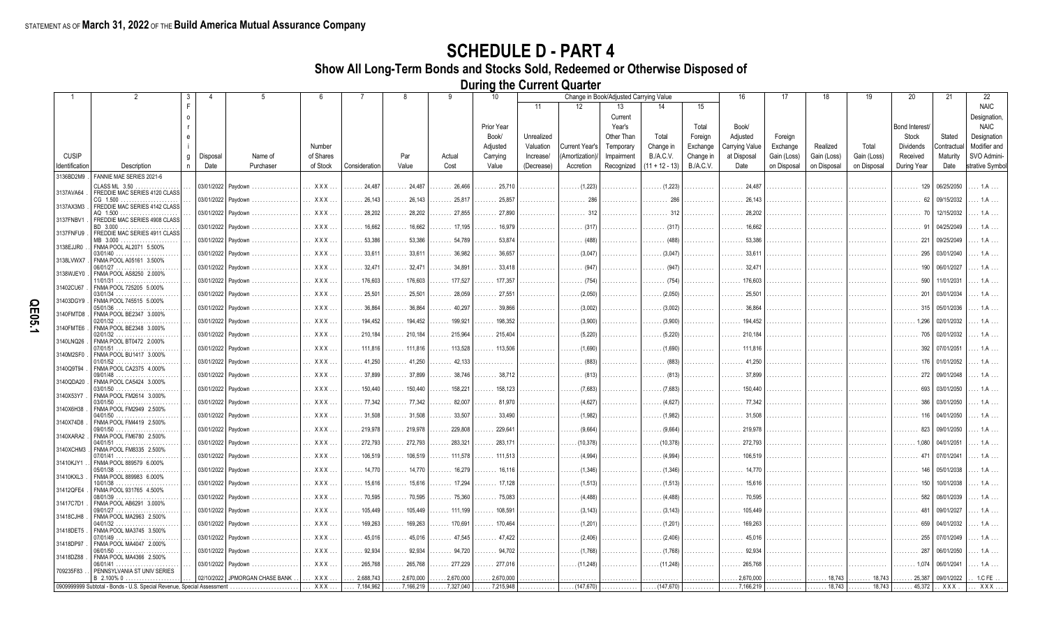**Show All Long-Term Bonds and Stocks Sold, Redeemed or Otherwise Disposed of**

**During the Current Quarter**

|                |                                                                        | 3        | 4        | -5                             | 6          | 7                      | 8            | 9                      | 10                 |                         |                       | Change in Book/Adjusted Carrying Value |                    |                       | 16                         | 17                  | 18          | 19          | 20                        | 21                    | 22                          |
|----------------|------------------------------------------------------------------------|----------|----------|--------------------------------|------------|------------------------|--------------|------------------------|--------------------|-------------------------|-----------------------|----------------------------------------|--------------------|-----------------------|----------------------------|---------------------|-------------|-------------|---------------------------|-----------------------|-----------------------------|
|                |                                                                        | F        |          |                                |            |                        |              |                        |                    | 11                      | 12                    | 13                                     | 14                 | 15                    |                            |                     |             |             |                           |                       | <b>NAIC</b>                 |
|                |                                                                        | $\Omega$ |          |                                |            |                        |              |                        |                    |                         |                       | Current                                |                    |                       |                            |                     |             |             |                           |                       | Designation,                |
|                |                                                                        |          |          |                                |            |                        |              |                        | Prior Year         |                         |                       | Year's                                 |                    | Total                 | Book/                      |                     |             |             | Bond Interest/            |                       | <b>NAIC</b>                 |
|                |                                                                        |          |          |                                | Number     |                        |              |                        | Book/<br>Adiusted  | Unrealized<br>Valuation | <b>Current Year's</b> | Other Than                             | Total<br>Change in | Foreign               | Adjusted<br>Carrying Value | Foreign<br>Exchange | Realized    | Total       | Stock<br><b>Dividends</b> | Stated<br>Contractual | Designation<br>Modifier and |
| <b>CUSIP</b>   |                                                                        | g        | Disposal | Name of                        | of Shares  |                        | Par          | Actual                 | Carrying           | Increase/               | (Amortization)        | Temporary<br>Impairment                | B.A.C.V.           | Exchange<br>Change in | at Disposal                | Gain (Loss)         | Gain (Loss) | Gain (Loss) | Received                  | Maturity              | SVO Admini-                 |
| Identification | Description                                                            | n        | Date     | Purchaser                      | of Stock   | Consideration          | Value        | Cost                   | Value              | (Decrease)              | Accretion             | Recognized                             | $(11 + 12 - 13)$   | <b>B./A.C.V.</b>      | Date                       | on Disposal         | on Disposal | on Disposal | During Year               | Date                  | strative Symbo              |
| 3136BD2M9      | FANNIE MAE SERIES 2021-6                                               |          |          |                                |            |                        |              |                        |                    |                         |                       |                                        |                    |                       |                            |                     |             |             |                           |                       |                             |
|                | CLASS ML 3.50                                                          |          |          | 03/01/2022 Paydown             | XXX.       | .24,487                | . 24,487     | $\ldots$ . 26,466      | $\ldots$ 25,710    |                         | (1.223)               |                                        | (1, 223)           |                       | 24,487                     |                     |             |             | 129                       | 06/25/2050            | $\ldots$ 1.A $\ldots$       |
| 3137AVA64      | FREDDIE MAC SERIES 4120 CLASS<br>CG 1.500                              |          |          | 03/01/2022 Paydown             | <b>XXX</b> | $\ldots$ . 26.143      | 26.143       | $\ldots$ 25.81         | 25.857             |                         |                       |                                        |                    |                       | 26.143                     |                     |             |             |                           | 09/15/2032            | . 1.A .                     |
| 3137AX3M3      | FREDDIE MAC SERIES 4142 CLASS<br>AQ 1.500<br>.                         |          |          | 03/01/2022 Paydown             | <b>XXX</b> | 28,202                 | 28,202       | 27,855                 | 27,890             |                         |                       |                                        | 312                |                       | 28,202                     |                     |             |             |                           | 12/15/2032            | . 1.A .                     |
| 3137FNBV       | FREDDIE MAC SERIES 4908 CLASS<br>BD 3.000                              |          |          | 03/01/2022 Paydown             | <b>XXX</b> | 16.662                 | 16,662       | 17.195                 | 16.979             |                         |                       |                                        | (317)              |                       | 16.662                     |                     |             |             |                           | 04/25/2049            | . 1.A .                     |
| 3137FNFU9      | FREDDIE MAC SERIES 4911 CLASS<br>MB 3.000                              |          |          | 03/01/2022 Paydown             | <b>XXX</b> | $\ldots 53.386$        | 53.386       | 54.789                 | 53.874             |                         | (488)                 |                                        | (488)              |                       | 53.386                     |                     |             |             |                           | 09/25/2049            | 1 A                         |
| 3138EJJR0      | FNMA POOL AL2071 5.500%<br>03/01/40                                    |          |          | 03/01/2022   Paydown           | XXX.       | . 33,611               | . 33,611     | . 36,982               | . 36,657           |                         | (3.047)               |                                        | (3.047)            |                       | $\ldots$ . 33,61           |                     |             |             |                           | 03/01/2040            | . 1.A                       |
| 3138LVWX7      | FNMA POOL A05161 3.500%                                                |          |          |                                | XXX.       |                        |              |                        |                    |                         | (947)                 |                                        | (947)              |                       |                            |                     |             |             |                           |                       |                             |
| 3138WJEY0      | 06/01/27<br>FNMA POOL AS8250 2.000%                                    |          |          | 03/01/2022 Paydown             |            | $\ldots \ldots 32.471$ | . 32.471     | 34.891                 | 33.418             |                         |                       |                                        |                    |                       | 32,47                      |                     |             |             |                           | 06/01/2027            | . 1.A                       |
| 31402CU67      | FNMA POOL 725205 5.000%                                                |          |          | 03/01/2022 Paydown             | XXX.       | $\ldots$ 176.603       | 176,603      | . 177.527              | 177,357            |                         | (754)                 |                                        | (754)              |                       | 176,603                    |                     |             |             |                           | 11/01/2031            | $\ldots$ 1.A.               |
| 31403DGY9      | FNMA POOL 745515 5.000%                                                |          |          | 03/01/2022 Paydown             | XXX.       | . 25,501               | .25,501<br>. | $\ldots$ . 28,059      | 27,551             | .                       | (2,050)               |                                        | (2,050)            | .                     | $\ldots \ldots 25,501$     |                     |             |             |                           | 03/01/2034            | 1.A .                       |
| 3140FMTD8      | $35/01/36$<br>FNMA POOL BE2347 3.000%                                  |          |          | 03/01/2022 Paydown             | XXX.       | $\ldots \ldots 36,864$ | . 36,864     | $\ldots \ldots 40.297$ | . 39,866           |                         | (3,002)               |                                        | (3,002)            | .                     | $\ldots \ldots 36,864$     |                     |             |             |                           | 05/01/2036            | . 1.A .                     |
| 3140FMTE6      | 02/01/32.<br>FNMA POOL BE2348 3.000%                                   |          |          | 03/01/2022 Paydown             | <b>XXX</b> | 194,452                | 194,452      | $\ldots$ . 199,921     | 198,352            |                         | (3,900)               |                                        | (3,900)            | .                     | 194,452                    |                     |             |             | 1.296                     | 02/01/2032            | . 1.A                       |
| 3140LNQ26      | FNMA POOL BT0472 2.000%                                                |          |          | 03/01/2022   Paydown           | <b>XXX</b> | .210,184               | 210,184      | $\ldots$ . 215,964     | 215,404            |                         | (5, 220)              |                                        | (5, 220)           |                       | 210,184                    |                     |             |             |                           | 02/01/2032            | . 1.A                       |
| 3140M2SF0      | 07/01/51<br>FNMA POOL BU1417 3.000%                                    |          |          | 03/01/2022 Paydown             | XXX.       | $\ldots$ 111,816       | 111,816      | $\ldots$ . 113,528     | 113,506<br>1.1.1.1 |                         | (1.690)               |                                        | (1,690)            |                       | $\ldots$ .111,816          |                     |             |             |                           | 07/01/2051            | . 1.A                       |
| 3140Q9T94      | 01/01/52<br>.<br>FNMA POOL CA2375 4.000%                               |          |          | 03/01/2022 Paydown             | XXX.       | $\ldots$ 41,250        | 41,250<br>.  | $\ldots \ldots$ 42,133 | .                  | .                       | (883)                 |                                        | (883)              | .                     | $\ldots$ . 41.250          |                     |             |             |                           | 01/01/2052            | . 1.A .                     |
| 3140QDA20      | 09/01/48<br>FNMA POOL CA5424 3.000%                                    |          |          | 03/01/2022   Paydown           | XXX.       | . 37,899               | 37,899       | $\ldots \ldots 38,746$ | . 38,712           |                         | (813)                 |                                        | (813)              |                       | 37,899                     |                     |             |             |                           | 09/01/2048            | . 1.A .                     |
| 3140X53Y7      | 03/01/50<br>.<br>FNMA POOL FM2614 3.000%                               |          |          | 03/01/2022 Paydown             | XXX.       | 150,440                | 150,440      | 158,221<br>.           | 158,123            |                         | (7.683)               |                                        | (7,683)            |                       | 150,440                    |                     |             |             |                           | 03/01/2050            | . 1.A                       |
| 3140X6H38      | 03/01/50<br>.<br>FNMA POOL FM2949 2.500%                               |          |          | 03/01/2022 Paydown             | XXX.       | $\ldots$ . 77.342      | .77.342      | . 82.007               | .81.970            |                         | (4.627)               |                                        | (4.627)            |                       | 77.34                      |                     |             |             |                           | 03/01/2050            | . 1.A .                     |
| 3140X74D8      | 04/01/50<br>FNMA POOL FM4419 2.500%                                    |          |          | 03/01/2022 Paydown             | <b>XXX</b> | $\ldots$ 31,508        | . 31,508     | . 33,507               | .33,490            |                         | (1.982)               |                                        | (1,982)            |                       | 31,508                     |                     |             |             |                           | 04/01/2050            | 1 A                         |
| 3140XARA2      | 09/01/50<br>FNMA POOL FM6780 2.500%                                    |          |          | 03/01/2022   Paydown           | <b>XXX</b> | $\ldots$ . 219,978     | 219,978      | 229,808<br>.           | 229,64             |                         | (9.664)               |                                        | (9.664)            |                       | 219,978                    |                     |             |             |                           | 09/01/2050            | .1A                         |
| 3140XCHM3      | 04/01/51<br>FNMA POOL FM8335 2.500%                                    |          |          | 03/01/2022 Paydown             | <b>XXX</b> | . 272.793              | 272.793      | 283.32                 | 283.17'            |                         | (10.378)              |                                        | (10, 378)          |                       | 272.793                    |                     |             |             |                           | 04/01/2051            | 1 A                         |
| 31410KJY1      | FNMA POOL 889579 6.000%                                                |          |          | 03/01/2022 Paydown             | XXX.       | $\ldots$ . 106.519     | 106.519      | . 111.578              | . 111.513          |                         | (4.994)               |                                        | (4.994)            |                       | $\ldots$ 106.51            |                     |             |             |                           | 07/01/2041            | . . 1.A                     |
| 31410KXL3      | 05/01/38<br>FNMA POOL 889983 6.000%                                    |          |          | 03/01/2022 Paydown             | XXX        | 14.770<br>.            | 14.770       | 16,279                 | $\ldots$ . 16,116  |                         | (1.346)               |                                        | (1.346)            |                       | 14.77                      |                     |             |             |                           | 05/01/2038            | . 1.A                       |
| 31412QFE4      | 10/01/38<br>FNMA POOL 931765 4.500%                                    |          |          | 03/01/2022 Paydown             | <b>XXX</b> | 15,616                 | 15,616       | $\ldots$ . 17.294      | $\ldots$ . 17.128  |                         | (1.513)               |                                        | (1,513)            |                       | 15.61                      |                     |             |             | 150                       | 10/01/2038            | 1 A                         |
| 31417C7D1      | 08/01/39<br>FNMA POOL AB6291 3.000%                                    |          |          | 03/01/2022 Paydown             | <b>XXX</b> | $\ldots$ . 70,595      | 70,595       | $\ldots \ldots$ 75,360 | $\ldots$ . 75,083  |                         | (4.488)               |                                        | (4.488)            |                       | $\ldots$ . 70.595          |                     |             |             |                           | 08/01/2039            | 1 A                         |
| 31418CJH8      | 09/01/27<br>FNMA POOL MA2963 2.500%                                    |          |          | 03/01/2022   Paydown           | XXX        | $\ldots$ . 105,449     | 105,449      | . 111,199              | 108,591<br>.       |                         | (3, 143)              |                                        | (3, 143)           |                       | $\ldots$ . 105,449         |                     |             |             |                           | 09/01/2027            | $\ldots$ 1.A                |
| 31418DET5      | 14/01/32<br>FNMA POOL MA3745 3.500%                                    |          |          | 03/01/2022 Paydown             | <b>XXX</b> | $\ldots$ . 169,263     | 169,263      | 170,691                | $\ldots$ .170,464  |                         | (1,201)               |                                        | (1, 201)           |                       | $\ldots$ 169.263           |                     |             |             |                           | 04/01/2032            | $\ldots$ 1.A.               |
| 31418DP97      | 07/01/49.<br>.<br>FNMA POOL MA4047 2.000%                              |          |          | 03/01/2022 Paydown             | <b>XXX</b> | 45.016                 | 45.016       | 47.545                 | 47.422             |                         | (2.406)               |                                        | (2.406)            |                       | 45.01                      |                     |             |             | 255                       | 07/01/2049            | . 1.A .                     |
| 31418DZ88      | 06/01/50<br>FNMA POOL MA4366 2.500%                                    |          |          | 03/01/2022 Paydown             | <b>XXX</b> | $\ldots \ldots 92,934$ | 92,934       | 94,720                 | $\ldots$ . 94,702  |                         | (1.768)               |                                        | (1.768)            |                       | 92,934                     |                     |             |             | 287                       | 06/01/2050            | . 1.A                       |
| 709235F83      | 06/01/41<br>PENNSYLVANIA ST UNIV SERIES                                |          |          | 03/01/2022   Paydown           | XXX.       | $\ldots$ 265.768       | 265.768      | $\ldots$ . 277,229     | 277,016            |                         | (11.248)              |                                        | (11.248)           |                       | 265.768                    |                     |             |             | 1.074                     | 06/01/2041            | . 1.A                       |
|                | $B$ 2.100% 0                                                           |          |          | 02/10/2022 JPMORGAN CHASE BANK | <b>XXX</b> | 2.688.743              | .2.670.000   | .2,670,000             | .2.670.000         |                         |                       |                                        |                    |                       | 2.670.000                  |                     | 18.743      | 18.743      | 25,387                    | 09/01/2022            | . 1.CFE                     |
|                | 0909999999 Subtotal - Bonds - U.S. Special Revenue, Special Assessment |          |          |                                | XXX        | 7,184,962              | .7,166,219   | .7,327,040             | .7,215,948         |                         | (147, 670)            |                                        | (147, 670)         |                       | 7,166,219                  |                     | 18,743      | 18,743      | 45,372                    | . XXX                 | XXX                         |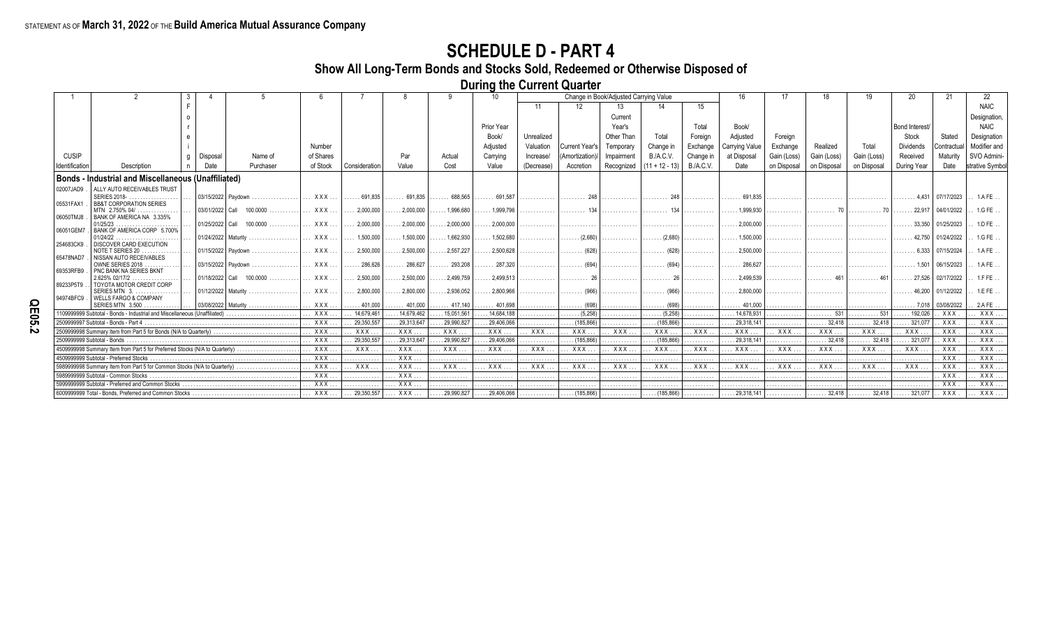**Show All Long-Term Bonds and Stocks Sold, Redeemed or Otherwise Disposed of**

**During the Current Quarter**

|                             |                                                                            |                 |                              |                                |                     |                      |                         |                         |            |                       | Change in Book/Adjusted Carrying Value |                         |                  |                       |             |                          |                        |                                    |            |                |
|-----------------------------|----------------------------------------------------------------------------|-----------------|------------------------------|--------------------------------|---------------------|----------------------|-------------------------|-------------------------|------------|-----------------------|----------------------------------------|-------------------------|------------------|-----------------------|-------------|--------------------------|------------------------|------------------------------------|------------|----------------|
|                             |                                                                            |                 |                              |                                |                     |                      |                         |                         |            | 12                    | 13                                     |                         |                  |                       |             |                          |                        |                                    |            | <b>NAIC</b>    |
|                             |                                                                            |                 |                              |                                |                     |                      |                         |                         |            |                       | Current                                |                         |                  |                       |             |                          |                        |                                    |            | Designation    |
|                             |                                                                            |                 |                              |                                |                     |                      |                         | Prior Year              |            |                       | Year's                                 |                         | Total            | Book/                 |             |                          |                        | <b>Bond Interest</b>               |            | <b>NAIC</b>    |
|                             |                                                                            |                 |                              |                                |                     |                      |                         | Book/                   | Unrealized |                       | Other Than                             | Total                   | Foreian          | Adiusted              | Foreian     |                          |                        | Stock                              | Stated     | Designation    |
|                             |                                                                            |                 |                              | Number                         |                     |                      |                         | Adjusted                | Valuation  | Current Year's        | Temporan                               | Change in               | Exchange         | Carrying Value        | Exchange    | Realized                 | Total                  | <b>Dividends</b>                   | Contractua | Modifier and   |
| <b>CUSIP</b>                |                                                                            | Disposal        | Name of                      | of Shares                      |                     | Par                  | Actual                  | Carrying                | Increase/  | (Amortization)        | Impairmen                              | <b>B./A.C.V.</b>        | Change in        | at Disposal           | Gain (Loss) | Gain (Loss)              | Gain (Loss)            | Received                           | Maturity   | SVO Admini-    |
| Identification              | Description                                                                | Date            | Purchaser                    | of Stock                       | Consideration       | Value                | Cost                    | Value                   | (Decrease) | Accretion             | Recognized                             | $(11 + 12 - 13)$        | B./A.C.V         | Date                  | on Disposal | on Disposal              | on Disposal            | During Year                        | Date       | strative Symbo |
|                             | <b>Bonds - Industrial and Miscellaneous (Unaffiliated)</b>                 |                 |                              |                                |                     |                      |                         |                         |            |                       |                                        |                         |                  |                       |             |                          |                        |                                    |            |                |
| 02007JAD9                   | ALLY AUTO RECEIVABLES TRUST                                                |                 |                              |                                |                     |                      |                         |                         |            |                       |                                        |                         |                  |                       |             |                          |                        |                                    |            |                |
|                             | SERIES 2018-                                                               |                 | 03/15/2022 Paydown           | XXX                            | $\ldots$ . 691.835  | $\ldots$ . 691,835   | $\ldots \ldots 688,565$ | $\ldots \ldots 691,587$ | .          |                       | .                                      | . 248                   | .                | 691.835<br>.          | .           |                          | .                      | . 4.431 07/17/2023                 |            | 1.AFE.         |
| 05531FAX1                   | <b>BB&amp;T CORPORATION SERIES</b>                                         |                 |                              |                                |                     |                      |                         |                         |            |                       |                                        |                         |                  |                       |             |                          |                        |                                    |            |                |
| 06050TMJ8                   | MTN 2.750% 04/<br>BANK OF AMERICA NA 3.335%                                |                 | $03/01/2022$ Call $100.0000$ | $\mathbf{X} \times \mathbf{X}$ | 2.000.000           | .2.000.000           | $\ldots$ .1.996.680     | 1.999.796               | .          | .                     | .                                      | 134<br>.                | .                | $\ldots$ . 1.999.930  |             |                          |                        | $\ldots \ldots 22.917$ 04/01/2022  |            | 1.G FE         |
|                             | 01/25/23                                                                   | 01/25/2022 Call | 100.0000<br>.                | $\mathbf{X} \times \mathbf{X}$ | . 2,000,000         | $\ldots$ . 2,000,000 | . 2,000,000             | $\ldots$ . 2,000,000    |            |                       |                                        |                         |                  | $\ldots$ . 2.000.000  |             |                          |                        | $\ldots$ . 33.350                  | 01/25/2023 | 1.D FE         |
| 06051GEM7                   | BANK OF AMERICA CORP 5.700%                                                |                 |                              |                                |                     |                      |                         |                         |            |                       |                                        |                         |                  |                       |             |                          |                        |                                    |            |                |
| 254683CK9                   | 01/24/22<br>DISCOVER CARD EXECUTION                                        |                 | 01/24/2022 Maturity          | <b>XXX</b>                     | $\ldots 1.500.000$  | $\ldots$ . 1.500.000 | $\ldots$ . 1.662.930    | $\ldots$ 1.502.680      |            | (2.680)               | .                                      | $\ldots \ldots (2.680)$ | .                | $\ldots$ . 1.500.000  |             |                          |                        | $\ldots \ldots$ 42.750 01/24/2022  |            | 1. G F E       |
|                             | NOTE T SERIES 20                                                           |                 | $ 01/15/2022 $ Pavdown       | $\mathbf{XXX}$                 | .2.500.000          | $\ldots$ . 2.500.000 | $\ldots$ . 2.557.227    | $\ldots$ . 2.500.628    | .          |                       | .                                      | $\ldots \ldots$ (628)   | .                | $\ldots$ . 2.500.000  |             |                          |                        | . 6.333   07/15/2024               |            | . 1AFE         |
| 65478NAD7                   | NISSAN AUTO RECEIVABLES                                                    |                 |                              |                                |                     |                      |                         |                         |            |                       |                                        |                         |                  |                       |             |                          |                        |                                    |            |                |
| 69353RFB9                   | OWNE SERIES 2018<br>PNC BANK NA SERIES BKNT                                |                 | 03/15/2022 Pavdown           | XXX                            | $\ldots$ . 286.626  | $\ldots$ . 286,627   | $\ldots$ . 293.208      | $\ldots$ . 287.320      | .          | $\ldots \ldots$ (694) | .                                      | $\ldots \ldots$ (694)   | .                | $\ldots$ . 286.627    |             |                          | .                      | 1.501   06/15/2023                 |            | 1.A FE         |
|                             | 2.625% 02/17/2                                                             |                 | 01/18/2022 Call 100.0000     | $\ldots$ XXX                   | 2.500.000           | $\ldots$ . 2.500.000 | $\ldots$ . 2.499.759    | $\ldots$ . 2.499.513    | .          |                       |                                        |                         |                  | $\ldots$ . 2.499.539  | .           | .                        |                        | $\ldots$ 27.526 02/17/2022         |            | 1.FFE          |
| 89233P5T9                   | TOYOTA MOTOR CREDIT CORP<br>SERIES MTN 3.                                  |                 | 01/12/2022   Maturity        | XXX                            | 2.800.000           | . 2.800.000          | .2.936.052              | .2.800.966              |            |                       |                                        | $\ldots \ldots$ (966)   |                  | $\ldots$ . 2.800.000  |             |                          |                        | . 46.200∣ 01/12/2022               |            | 1.EFE          |
| 94974BFC9                   | <b>WELLS FARGO &amp; COMPANY</b>                                           |                 |                              |                                |                     |                      |                         |                         | .          | $\ldots \ldots$ (966) | .                                      |                         | .                |                       |             |                          |                        |                                    |            |                |
|                             | SERIES MTN 3.500                                                           |                 | 03/08/2022   Maturity        | . . <b>XXX</b>                 | $\ldots$ , 401.000  | $\ldots$ . 401.000   |                         | $\ldots$ . 401.698      | .          |                       | .                                      |                         | .                | $\ldots$ 401.000      |             |                          |                        | $\ldots \ldots 7,018$   03/08/2022 |            | 2.A FE         |
|                             | 1109999999 Subtotal - Bonds - Industrial and Miscellaneous (Unaffiliated)  |                 |                              | <b>XXX</b>                     | 14.679.461          | 14.679.462           | 15,051,561              | 14.684.188              |            | (5,258)               | .                                      | (5,258)                 | .                | .14.678.931           |             | 531                      | . 531                  | . 192.026                          | . xxx      | <b>XXX</b>     |
|                             | 2509999997 Subtotal - Bonds - Part 4                                       |                 |                              | $\ldots$ XXX                   | 29.350.557          | .29.313.647          | 29,990,827              | .29,406,066             | .          | $\ldots$ (185,866)    | .                                      | $\ldots$ (185.866)      | .                | . 29.318.141          | .           | $\ldots \ldots 32,418$   | $\ldots$ . 32.418      | .321.077                           | . XXX      | <b>XXX</b>     |
|                             | 2509999998 Summary Item from Part 5 for Bonds (N/A to Quarterly)           |                 |                              | <b>XXX</b>                     | XXX.                | XXX                  | XXX                     | XXX                     | XXX        | XXX                   | . XXX.                                 | . XXX.                  | $.$ $XXX$        | . XXX .               | <b>XXX</b>  | <b>XXX</b>               | . XXX                  | XXX.                               | . XXX      | XXX.           |
| 2509999999 Subtotal - Bonds |                                                                            |                 |                              | $\ldots$ XXX                   | 29.350.557          | $\ldots$ 29.313.647  | .29.990.827             | . 29.406.066            | .          | $\ldots$ (185,866)    | .                                      | $\ldots$ (185,866)      | .                | $\ldots$ 29,318,141   | .           | $\ldots \ldots 32,418$   | $\ldots \ldots 32.418$ | $\ldots$ 321.077                   | . XXX      | XXX.           |
|                             | 450999998 Summary Item from Part 5 for Preferred Stocks (N/A to Quarterly) |                 |                              | XXX                            | XXX                 | $.$ XXX              | $\ldots$ XXX            | . XXX                   | . XXX.     | <b>XXX</b>            | . XXX.                                 | . XXX                   | $\mathbf{XXX}$ . | . XXX.                | XXX         | . XXX.                   | $\ldots$ XXX           | XXX.                               | XXX        | XXX.           |
|                             | 4509999999 Subtotal - Preferred Stocks                                     |                 |                              | <b>XXX</b>                     | .                   | $\ldots$ XXX         | .                       | .                       | .          | .                     | .                                      | .                       | .                | .                     | .           | .                        |                        | .                                  | . XXX      | XXX            |
|                             | 598999998 Summary Item from Part 5 for Common Stocks (N/A to Quarterly)    |                 |                              | $\ldots$ XXX                   | XXX                 | . XXX                | XXX                     | . XXX                   | . XXX.     | <b>XXX</b>            | . XXX.                                 | . XXX                   | $.$ $XXX$        | XXX.                  | <b>XXX</b>  | . XXX                    | XXX                    | $.$ $XXX.$                         | . XXX      | . XXX          |
|                             | 5989999999 Subtotal - Common Stocks                                        |                 |                              | . XXX                          | .                   | XXX                  | .                       | .                       |            |                       |                                        |                         |                  |                       |             |                          |                        |                                    | . XXX      | XXX.           |
|                             | 5999999999 Subtotal - Preferred and Common Stocks                          |                 |                              | $\mathbf{X} \times \mathbf{X}$ |                     | $.$ XXX              |                         | .                       |            |                       | .                                      |                         | .                |                       |             |                          |                        |                                    | $.$ $XXX$  | . XXX.         |
|                             |                                                                            |                 |                              | XXX                            | $\ldots$ 29,350,557 | XXX                  | $\ldots$ . 29,990,827   | $\ldots$ . 29,406,066   | .          | $\ldots$ (185,866)    | .                                      | $\ldots$ (185,866)      | .                | $\ldots$ . 29,318,141 | .           | $  \dots \dots 32,418  $ | $\ldots \ldots 32,418$ | . 321,077                          | XXX        | XXX            |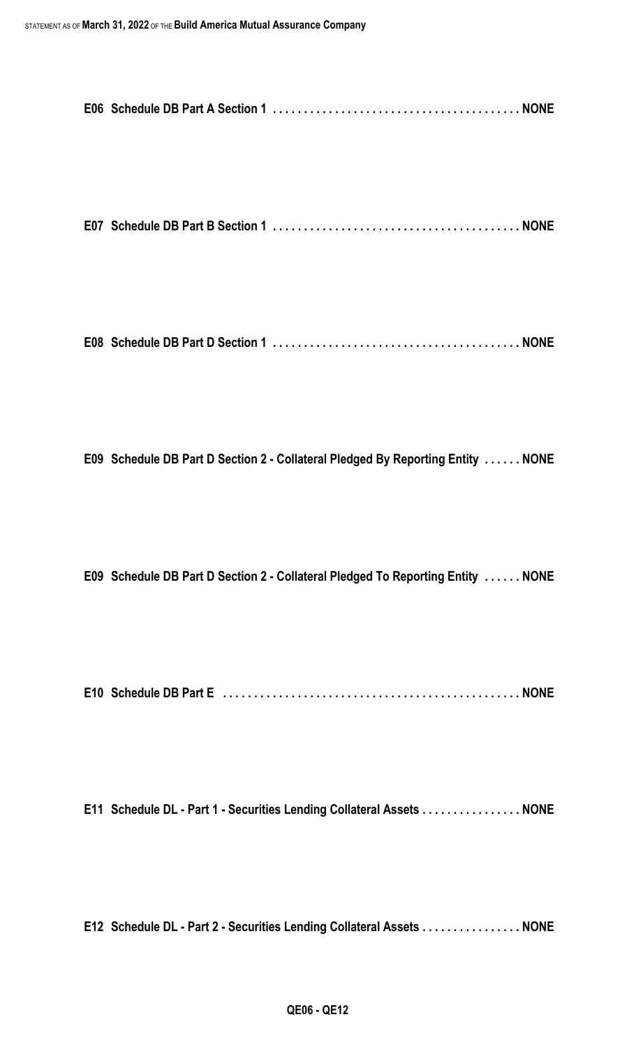**E07 Schedule DB Part B Section 1 . . . . . . . . . . . . . . . . . . . . . . . . . . . . . . . . . . . . . . . . NONE**

**E08 Schedule DB Part D Section 1 . . . . . . . . . . . . . . . . . . . . . . . . . . . . . . . . . . . . . . . . NONE**

**E09 Schedule DB Part D Section 2 - Collateral Pledged By Reporting Entity . . . . . . NONE**

**E09 Schedule DB Part D Section 2 - Collateral Pledged To Reporting Entity . . . . . . NONE**

**E10 Schedule DB Part E . . . . . . . . . . . . . . . . . . . . . . . . . . . . . . . . . . . . . . . . . . . . . . . . NONE**

**E11 Schedule DL - Part 1 - Securities Lending Collateral Assets . . . . . . . . . . . . . . . . NONE**

**E12 Schedule DL - Part 2 - Securities Lending Collateral Assets . . . . . . . . . . . . . . . . NONE**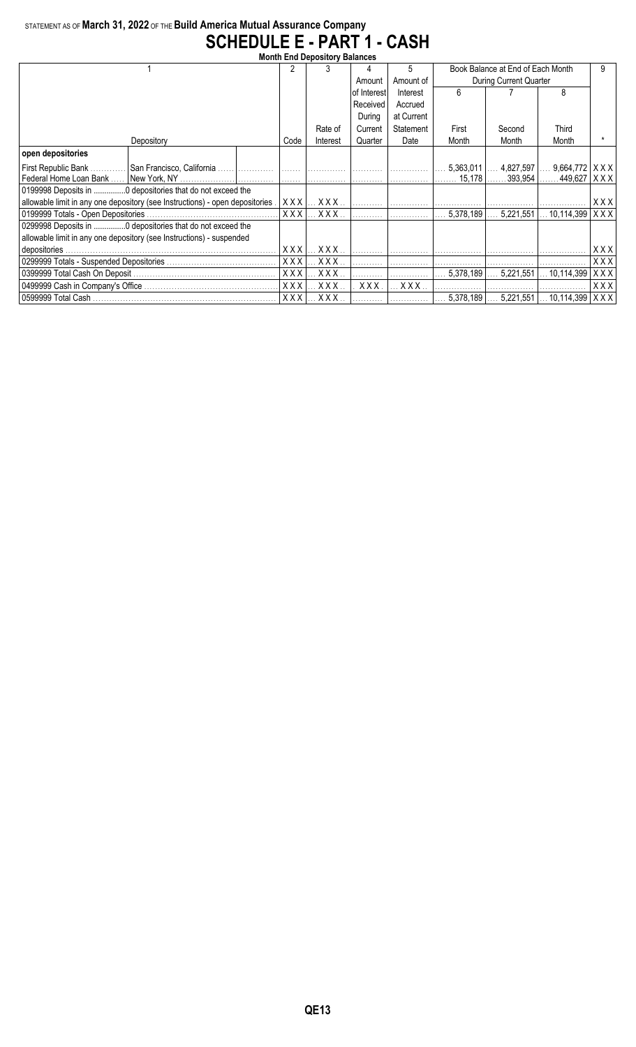## STATEMENT AS OF **March 31, 2022** OF THE **Build America Mutual Assurance Company SCHEDULE E - PART 1 - CASH**

| <b>Month End Depository Balances</b>                                         |            |                               |                              |            |                                   |             |                        |            |  |  |  |  |
|------------------------------------------------------------------------------|------------|-------------------------------|------------------------------|------------|-----------------------------------|-------------|------------------------|------------|--|--|--|--|
|                                                                              |            | 3                             | 4                            | 5          | Book Balance at End of Each Month |             |                        |            |  |  |  |  |
|                                                                              |            |                               | Amount                       | Amount of  | During Current Quarter            |             |                        |            |  |  |  |  |
|                                                                              |            |                               | of Interest                  | Interest   | 6                                 |             | 8                      |            |  |  |  |  |
|                                                                              |            |                               | Received                     | Accrued    |                                   |             |                        |            |  |  |  |  |
|                                                                              |            |                               | During                       | at Current |                                   |             |                        |            |  |  |  |  |
|                                                                              |            | Rate of                       | Current                      | Statement  | First                             | Second      | Third                  |            |  |  |  |  |
| Depository                                                                   | Code       | Interest                      | Quarter                      | Date       | Month                             | Month       | Month                  |            |  |  |  |  |
| open depositories                                                            |            |                               |                              |            |                                   |             |                        |            |  |  |  |  |
| First Republic Bank                                                          |            |                               |                              |            | 5,363,011                         | $4.827.597$ | 9,664,772              | XXX        |  |  |  |  |
| Federal Home Loan Bank                                                       |            |                               |                              |            | 15.178                            |             | . 393,954   449,627    | XXX        |  |  |  |  |
|                                                                              |            |                               |                              |            |                                   |             |                        |            |  |  |  |  |
| allowable limit in any one depository (see Instructions) - open depositories | XXXI       | X X X . <i>.</i> .            | the contract of the contract |            |                                   |             |                        | XXX        |  |  |  |  |
| 0199999 Totals - Open Depositories.                                          |            | $XXX$ $\ldots$ $XXX$ $\ldots$ | . 1                          |            | 5,378,189                         |             | $5,221,551$ 10,114,399 | XXX        |  |  |  |  |
| 0299998 Deposits in  0 depositories that do not exceed the                   |            |                               |                              |            |                                   |             |                        |            |  |  |  |  |
| allowable limit in any one depository (see Instructions) - suspended         |            |                               |                              |            |                                   |             |                        |            |  |  |  |  |
| depositories.                                                                | <b>XXX</b> | XXX.                          |                              |            |                                   |             |                        | XXX        |  |  |  |  |
|                                                                              | <b>XXX</b> | $.$ $XXX$ $.$                 |                              |            |                                   |             |                        | XXX        |  |  |  |  |
|                                                                              | <b>XXX</b> | $XXX$                         |                              |            | 5,378,189                         | 5,221,551   | $\ldots$ 10,114,399    | <b>XXX</b> |  |  |  |  |
|                                                                              | <b>XXX</b> | <b>XXX</b>                    | XXX.                         | XXX.       |                                   |             |                        | <b>XXX</b> |  |  |  |  |
|                                                                              | <b>XXX</b> | XXX.                          |                              |            | 5,378,189                         | 5,221,551   | $\dots$ 10,114,399     | XXX        |  |  |  |  |